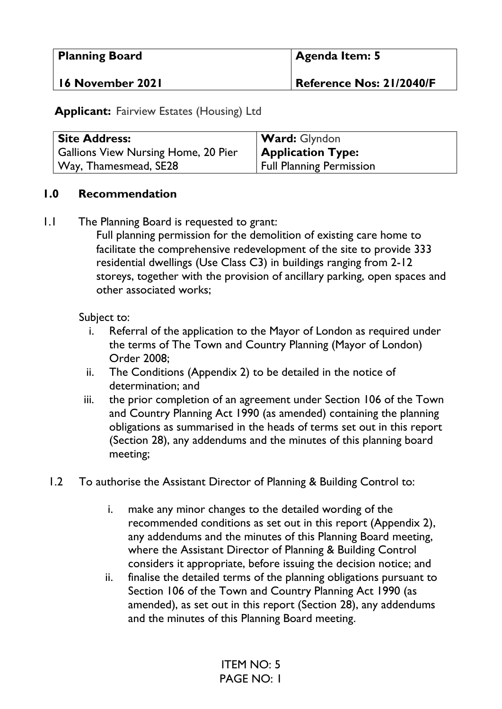| <b>Planning Board</b> | <b>Agenda Item: 5</b>    |
|-----------------------|--------------------------|
| 16 November 2021      | Reference Nos: 21/2040/F |

**Applicant:** Fairview Estates (Housing) Ltd

| <b>Site Address:</b>                | <b>Ward:</b> Glyndon            |
|-------------------------------------|---------------------------------|
| Gallions View Nursing Home, 20 Pier | <b>Application Type:</b>        |
| Way, Thamesmead, SE28               | <b>Full Planning Permission</b> |

#### **1.0 Recommendation**

1.1 The Planning Board is requested to grant:

Full planning permission for the demolition of existing care home to facilitate the comprehensive redevelopment of the site to provide 333 residential dwellings (Use Class C3) in buildings ranging from 2-12 storeys, together with the provision of ancillary parking, open spaces and other associated works;

Subject to:

- i. Referral of the application to the Mayor of London as required under the terms of The Town and Country Planning (Mayor of London) Order 2008;
- ii. The Conditions (Appendix 2) to be detailed in the notice of determination; and
- iii. the prior completion of an agreement under Section 106 of the Town and Country Planning Act 1990 (as amended) containing the planning obligations as summarised in the heads of terms set out in this report (Section 28), any addendums and the minutes of this planning board meeting;
- 1.2 To authorise the Assistant Director of Planning & Building Control to:
	- i. make any minor changes to the detailed wording of the recommended conditions as set out in this report (Appendix 2), any addendums and the minutes of this Planning Board meeting, where the Assistant Director of Planning & Building Control considers it appropriate, before issuing the decision notice; and
	- ii. finalise the detailed terms of the planning obligations pursuant to Section 106 of the Town and Country Planning Act 1990 (as amended), as set out in this report (Section 28), any addendums and the minutes of this Planning Board meeting.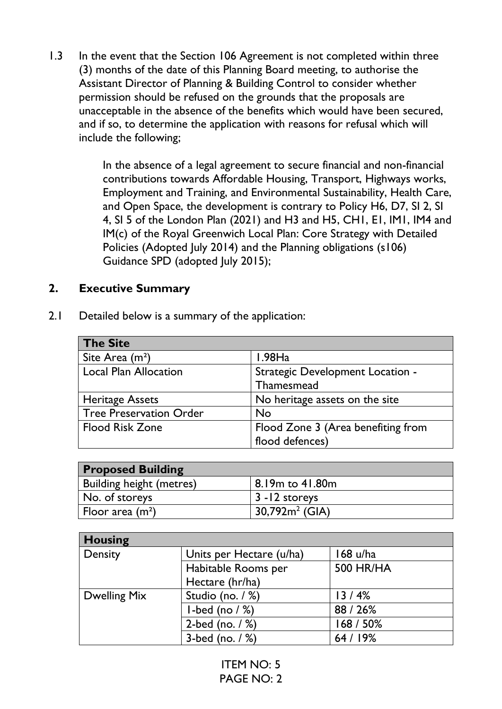1.3 In the event that the Section 106 Agreement is not completed within three (3) months of the date of this Planning Board meeting, to authorise the Assistant Director of Planning & Building Control to consider whether permission should be refused on the grounds that the proposals are unacceptable in the absence of the benefits which would have been secured, and if so, to determine the application with reasons for refusal which will include the following;

> In the absence of a legal agreement to secure financial and non-financial contributions towards Affordable Housing, Transport, Highways works, Employment and Training, and Environmental Sustainability, Health Care, and Open Space, the development is contrary to Policy H6, D7, SI 2, SI 4, SI 5 of the London Plan (2021) and H3 and H5, CH1, E1, IM1, IM4 and IM(c) of the Royal Greenwich Local Plan: Core Strategy with Detailed Policies (Adopted July 2014) and the Planning obligations (s106) Guidance SPD (adopted July 2015);

#### **2. Executive Summary**

2.1 Detailed below is a summary of the application:

| <b>The Site</b>                |                                         |
|--------------------------------|-----------------------------------------|
| Site Area $(m2)$               | $1.98$ Ha                               |
| <b>Local Plan Allocation</b>   | <b>Strategic Development Location -</b> |
|                                | Thamesmead                              |
| <b>Heritage Assets</b>         | No heritage assets on the site          |
| <b>Tree Preservation Order</b> | <b>No</b>                               |
| <b>Flood Risk Zone</b>         | Flood Zone 3 (Area benefiting from      |
|                                | flood defences)                         |

| <b>Proposed Building</b> |                   |
|--------------------------|-------------------|
| Building height (metres) | 8.19m to 41.80m   |
| No. of storeys           | 3 - 12 storeys    |
| Floor area $(m^2)$       | $30,792m^2$ (GIA) |

| <b>Housing</b>      |                          |                  |
|---------------------|--------------------------|------------------|
| Density             | Units per Hectare (u/ha) | $168$ u/ha       |
|                     | Habitable Rooms per      | <b>500 HR/HA</b> |
|                     | Hectare (hr/ha)          |                  |
| <b>Dwelling Mix</b> | Studio (no. / %)         | 13/4%            |
|                     | I-bed (no $/$ %)         | 88 / 26%         |
|                     | 2-bed (no. $/$ %)        | 168 / 50%        |
|                     | 3-bed (no. $/$ %)        | 64/19%           |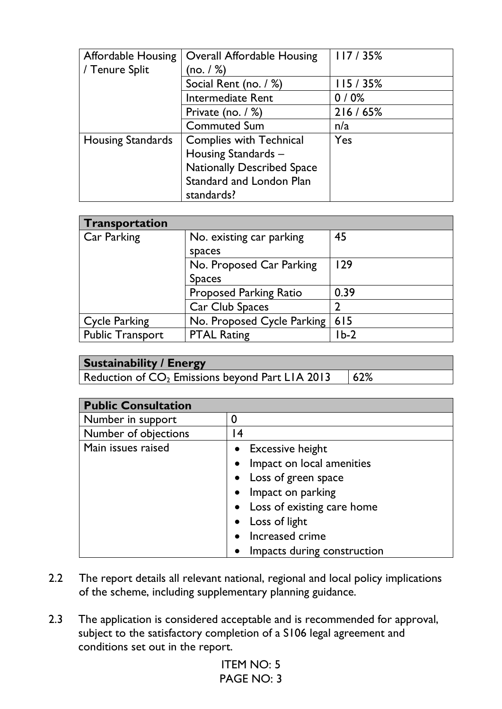| <b>Affordable Housing</b> | <b>Overall Affordable Housing</b> | 117/35% |
|---------------------------|-----------------------------------|---------|
| / Tenure Split            | (no. / %)                         |         |
|                           | Social Rent (no. / %)             | 115/35% |
|                           | Intermediate Rent                 | 0/0%    |
|                           | Private (no. $/$ %)               | 216/65% |
|                           | <b>Commuted Sum</b>               | n/a     |
| <b>Housing Standards</b>  | <b>Complies with Technical</b>    | Yes     |
|                           | Housing Standards -               |         |
|                           | <b>Nationally Described Space</b> |         |
|                           | Standard and London Plan          |         |
|                           | standards?                        |         |

| Transportation          |                               |        |
|-------------------------|-------------------------------|--------|
| <b>Car Parking</b>      | No. existing car parking      | 45     |
|                         | spaces                        |        |
|                         | No. Proposed Car Parking      | 129    |
|                         | <b>Spaces</b>                 |        |
|                         | <b>Proposed Parking Ratio</b> | 0.39   |
|                         | Car Club Spaces               | 2      |
| <b>Cycle Parking</b>    | No. Proposed Cycle Parking    | 615    |
| <b>Public Transport</b> | <b>PTAL Rating</b>            | $1b-2$ |

| <b>Sustainability / Energy</b>                    |     |
|---------------------------------------------------|-----|
| Reduction of $CO2$ Emissions beyond Part LIA 2013 | 62% |

| <b>Public Consultation</b> |                                        |
|----------------------------|----------------------------------------|
| Number in support          |                                        |
| Number of objections       | 14                                     |
| Main issues raised         | • Excessive height                     |
|                            | Impact on local amenities<br>$\bullet$ |
|                            | • Loss of green space                  |
|                            | Impact on parking<br>$\bullet$         |
|                            | • Loss of existing care home           |
|                            | • Loss of light                        |
|                            | Increased crime                        |
|                            | Impacts during construction            |

- 2.2 The report details all relevant national, regional and local policy implications of the scheme, including supplementary planning guidance.
- 2.3 The application is considered acceptable and is recommended for approval, subject to the satisfactory completion of a S106 legal agreement and conditions set out in the report.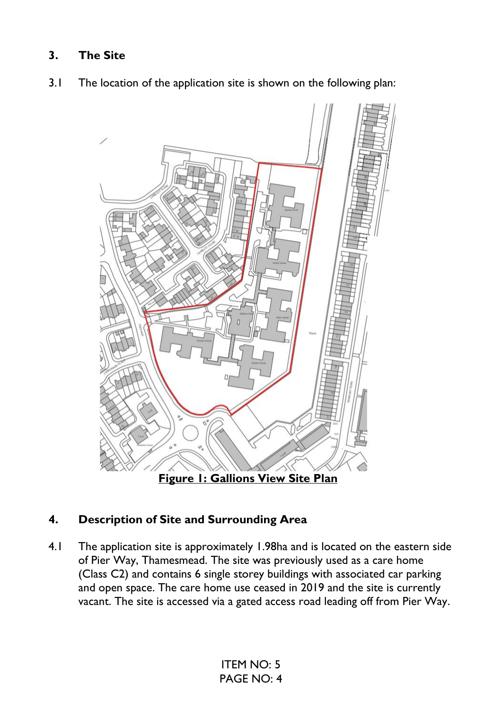# **3. The Site**

3.1 The location of the application site is shown on the following plan:



## **4. Description of Site and Surrounding Area**

4.1 The application site is approximately 1.98ha and is located on the eastern side of Pier Way, Thamesmead. The site was previously used as a care home (Class C2) and contains 6 single storey buildings with associated car parking and open space. The care home use ceased in 2019 and the site is currently vacant. The site is accessed via a gated access road leading off from Pier Way.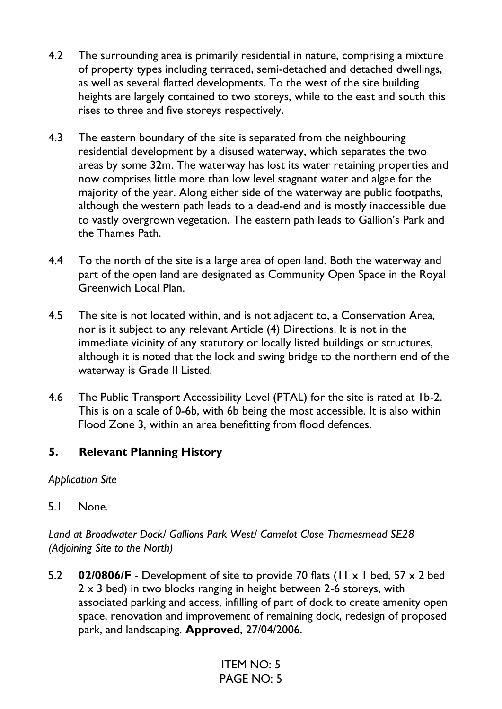- 4.2 The surrounding area is primarily residential in nature, comprising a mixture of property types including terraced, semi-detached and detached dwellings, as well as several flatted developments. To the west of the site building heights are largely contained to two storeys, while to the east and south this rises to three and five storeys respectively.
- 4.3 The eastern boundary of the site is separated from the neighbouring residential development by a disused waterway, which separates the two areas by some 32m. The waterway has lost its water retaining properties and now comprises little more than low level stagnant water and algae for the majority of the year. Along either side of the waterway are public footpaths, although the western path leads to a dead-end and is mostly inaccessible due to vastly overgrown vegetation. The eastern path leads to Gallion's Park and the Thames Path.
- 4.4 To the north of the site is a large area of open land. Both the waterway and part of the open land are designated as Community Open Space in the Royal Greenwich Local Plan.
- 4.5 The site is not located within, and is not adjacent to, a Conservation Area, nor is it subject to any relevant Article (4) Directions. It is not in the immediate vicinity of any statutory or locally listed buildings or structures, although it is noted that the lock and swing bridge to the northern end of the waterway is Grade II Listed.
- 4.6 The Public Transport Accessibility Level (PTAL) for the site is rated at 1b-2. This is on a scale of 0-6b, with 6b being the most accessible. It is also within Flood Zone 3, within an area benefitting from flood defences.

### **5. Relevant Planning History**

### *Application Site*

5.1 None.

*Land at Broadwater Dock/ Gallions Park West/ Camelot Close Thamesmead SE28 (Adjoining Site to the North)*

5.2 **02/0806/F** - Development of site to provide 70 flats (11 x 1 bed, 57 x 2 bed  $2 \times 3$  bed) in two blocks ranging in height between 2-6 storeys, with associated parking and access, infilling of part of dock to create amenity open space, renovation and improvement of remaining dock, redesign of proposed park, and landscaping. **Approved**, 27/04/2006.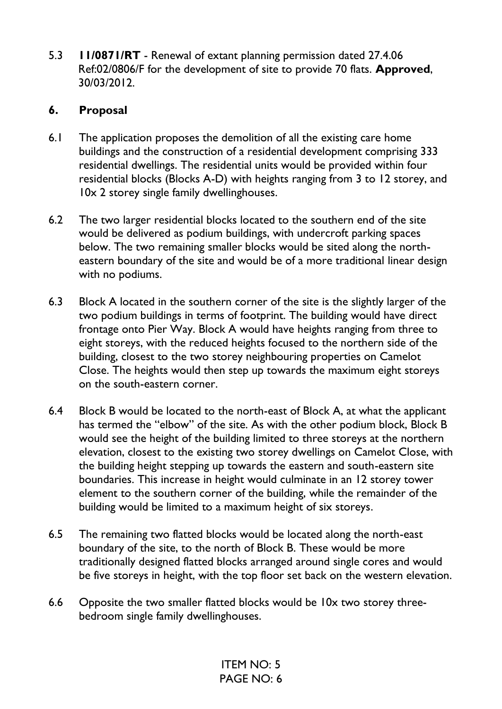5.3 **11/0871/RT** - Renewal of extant planning permission dated 27.4.06 Ref:02/0806/F for the development of site to provide 70 flats. **Approved**, 30/03/2012.

## **6. Proposal**

- 6.1 The application proposes the demolition of all the existing care home buildings and the construction of a residential development comprising 333 residential dwellings. The residential units would be provided within four residential blocks (Blocks A-D) with heights ranging from 3 to 12 storey, and 10x 2 storey single family dwellinghouses.
- 6.2 The two larger residential blocks located to the southern end of the site would be delivered as podium buildings, with undercroft parking spaces below. The two remaining smaller blocks would be sited along the northeastern boundary of the site and would be of a more traditional linear design with no podiums.
- 6.3 Block A located in the southern corner of the site is the slightly larger of the two podium buildings in terms of footprint. The building would have direct frontage onto Pier Way. Block A would have heights ranging from three to eight storeys, with the reduced heights focused to the northern side of the building, closest to the two storey neighbouring properties on Camelot Close. The heights would then step up towards the maximum eight storeys on the south-eastern corner.
- 6.4 Block B would be located to the north-east of Block A, at what the applicant has termed the "elbow" of the site. As with the other podium block, Block B would see the height of the building limited to three storeys at the northern elevation, closest to the existing two storey dwellings on Camelot Close, with the building height stepping up towards the eastern and south-eastern site boundaries. This increase in height would culminate in an 12 storey tower element to the southern corner of the building, while the remainder of the building would be limited to a maximum height of six storeys.
- 6.5 The remaining two flatted blocks would be located along the north-east boundary of the site, to the north of Block B. These would be more traditionally designed flatted blocks arranged around single cores and would be five storeys in height, with the top floor set back on the western elevation.
- 6.6 Opposite the two smaller flatted blocks would be 10x two storey threebedroom single family dwellinghouses.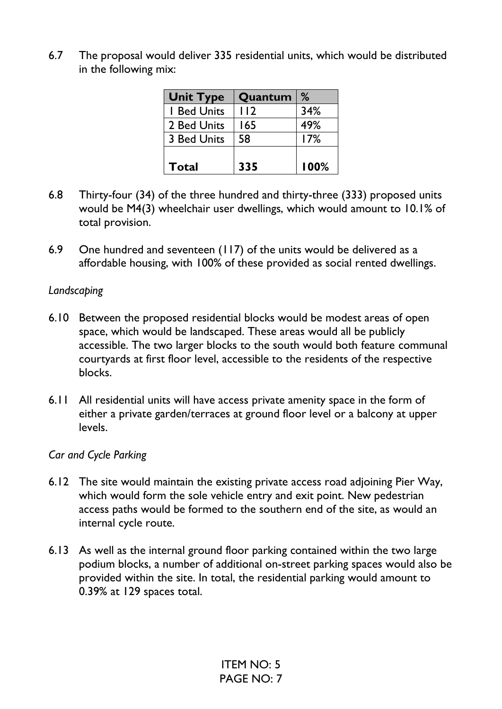6.7 The proposal would deliver 335 residential units, which would be distributed in the following mix:

| <b>Unit Type</b>   | Quantum | %    |
|--------------------|---------|------|
| <b>I</b> Bed Units | 112     | 34%  |
| 2 Bed Units        | 165     | 49%  |
| 3 Bed Units        | 58      | 17%  |
|                    |         |      |
| <b>Total</b>       | 335     | 100% |

- 6.8 Thirty-four (34) of the three hundred and thirty-three (333) proposed units would be M4(3) wheelchair user dwellings, which would amount to 10.1% of total provision.
- 6.9 One hundred and seventeen (117) of the units would be delivered as a affordable housing, with 100% of these provided as social rented dwellings.

### *Landscaping*

- 6.10 Between the proposed residential blocks would be modest areas of open space, which would be landscaped. These areas would all be publicly accessible. The two larger blocks to the south would both feature communal courtyards at first floor level, accessible to the residents of the respective blocks.
- 6.11 All residential units will have access private amenity space in the form of either a private garden/terraces at ground floor level or a balcony at upper levels.

### *Car and Cycle Parking*

- 6.12 The site would maintain the existing private access road adjoining Pier Way, which would form the sole vehicle entry and exit point. New pedestrian access paths would be formed to the southern end of the site, as would an internal cycle route.
- 6.13 As well as the internal ground floor parking contained within the two large podium blocks, a number of additional on-street parking spaces would also be provided within the site. In total, the residential parking would amount to 0.39% at 129 spaces total.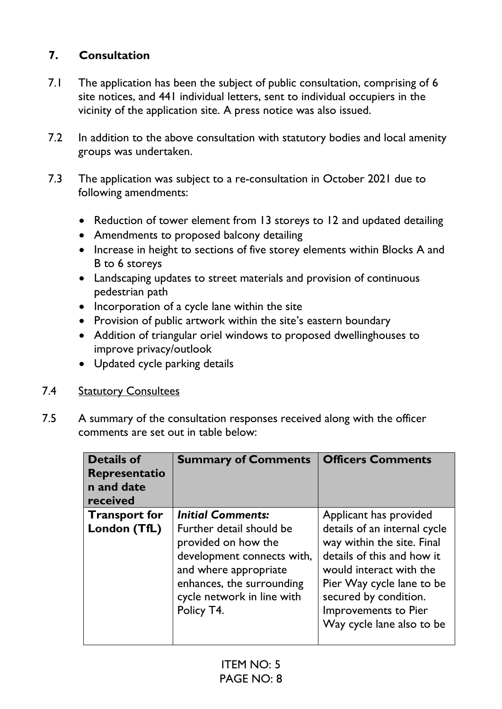# **7. Consultation**

- 7.1 The application has been the subject of public consultation, comprising of 6 site notices, and 441 individual letters, sent to individual occupiers in the vicinity of the application site. A press notice was also issued.
- 7.2 In addition to the above consultation with statutory bodies and local amenity groups was undertaken.
- 7.3 The application was subject to a re-consultation in October 2021 due to following amendments:
	- Reduction of tower element from 13 storeys to 12 and updated detailing
	- Amendments to proposed balcony detailing
	- Increase in height to sections of five storey elements within Blocks A and B to 6 storeys
	- Landscaping updates to street materials and provision of continuous pedestrian path
	- Incorporation of a cycle lane within the site
	- Provision of public artwork within the site's eastern boundary
	- Addition of triangular oriel windows to proposed dwellinghouses to improve privacy/outlook
	- Updated cycle parking details

### 7.4 Statutory Consultees

7.5 A summary of the consultation responses received along with the officer comments are set out in table below:

| <b>Details of</b><br>Representatio<br>n and date<br>received | <b>Summary of Comments</b>                                                                                                                                                                                  | <b>Officers Comments</b>                                                                                                                                                                                                                                 |
|--------------------------------------------------------------|-------------------------------------------------------------------------------------------------------------------------------------------------------------------------------------------------------------|----------------------------------------------------------------------------------------------------------------------------------------------------------------------------------------------------------------------------------------------------------|
| <b>Transport for</b><br>London (TfL)                         | <b>Initial Comments:</b><br>Further detail should be<br>provided on how the<br>development connects with,<br>and where appropriate<br>enhances, the surrounding<br>cycle network in line with<br>Policy T4. | Applicant has provided<br>details of an internal cycle<br>way within the site. Final<br>details of this and how it<br>would interact with the<br>Pier Way cycle lane to be<br>secured by condition.<br>Improvements to Pier<br>Way cycle lane also to be |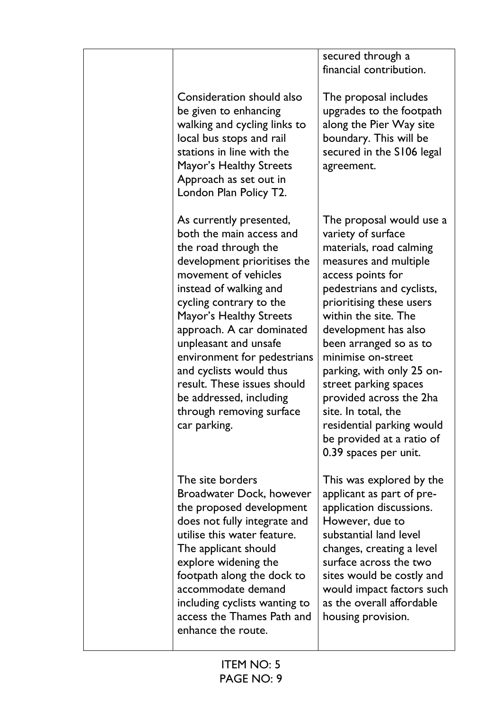| secured through a<br>financial contribution.<br>Consideration should also<br>The proposal includes<br>upgrades to the footpath<br>be given to enhancing<br>walking and cycling links to<br>along the Pier Way site<br>local bus stops and rail<br>boundary. This will be<br>stations in line with the<br>secured in the S106 legal<br>Mayor's Healthy Streets<br>agreement.<br>Approach as set out in<br>London Plan Policy T2.<br>As currently presented,<br>both the main access and<br>variety of surface<br>materials, road calming<br>the road through the<br>development prioritises the<br>measures and multiple<br>movement of vehicles<br>access points for<br>instead of walking and<br>pedestrians and cyclists,<br>prioritising these users<br>cycling contrary to the<br>Mayor's Healthy Streets<br>within the site. The<br>approach. A car dominated<br>development has also<br>unpleasant and unsafe<br>been arranged so as to<br>environment for pedestrians<br>minimise on-street<br>and cyclists would thus<br>parking, with only 25 on-<br>result. These issues should<br>street parking spaces<br>provided across the 2ha<br>be addressed, including<br>through removing surface<br>site. In total, the<br>residential parking would<br>car parking.<br>be provided at a ratio of<br>0.39 spaces per unit.<br>The site borders<br>This was explored by the<br><b>Broadwater Dock, however</b><br>applicant as part of pre-<br>the proposed development<br>application discussions.<br>does not fully integrate and<br>However, due to<br>utilise this water feature.<br>substantial land level<br>The applicant should<br>changes, creating a level<br>surface across the two<br>explore widening the<br>footpath along the dock to<br>sites would be costly and<br>accommodate demand |  |                           |
|------------------------------------------------------------------------------------------------------------------------------------------------------------------------------------------------------------------------------------------------------------------------------------------------------------------------------------------------------------------------------------------------------------------------------------------------------------------------------------------------------------------------------------------------------------------------------------------------------------------------------------------------------------------------------------------------------------------------------------------------------------------------------------------------------------------------------------------------------------------------------------------------------------------------------------------------------------------------------------------------------------------------------------------------------------------------------------------------------------------------------------------------------------------------------------------------------------------------------------------------------------------------------------------------------------------------------------------------------------------------------------------------------------------------------------------------------------------------------------------------------------------------------------------------------------------------------------------------------------------------------------------------------------------------------------------------------------------------------------------------------------------------------------------------------------|--|---------------------------|
|                                                                                                                                                                                                                                                                                                                                                                                                                                                                                                                                                                                                                                                                                                                                                                                                                                                                                                                                                                                                                                                                                                                                                                                                                                                                                                                                                                                                                                                                                                                                                                                                                                                                                                                                                                                                            |  |                           |
|                                                                                                                                                                                                                                                                                                                                                                                                                                                                                                                                                                                                                                                                                                                                                                                                                                                                                                                                                                                                                                                                                                                                                                                                                                                                                                                                                                                                                                                                                                                                                                                                                                                                                                                                                                                                            |  |                           |
|                                                                                                                                                                                                                                                                                                                                                                                                                                                                                                                                                                                                                                                                                                                                                                                                                                                                                                                                                                                                                                                                                                                                                                                                                                                                                                                                                                                                                                                                                                                                                                                                                                                                                                                                                                                                            |  | The proposal would use a  |
| as the overall affordable<br>including cyclists wanting to<br>access the Thames Path and<br>housing provision.<br>enhance the route.                                                                                                                                                                                                                                                                                                                                                                                                                                                                                                                                                                                                                                                                                                                                                                                                                                                                                                                                                                                                                                                                                                                                                                                                                                                                                                                                                                                                                                                                                                                                                                                                                                                                       |  | would impact factors such |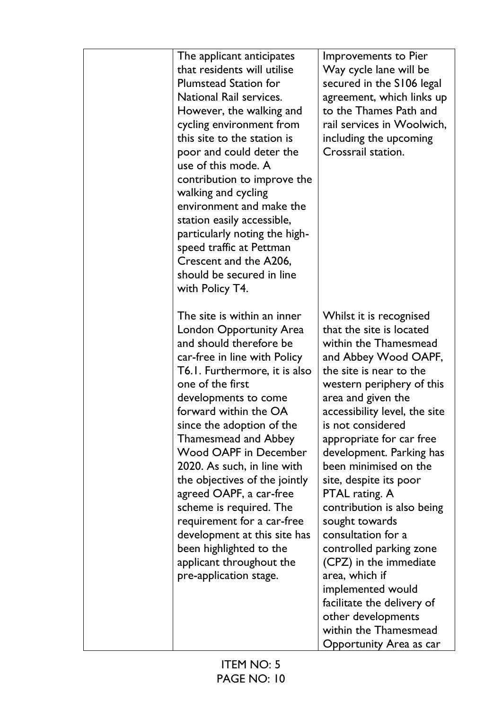| The applicant anticipates<br>that residents will utilise<br><b>Plumstead Station for</b><br><b>National Rail services.</b><br>However, the walking and<br>cycling environment from<br>this site to the station is<br>poor and could deter the<br>use of this mode. A<br>contribution to improve the<br>walking and cycling<br>environment and make the<br>station easily accessible,<br>particularly noting the high-<br>speed traffic at Pettman<br>Crescent and the A206,<br>should be secured in line<br>with Policy T4.                                                              | Improvements to Pier<br>Way cycle lane will be<br>secured in the S106 legal<br>agreement, which links up<br>to the Thames Path and<br>rail services in Woolwich,<br>including the upcoming<br>Crossrail station.                                                                                                                                                                                                                                                                                                                                                                                                                                |
|------------------------------------------------------------------------------------------------------------------------------------------------------------------------------------------------------------------------------------------------------------------------------------------------------------------------------------------------------------------------------------------------------------------------------------------------------------------------------------------------------------------------------------------------------------------------------------------|-------------------------------------------------------------------------------------------------------------------------------------------------------------------------------------------------------------------------------------------------------------------------------------------------------------------------------------------------------------------------------------------------------------------------------------------------------------------------------------------------------------------------------------------------------------------------------------------------------------------------------------------------|
| The site is within an inner<br>London Opportunity Area<br>and should therefore be<br>car-free in line with Policy<br>T6.1. Furthermore, it is also<br>one of the first<br>developments to come<br>forward within the OA<br>since the adoption of the<br><b>Thamesmead and Abbey</b><br><b>Wood OAPF in December</b><br>2020. As such, in line with<br>the objectives of the jointly<br>agreed OAPF, a car-free<br>scheme is required. The<br>requirement for a car-free<br>development at this site has<br>been highlighted to the<br>applicant throughout the<br>pre-application stage. | Whilst it is recognised<br>that the site is located<br>within the Thamesmead<br>and Abbey Wood OAPF,<br>the site is near to the<br>western periphery of this<br>area and given the<br>accessibility level, the site<br>is not considered<br>appropriate for car free<br>development. Parking has<br>been minimised on the<br>site, despite its poor<br>PTAL rating. A<br>contribution is also being<br>sought towards<br>consultation for a<br>controlled parking zone<br>(CPZ) in the immediate<br>area, which if<br>implemented would<br>facilitate the delivery of<br>other developments<br>within the Thamesmead<br>Opportunity Area as car |
| ITEM NIA. E                                                                                                                                                                                                                                                                                                                                                                                                                                                                                                                                                                              |                                                                                                                                                                                                                                                                                                                                                                                                                                                                                                                                                                                                                                                 |
|                                                                                                                                                                                                                                                                                                                                                                                                                                                                                                                                                                                          |                                                                                                                                                                                                                                                                                                                                                                                                                                                                                                                                                                                                                                                 |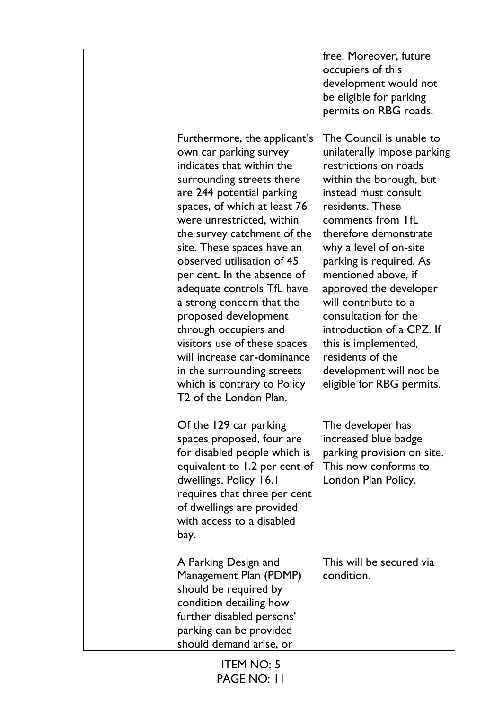|                                                                                                                                                                                                                                                                                                                                                                                                                                                                                                                                                                                                        | free. Moreover, future<br>occupiers of this<br>development would not<br>be eligible for parking<br>permits on RBG roads.                                                                                                                                                                                                                                                                                                                                                                     |
|--------------------------------------------------------------------------------------------------------------------------------------------------------------------------------------------------------------------------------------------------------------------------------------------------------------------------------------------------------------------------------------------------------------------------------------------------------------------------------------------------------------------------------------------------------------------------------------------------------|----------------------------------------------------------------------------------------------------------------------------------------------------------------------------------------------------------------------------------------------------------------------------------------------------------------------------------------------------------------------------------------------------------------------------------------------------------------------------------------------|
| Furthermore, the applicant's<br>own car parking survey<br>indicates that within the<br>surrounding streets there<br>are 244 potential parking<br>spaces, of which at least 76<br>were unrestricted, within<br>the survey catchment of the<br>site. These spaces have an<br>observed utilisation of 45<br>per cent. In the absence of<br>adequate controls TfL have<br>a strong concern that the<br>proposed development<br>through occupiers and<br>visitors use of these spaces<br>will increase car-dominance<br>in the surrounding streets<br>which is contrary to Policy<br>T2 of the London Plan. | The Council is unable to<br>unilaterally impose parking<br>restrictions on roads<br>within the borough, but<br>instead must consult<br>residents. These<br>comments from TfL<br>therefore demonstrate<br>why a level of on-site<br>parking is required. As<br>mentioned above, if<br>approved the developer<br>will contribute to a<br>consultation for the<br>introduction of a CPZ. If<br>this is implemented,<br>residents of the<br>development will not be<br>eligible for RBG permits. |
| Of the 129 car parking<br>spaces proposed, four are<br>for disabled people which is<br>equivalent to 1.2 per cent of<br>dwellings. Policy T6.1<br>requires that three per cent<br>of dwellings are provided<br>with access to a disabled<br>bay.                                                                                                                                                                                                                                                                                                                                                       | The developer has<br>increased blue badge<br>parking provision on site.<br>This now conforms to<br>London Plan Policy.                                                                                                                                                                                                                                                                                                                                                                       |
| A Parking Design and<br>Management Plan (PDMP)<br>should be required by<br>condition detailing how<br>further disabled persons'<br>parking can be provided<br>should demand arise, or                                                                                                                                                                                                                                                                                                                                                                                                                  | This will be secured via<br>condition.                                                                                                                                                                                                                                                                                                                                                                                                                                                       |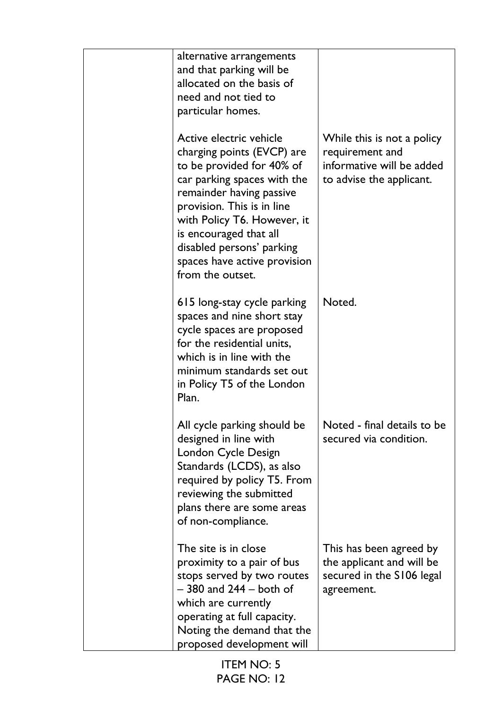| alternative arrangements<br>and that parking will be<br>allocated on the basis of<br>need and not tied to<br>particular homes.                                                                                                                                                                                        |                                                                                                        |
|-----------------------------------------------------------------------------------------------------------------------------------------------------------------------------------------------------------------------------------------------------------------------------------------------------------------------|--------------------------------------------------------------------------------------------------------|
| Active electric vehicle<br>charging points (EVCP) are<br>to be provided for 40% of<br>car parking spaces with the<br>remainder having passive<br>provision. This is in line<br>with Policy T6. However, it<br>is encouraged that all<br>disabled persons' parking<br>spaces have active provision<br>from the outset. | While this is not a policy<br>requirement and<br>informative will be added<br>to advise the applicant. |
| 615 long-stay cycle parking<br>spaces and nine short stay<br>cycle spaces are proposed<br>for the residential units,<br>which is in line with the<br>minimum standards set out<br>in Policy T5 of the London<br>Plan.                                                                                                 | Noted.                                                                                                 |
| All cycle parking should be<br>designed in line with<br>London Cycle Design<br>Standards (LCDS), as also<br>required by policy T5. From<br>reviewing the submitted<br>plans there are some areas<br>of non-compliance.                                                                                                | Noted - final details to be<br>secured via condition.                                                  |
| The site is in close<br>proximity to a pair of bus<br>stops served by two routes<br>$-380$ and $244 -$ both of<br>which are currently<br>operating at full capacity.<br>Noting the demand that the<br>proposed development will                                                                                       | This has been agreed by<br>the applicant and will be<br>secured in the S106 legal<br>agreement.        |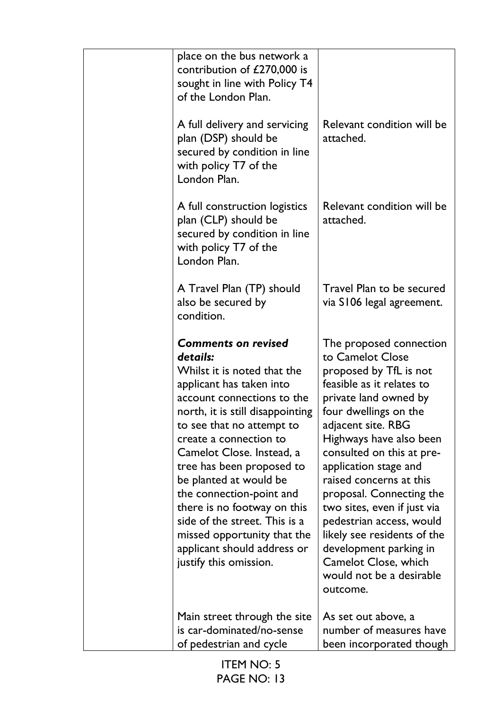| place on the bus network a<br>contribution of £270,000 is<br>sought in line with Policy T4<br>of the London Plan.<br>A full delivery and servicing<br>Relevant condition will be<br>plan (DSP) should be<br>attached.<br>secured by condition in line<br>with policy T7 of the<br>London Plan.<br>Relevant condition will be<br>A full construction logistics<br>plan (CLP) should be<br>attached.<br>secured by condition in line<br>with policy T7 of the<br>London Plan.<br>A Travel Plan (TP) should<br>Travel Plan to be secured<br>also be secured by<br>via S106 legal agreement.<br>condition.<br><b>Comments on revised</b><br>The proposed connection<br>details:<br>to Camelot Close<br>Whilst it is noted that the<br>proposed by TfL is not<br>feasible as it relates to<br>applicant has taken into<br>private land owned by<br>account connections to the<br>four dwellings on the<br>north, it is still disappointing<br>adjacent site. RBG<br>to see that no attempt to<br>create a connection to<br>Highways have also been<br>Camelot Close. Instead, a<br>consulted on this at pre-<br>tree has been proposed to<br>application stage and<br>be planted at would be<br>raised concerns at this<br>the connection-point and<br>proposal. Connecting the<br>there is no footway on this<br>two sites, even if just via<br>side of the street. This is a<br>pedestrian access, would<br>likely see residents of the<br>missed opportunity that the<br>applicant should address or<br>development parking in<br>justify this omission.<br>Camelot Close, which<br>would not be a desirable<br>outcome.<br>Main street through the site<br>As set out above, a<br>is car-dominated/no-sense<br>number of measures have<br>of pedestrian and cycle<br>been incorporated though |  |  |
|----------------------------------------------------------------------------------------------------------------------------------------------------------------------------------------------------------------------------------------------------------------------------------------------------------------------------------------------------------------------------------------------------------------------------------------------------------------------------------------------------------------------------------------------------------------------------------------------------------------------------------------------------------------------------------------------------------------------------------------------------------------------------------------------------------------------------------------------------------------------------------------------------------------------------------------------------------------------------------------------------------------------------------------------------------------------------------------------------------------------------------------------------------------------------------------------------------------------------------------------------------------------------------------------------------------------------------------------------------------------------------------------------------------------------------------------------------------------------------------------------------------------------------------------------------------------------------------------------------------------------------------------------------------------------------------------------------------------------------------------------------------------------------------------|--|--|
|                                                                                                                                                                                                                                                                                                                                                                                                                                                                                                                                                                                                                                                                                                                                                                                                                                                                                                                                                                                                                                                                                                                                                                                                                                                                                                                                                                                                                                                                                                                                                                                                                                                                                                                                                                                              |  |  |
|                                                                                                                                                                                                                                                                                                                                                                                                                                                                                                                                                                                                                                                                                                                                                                                                                                                                                                                                                                                                                                                                                                                                                                                                                                                                                                                                                                                                                                                                                                                                                                                                                                                                                                                                                                                              |  |  |
|                                                                                                                                                                                                                                                                                                                                                                                                                                                                                                                                                                                                                                                                                                                                                                                                                                                                                                                                                                                                                                                                                                                                                                                                                                                                                                                                                                                                                                                                                                                                                                                                                                                                                                                                                                                              |  |  |
|                                                                                                                                                                                                                                                                                                                                                                                                                                                                                                                                                                                                                                                                                                                                                                                                                                                                                                                                                                                                                                                                                                                                                                                                                                                                                                                                                                                                                                                                                                                                                                                                                                                                                                                                                                                              |  |  |
|                                                                                                                                                                                                                                                                                                                                                                                                                                                                                                                                                                                                                                                                                                                                                                                                                                                                                                                                                                                                                                                                                                                                                                                                                                                                                                                                                                                                                                                                                                                                                                                                                                                                                                                                                                                              |  |  |
| <b>FRA RIA</b>                                                                                                                                                                                                                                                                                                                                                                                                                                                                                                                                                                                                                                                                                                                                                                                                                                                                                                                                                                                                                                                                                                                                                                                                                                                                                                                                                                                                                                                                                                                                                                                                                                                                                                                                                                               |  |  |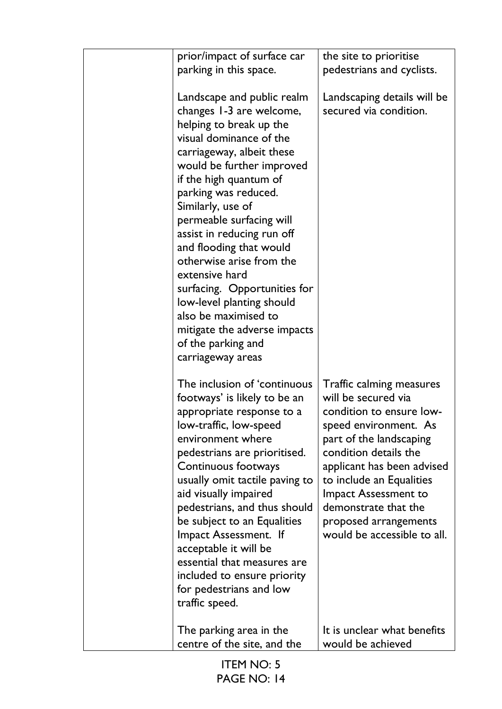| prior/impact of surface car<br>parking in this space.                                                                                                                                                                                                                                                                                                                                                                                                                                                                                            | the site to prioritise<br>pedestrians and cyclists.                                                                                                                                                                                                                                                                               |
|--------------------------------------------------------------------------------------------------------------------------------------------------------------------------------------------------------------------------------------------------------------------------------------------------------------------------------------------------------------------------------------------------------------------------------------------------------------------------------------------------------------------------------------------------|-----------------------------------------------------------------------------------------------------------------------------------------------------------------------------------------------------------------------------------------------------------------------------------------------------------------------------------|
| Landscape and public realm<br>changes 1-3 are welcome,<br>helping to break up the<br>visual dominance of the<br>carriageway, albeit these<br>would be further improved<br>if the high quantum of<br>parking was reduced.<br>Similarly, use of<br>permeable surfacing will<br>assist in reducing run off<br>and flooding that would<br>otherwise arise from the<br>extensive hard<br>surfacing. Opportunities for<br>low-level planting should<br>also be maximised to<br>mitigate the adverse impacts<br>of the parking and<br>carriageway areas | Landscaping details will be<br>secured via condition.                                                                                                                                                                                                                                                                             |
| The inclusion of 'continuous'<br>footways' is likely to be an<br>appropriate response to a<br>low-traffic, low-speed<br>environment where<br>pedestrians are prioritised.<br>Continuous footways<br>usually omit tactile paving to<br>aid visually impaired<br>pedestrians, and thus should<br>be subject to an Equalities<br>Impact Assessment. If<br>acceptable it will be<br>essential that measures are<br>included to ensure priority<br>for pedestrians and low<br>traffic speed.                                                          | Traffic calming measures<br>will be secured via<br>condition to ensure low-<br>speed environment. As<br>part of the landscaping<br>condition details the<br>applicant has been advised<br>to include an Equalities<br><b>Impact Assessment to</b><br>demonstrate that the<br>proposed arrangements<br>would be accessible to all. |
| The parking area in the<br>centre of the site, and the                                                                                                                                                                                                                                                                                                                                                                                                                                                                                           | It is unclear what benefits<br>would be achieved                                                                                                                                                                                                                                                                                  |
| <b>ITEM NO: 5</b>                                                                                                                                                                                                                                                                                                                                                                                                                                                                                                                                |                                                                                                                                                                                                                                                                                                                                   |

PAGE NO: 14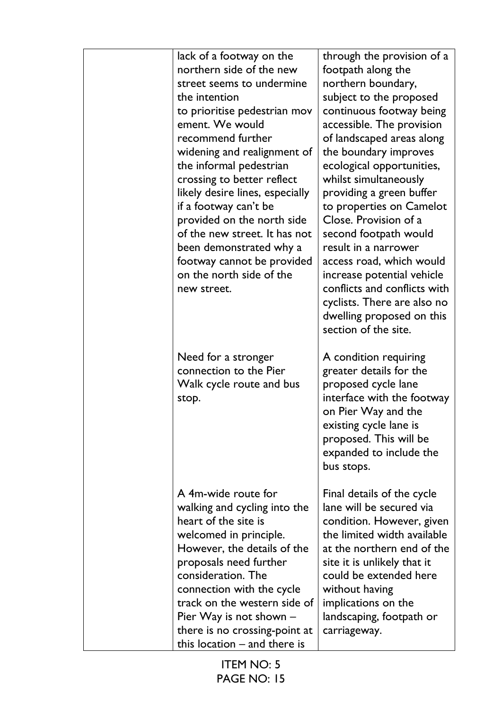lack of a footway on the northern side of the new street seems to undermine the intention to prioritise pedestrian mov ement. We would recommend further widening and realignment of the informal pedestrian crossing to better reflect likely desire lines, especially if a footway can't be provided on the north side of the new street. It has not been demonstrated why a footway cannot be provided on the north side of the new street. Need for a stronger connection to the Pier Walk cycle route and bus stop.

A 4m-wide route for walking and cycling into the heart of the site is welcomed in principle. However, the details of the proposals need further consideration. The connection with the cycle track on the western side of Pier Way is not shown – there is no crossing-point at this location – and there is

through the provision of a footpath along the northern boundary, subject to the proposed continuous footway being accessible. The provision of landscaped areas along the boundary improves ecological opportunities, whilst simultaneously providing a green buffer to properties on Camelot Close. Provision of a second footpath would result in a narrower access road, which would increase potential vehicle conflicts and conflicts with cyclists. There are also no dwelling proposed on this section of the site.

A condition requiring greater details for the proposed cycle lane interface with the footway on Pier Way and the existing cycle lane is proposed. This will be expanded to include the bus stops.

Final details of the cycle lane will be secured via condition. However, given the limited width available at the northern end of the site it is unlikely that it could be extended here without having implications on the landscaping, footpath or carriageway.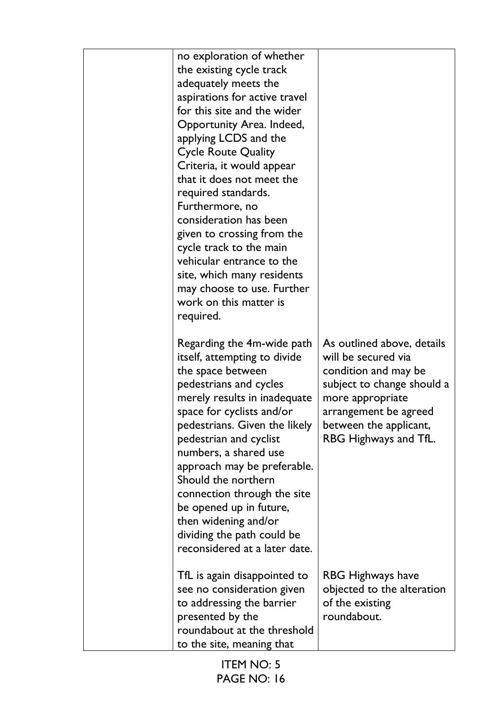| no exploration of whether<br>the existing cycle track<br>adequately meets the<br>aspirations for active travel<br>for this site and the wider<br>Opportunity Area. Indeed,<br>applying LCDS and the<br><b>Cycle Route Quality</b><br>Criteria, it would appear<br>that it does not meet the<br>required standards.<br>Furthermore, no<br>consideration has been<br>given to crossing from the<br>cycle track to the main<br>vehicular entrance to the<br>site, which many residents<br>may choose to use. Further<br>work on this matter is<br>required. |                                                                                                                                                                                                         |
|----------------------------------------------------------------------------------------------------------------------------------------------------------------------------------------------------------------------------------------------------------------------------------------------------------------------------------------------------------------------------------------------------------------------------------------------------------------------------------------------------------------------------------------------------------|---------------------------------------------------------------------------------------------------------------------------------------------------------------------------------------------------------|
| Regarding the 4m-wide path<br>itself, attempting to divide<br>the space between<br>pedestrians and cycles<br>merely results in inadequate<br>space for cyclists and/or<br>pedestrians. Given the likely<br>pedestrian and cyclist<br>numbers, a shared use<br>approach may be preferable.<br>Should the northern<br>connection through the site<br>be opened up in future,<br>then widening and/or<br>dividing the path could be<br>reconsidered at a later date.                                                                                        | As outlined above, details<br>will be secured via<br>condition and may be<br>subject to change should a<br>more appropriate<br>arrangement be agreed<br>between the applicant,<br>RBG Highways and TfL. |
| TfL is again disappointed to<br>see no consideration given<br>to addressing the barrier<br>presented by the<br>roundabout at the threshold<br>to the site, meaning that                                                                                                                                                                                                                                                                                                                                                                                  | RBG Highways have<br>objected to the alteration<br>of the existing<br>roundabout.                                                                                                                       |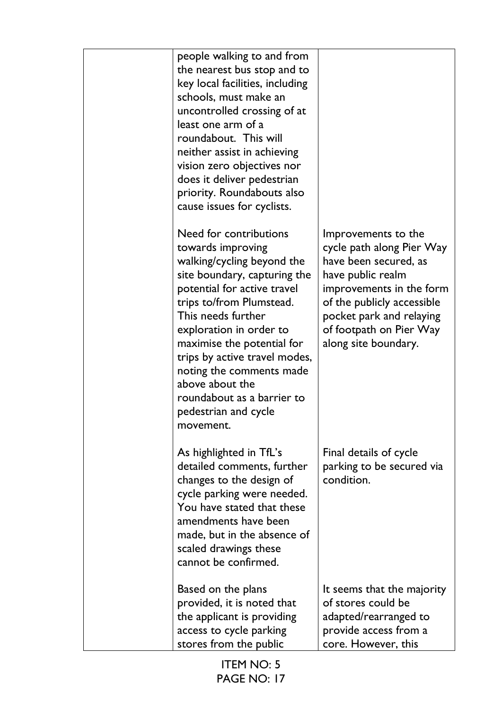| people walking to and from<br>the nearest bus stop and to<br>key local facilities, including<br>schools, must make an<br>uncontrolled crossing of at<br>least one arm of a<br>roundabout. This will<br>neither assist in achieving<br>vision zero objectives nor<br>does it deliver pedestrian<br>priority. Roundabouts also<br>cause issues for cyclists.                                             |                                                                                                                                                                                                                                         |
|--------------------------------------------------------------------------------------------------------------------------------------------------------------------------------------------------------------------------------------------------------------------------------------------------------------------------------------------------------------------------------------------------------|-----------------------------------------------------------------------------------------------------------------------------------------------------------------------------------------------------------------------------------------|
| Need for contributions<br>towards improving<br>walking/cycling beyond the<br>site boundary, capturing the<br>potential for active travel<br>trips to/from Plumstead.<br>This needs further<br>exploration in order to<br>maximise the potential for<br>trips by active travel modes,<br>noting the comments made<br>above about the<br>roundabout as a barrier to<br>pedestrian and cycle<br>movement. | Improvements to the<br>cycle path along Pier Way<br>have been secured, as<br>have public realm<br>improvements in the form<br>of the publicly accessible<br>pocket park and relaying<br>of footpath on Pier Way<br>along site boundary. |
| As highlighted in TfL's<br>detailed comments, further<br>changes to the design of<br>cycle parking were needed.<br>You have stated that these<br>amendments have been<br>made, but in the absence of<br>scaled drawings these<br>cannot be confirmed.                                                                                                                                                  | Final details of cycle<br>parking to be secured via<br>condition.                                                                                                                                                                       |
| Based on the plans<br>provided, it is noted that<br>the applicant is providing<br>access to cycle parking<br>stores from the public                                                                                                                                                                                                                                                                    | It seems that the majority<br>of stores could be<br>adapted/rearranged to<br>provide access from a<br>core. However, this                                                                                                               |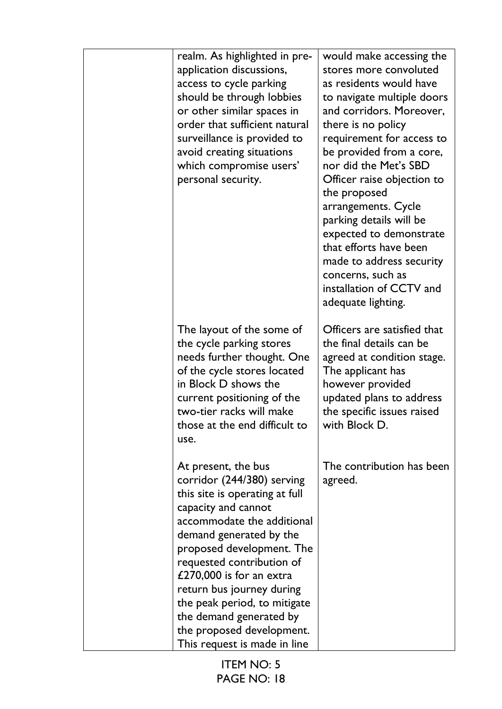| realm. As highlighted in pre-<br>application discussions,<br>access to cycle parking<br>should be through lobbies<br>or other similar spaces in<br>order that sufficient natural<br>surveillance is provided to<br>avoid creating situations<br>which compromise users'<br>personal security.                                                                                                                  | would make accessing the<br>stores more convoluted<br>as residents would have<br>to navigate multiple doors<br>and corridors. Moreover,<br>there is no policy<br>requirement for access to<br>be provided from a core,<br>nor did the Met's SBD<br>Officer raise objection to<br>the proposed<br>arrangements. Cycle<br>parking details will be<br>expected to demonstrate<br>that efforts have been<br>made to address security<br>concerns, such as<br>installation of CCTV and<br>adequate lighting. |
|----------------------------------------------------------------------------------------------------------------------------------------------------------------------------------------------------------------------------------------------------------------------------------------------------------------------------------------------------------------------------------------------------------------|---------------------------------------------------------------------------------------------------------------------------------------------------------------------------------------------------------------------------------------------------------------------------------------------------------------------------------------------------------------------------------------------------------------------------------------------------------------------------------------------------------|
| The layout of the some of<br>the cycle parking stores<br>needs further thought. One<br>of the cycle stores located<br>in Block D shows the<br>current positioning of the<br>two-tier racks will make<br>those at the end difficult to<br>use.                                                                                                                                                                  | Officers are satisfied that<br>the final details can be<br>agreed at condition stage.<br>The applicant has<br>however provided<br>updated plans to address<br>the specific issues raised<br>with Block D.                                                                                                                                                                                                                                                                                               |
| At present, the bus<br>corridor (244/380) serving<br>this site is operating at full<br>capacity and cannot<br>accommodate the additional<br>demand generated by the<br>proposed development. The<br>requested contribution of<br>£270,000 is for an extra<br>return bus journey during<br>the peak period, to mitigate<br>the demand generated by<br>the proposed development.<br>This request is made in line | The contribution has been<br>agreed.                                                                                                                                                                                                                                                                                                                                                                                                                                                                    |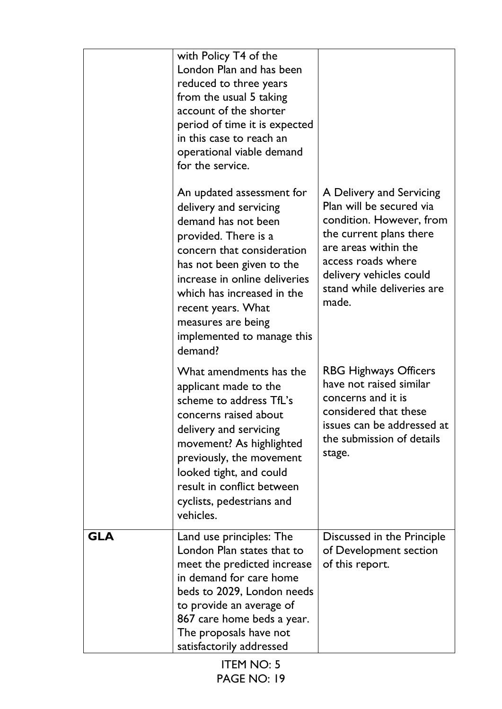|            | with Policy T4 of the<br>London Plan and has been<br>reduced to three years<br>from the usual 5 taking<br>account of the shorter<br>period of time it is expected<br>in this case to reach an<br>operational viable demand<br>for the service.                                                                    |                                                                                                                                                                                                                             |
|------------|-------------------------------------------------------------------------------------------------------------------------------------------------------------------------------------------------------------------------------------------------------------------------------------------------------------------|-----------------------------------------------------------------------------------------------------------------------------------------------------------------------------------------------------------------------------|
|            | An updated assessment for<br>delivery and servicing<br>demand has not been<br>provided. There is a<br>concern that consideration<br>has not been given to the<br>increase in online deliveries<br>which has increased in the<br>recent years. What<br>measures are being<br>implemented to manage this<br>demand? | A Delivery and Servicing<br>Plan will be secured via<br>condition. However, from<br>the current plans there<br>are areas within the<br>access roads where<br>delivery vehicles could<br>stand while deliveries are<br>made. |
|            | What amendments has the<br>applicant made to the<br>scheme to address TfL's<br>concerns raised about<br>delivery and servicing<br>movement? As highlighted<br>previously, the movement<br>looked tight, and could<br>result in conflict between<br>cyclists, pedestrians and<br>vehicles.                         | <b>RBG Highways Officers</b><br>have not raised similar<br>concerns and it is<br>considered that these<br>issues can be addressed at<br>the submission of details<br>stage.                                                 |
| <b>GLA</b> | Land use principles: The<br>London Plan states that to<br>meet the predicted increase<br>in demand for care home<br>beds to 2029, London needs<br>to provide an average of<br>867 care home beds a year.<br>The proposals have not<br>satisfactorily addressed                                                    | Discussed in the Principle<br>of Development section<br>of this report.                                                                                                                                                     |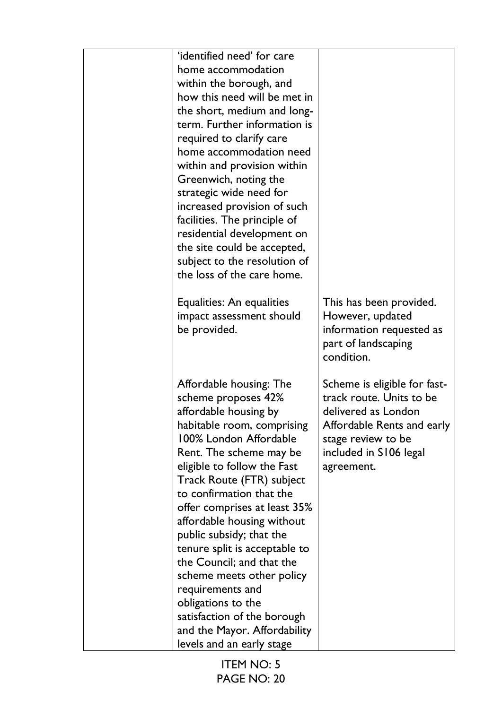| 'identified need' for care<br>home accommodation<br>within the borough, and<br>how this need will be met in<br>the short, medium and long-<br>term. Further information is<br>required to clarify care<br>home accommodation need<br>within and provision within<br>Greenwich, noting the<br>strategic wide need for<br>increased provision of such<br>facilities. The principle of<br>residential development on<br>the site could be accepted,<br>subject to the resolution of<br>the loss of the care home.<br>Equalities: An equalities<br>impact assessment should       | This has been provided.<br>However, updated                                                                                                                                 |
|-------------------------------------------------------------------------------------------------------------------------------------------------------------------------------------------------------------------------------------------------------------------------------------------------------------------------------------------------------------------------------------------------------------------------------------------------------------------------------------------------------------------------------------------------------------------------------|-----------------------------------------------------------------------------------------------------------------------------------------------------------------------------|
| be provided.                                                                                                                                                                                                                                                                                                                                                                                                                                                                                                                                                                  | information requested as<br>part of landscaping<br>condition.                                                                                                               |
| Affordable housing: The<br>scheme proposes 42%<br>affordable housing by<br>habitable room, comprising<br>100% London Affordable<br>Rent. The scheme may be<br>eligible to follow the Fast<br>Track Route (FTR) subject<br>to confirmation that the<br>offer comprises at least 35%<br>affordable housing without<br>public subsidy; that the<br>tenure split is acceptable to<br>the Council; and that the<br>scheme meets other policy<br>requirements and<br>obligations to the<br>satisfaction of the borough<br>and the Mayor. Affordability<br>levels and an early stage | Scheme is eligible for fast-<br>track route. Units to be<br>delivered as London<br>Affordable Rents and early<br>stage review to be<br>included in S106 legal<br>agreement. |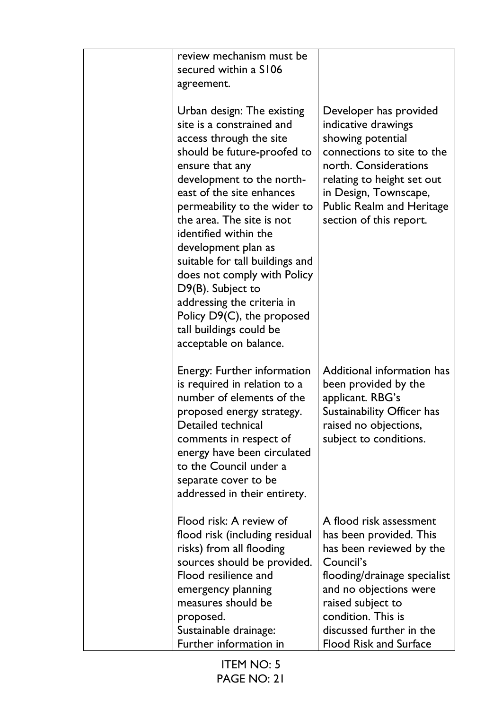| review mechanism must be<br>secured within a S106<br>agreement.                                                                                                                                                                                                                                                                                                                                                                                                                                                     |                                                                                                                                                                                                                                                               |
|---------------------------------------------------------------------------------------------------------------------------------------------------------------------------------------------------------------------------------------------------------------------------------------------------------------------------------------------------------------------------------------------------------------------------------------------------------------------------------------------------------------------|---------------------------------------------------------------------------------------------------------------------------------------------------------------------------------------------------------------------------------------------------------------|
| Urban design: The existing<br>site is a constrained and<br>access through the site<br>should be future-proofed to<br>ensure that any<br>development to the north-<br>east of the site enhances<br>permeability to the wider to<br>the area. The site is not<br>identified within the<br>development plan as<br>suitable for tall buildings and<br>does not comply with Policy<br>D9(B). Subject to<br>addressing the criteria in<br>Policy D9(C), the proposed<br>tall buildings could be<br>acceptable on balance. | Developer has provided<br>indicative drawings<br>showing potential<br>connections to site to the<br>north. Considerations<br>relating to height set out<br>in Design, Townscape,<br><b>Public Realm and Heritage</b><br>section of this report.               |
| Energy: Further information<br>is required in relation to a<br>number of elements of the<br>proposed energy strategy.<br>Detailed technical<br>comments in respect of<br>energy have been circulated<br>to the Council under a<br>separate cover to be<br>addressed in their entirety.                                                                                                                                                                                                                              | Additional information has<br>been provided by the<br>applicant. RBG's<br>Sustainability Officer has<br>raised no objections,<br>subject to conditions.                                                                                                       |
| Flood risk: A review of<br>flood risk (including residual<br>risks) from all flooding<br>sources should be provided.<br>Flood resilience and<br>emergency planning<br>measures should be<br>proposed.<br>Sustainable drainage:<br>Further information in                                                                                                                                                                                                                                                            | A flood risk assessment<br>has been provided. This<br>has been reviewed by the<br>Council's<br>flooding/drainage specialist<br>and no objections were<br>raised subject to<br>condition. This is<br>discussed further in the<br><b>Flood Risk and Surface</b> |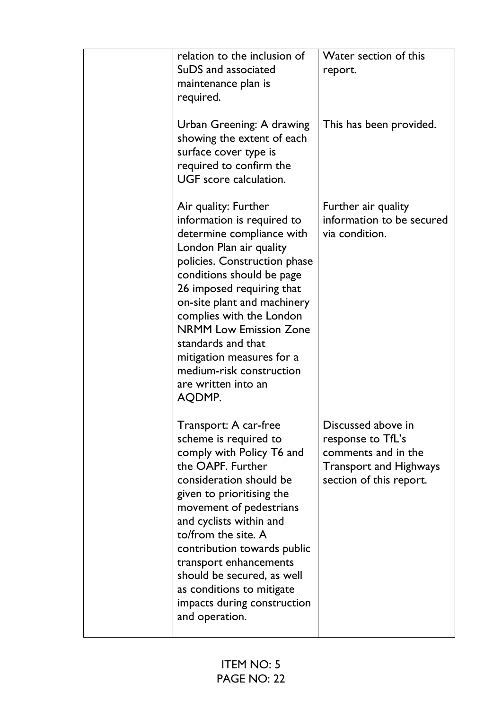| relation to the inclusion of<br>SuDS and associated<br>maintenance plan is<br>required.                                                                                                                                                                                                                                                                                                                          | Water section of this<br>report.                                                                                           |
|------------------------------------------------------------------------------------------------------------------------------------------------------------------------------------------------------------------------------------------------------------------------------------------------------------------------------------------------------------------------------------------------------------------|----------------------------------------------------------------------------------------------------------------------------|
| Urban Greening: A drawing<br>showing the extent of each<br>surface cover type is<br>required to confirm the<br>UGF score calculation.                                                                                                                                                                                                                                                                            | This has been provided.                                                                                                    |
| Air quality: Further<br>information is required to<br>determine compliance with<br>London Plan air quality<br>policies. Construction phase<br>conditions should be page<br>26 imposed requiring that<br>on-site plant and machinery<br>complies with the London<br><b>NRMM Low Emission Zone</b><br>standards and that<br>mitigation measures for a<br>medium-risk construction<br>are written into an<br>AQDMP. | Further air quality<br>information to be secured<br>via condition.                                                         |
| Transport: A car-free<br>scheme is required to<br>comply with Policy T6 and<br>the OAPF. Further<br>consideration should be<br>given to prioritising the<br>movement of pedestrians<br>and cyclists within and<br>to/from the site. A<br>contribution towards public<br>transport enhancements<br>should be secured, as well<br>as conditions to mitigate<br>impacts during construction<br>and operation.       | Discussed above in<br>response to TfL's<br>comments and in the<br><b>Transport and Highways</b><br>section of this report. |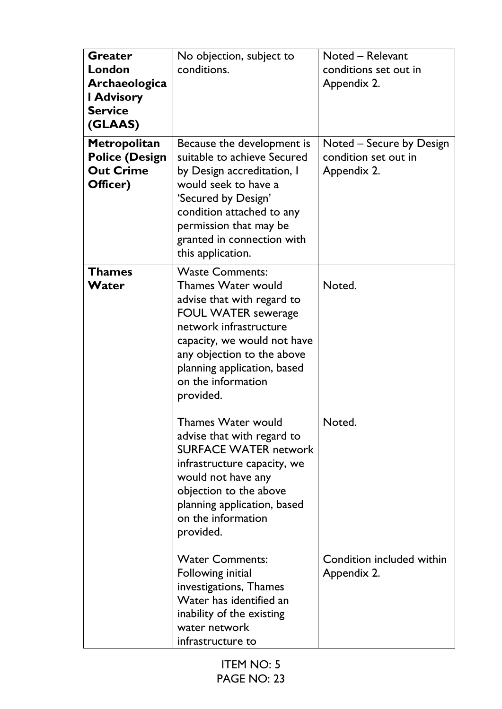| Greater<br>London<br>Archaeologica<br><b>I Advisory</b><br><b>Service</b><br>(GLAAS)<br>Metropolitan<br><b>Police (Design</b><br><b>Out Crime</b><br>Officer) | No objection, subject to<br>conditions.<br>Because the development is<br>suitable to achieve Secured<br>by Design accreditation, I<br>would seek to have a<br>'Secured by Design'<br>condition attached to any<br>permission that may be<br>granted in connection with<br>this application. | Noted - Relevant<br>conditions set out in<br>Appendix 2.<br>Noted – Secure by Design<br>condition set out in<br>Appendix 2. |
|---------------------------------------------------------------------------------------------------------------------------------------------------------------|---------------------------------------------------------------------------------------------------------------------------------------------------------------------------------------------------------------------------------------------------------------------------------------------|-----------------------------------------------------------------------------------------------------------------------------|
| <b>Thames</b><br>Water                                                                                                                                        | <b>Waste Comments:</b><br><b>Thames Water would</b><br>advise that with regard to<br><b>FOUL WATER sewerage</b><br>network infrastructure<br>capacity, we would not have<br>any objection to the above<br>planning application, based<br>on the information<br>provided.                    | Noted.                                                                                                                      |
|                                                                                                                                                               | <b>Thames Water would</b><br>advise that with regard to<br><b>SURFACE WATER network</b><br>infrastructure capacity, we<br>would not have any<br>objection to the above<br>planning application, based<br>on the information<br>provided.                                                    | Noted.                                                                                                                      |
|                                                                                                                                                               | <b>Water Comments:</b><br>Following initial<br>investigations, Thames<br>Water has identified an<br>inability of the existing<br>water network<br>infrastructure to                                                                                                                         | Condition included within<br>Appendix 2.                                                                                    |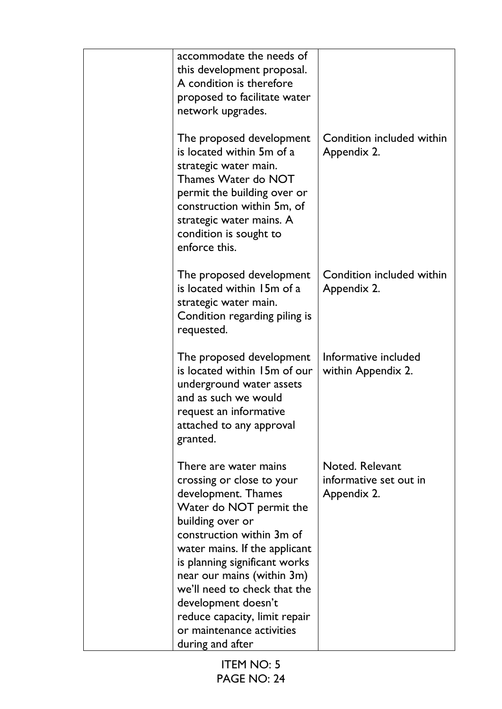| accommodate the needs of<br>this development proposal.<br>A condition is therefore<br>proposed to facilitate water<br>network upgrades.                                                                                                                                                                                                                                                        |                                                          |
|------------------------------------------------------------------------------------------------------------------------------------------------------------------------------------------------------------------------------------------------------------------------------------------------------------------------------------------------------------------------------------------------|----------------------------------------------------------|
| The proposed development<br>is located within 5m of a<br>strategic water main.<br>Thames Water do NOT<br>permit the building over or<br>construction within 5m, of<br>strategic water mains. A<br>condition is sought to<br>enforce this.                                                                                                                                                      | Condition included within<br>Appendix 2.                 |
| The proposed development<br>is located within 15m of a<br>strategic water main.<br>Condition regarding piling is<br>requested.                                                                                                                                                                                                                                                                 | Condition included within<br>Appendix 2.                 |
| The proposed development<br>is located within 15m of our<br>underground water assets<br>and as such we would<br>request an informative<br>attached to any approval<br>granted.                                                                                                                                                                                                                 | Informative included<br>within Appendix 2.               |
| There are water mains<br>crossing or close to your<br>development. Thames<br>Water do NOT permit the<br>building over or<br>construction within 3m of<br>water mains. If the applicant<br>is planning significant works<br>near our mains (within 3m)<br>we'll need to check that the<br>development doesn't<br>reduce capacity, limit repair<br>or maintenance activities<br>during and after | Noted. Relevant<br>informative set out in<br>Appendix 2. |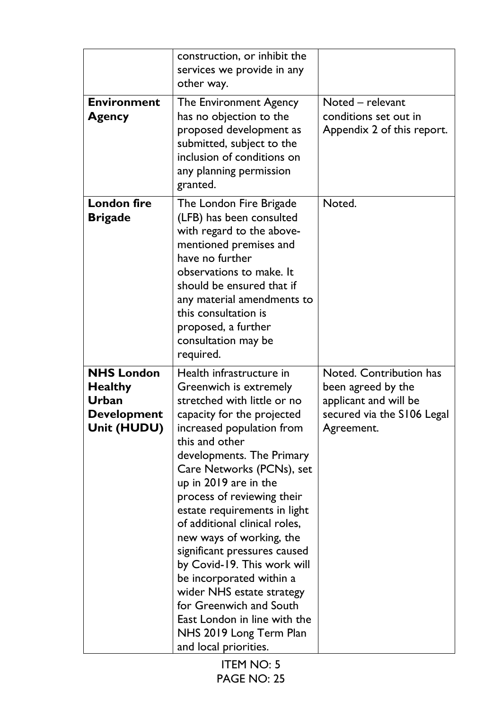|                                                                                   | construction, or inhibit the<br>services we provide in any<br>other way.                                                                                                                                                                                                                                                                                                                                                                                                                                                                                                                                            |                                                                                                                    |
|-----------------------------------------------------------------------------------|---------------------------------------------------------------------------------------------------------------------------------------------------------------------------------------------------------------------------------------------------------------------------------------------------------------------------------------------------------------------------------------------------------------------------------------------------------------------------------------------------------------------------------------------------------------------------------------------------------------------|--------------------------------------------------------------------------------------------------------------------|
| <b>Environment</b><br><b>Agency</b>                                               | The Environment Agency<br>has no objection to the<br>proposed development as<br>submitted, subject to the<br>inclusion of conditions on<br>any planning permission<br>granted.                                                                                                                                                                                                                                                                                                                                                                                                                                      | Noted - relevant<br>conditions set out in<br>Appendix 2 of this report.                                            |
| <b>London fire</b><br><b>Brigade</b>                                              | The London Fire Brigade<br>(LFB) has been consulted<br>with regard to the above-<br>mentioned premises and<br>have no further<br>observations to make. It<br>should be ensured that if<br>any material amendments to<br>this consultation is<br>proposed, a further<br>consultation may be<br>required.                                                                                                                                                                                                                                                                                                             | Noted.                                                                                                             |
| <b>NHS London</b><br><b>Healthy</b><br>Urban<br><b>Development</b><br>Unit (HUDU) | Health infrastructure in<br>Greenwich is extremely<br>stretched with little or no<br>capacity for the projected<br>increased population from<br>this and other<br>developments. The Primary<br>Care Networks (PCNs), set<br>up in 2019 are in the<br>process of reviewing their<br>estate requirements in light<br>of additional clinical roles.<br>new ways of working, the<br>significant pressures caused<br>by Covid-19. This work will<br>be incorporated within a<br>wider NHS estate strategy<br>for Greenwich and South<br>East London in line with the<br>NHS 2019 Long Term Plan<br>and local priorities. | Noted. Contribution has<br>been agreed by the<br>applicant and will be<br>secured via the S106 Legal<br>Agreement. |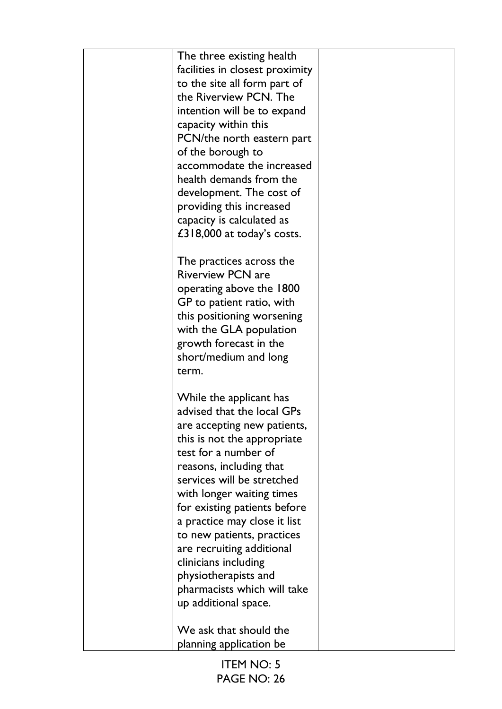| The three existing health       |  |
|---------------------------------|--|
| facilities in closest proximity |  |
| to the site all form part of    |  |
| the Riverview PCN. The          |  |
| intention will be to expand     |  |
| capacity within this            |  |
| PCN/the north eastern part      |  |
| of the borough to               |  |
| accommodate the increased       |  |
| health demands from the         |  |
| development. The cost of        |  |
| providing this increased        |  |
| capacity is calculated as       |  |
| £318,000 at today's costs.      |  |
|                                 |  |
| The practices across the        |  |
| <b>Riverview PCN are</b>        |  |
| operating above the 1800        |  |
| GP to patient ratio, with       |  |
| this positioning worsening      |  |
| with the GLA population         |  |
| growth forecast in the          |  |
| short/medium and long           |  |
| term.                           |  |
|                                 |  |
| While the applicant has         |  |
| advised that the local GPs      |  |
| are accepting new patients,     |  |
| this is not the appropriate     |  |
| test for a number of            |  |
| reasons, including that         |  |
| services will be stretched      |  |
| with longer waiting times       |  |
| for existing patients before    |  |
| a practice may close it list    |  |
| to new patients, practices      |  |
| are recruiting additional       |  |
| clinicians including            |  |
| physiotherapists and            |  |
| pharmacists which will take     |  |
| up additional space.            |  |
|                                 |  |
| We ask that should the          |  |
| planning application be         |  |
|                                 |  |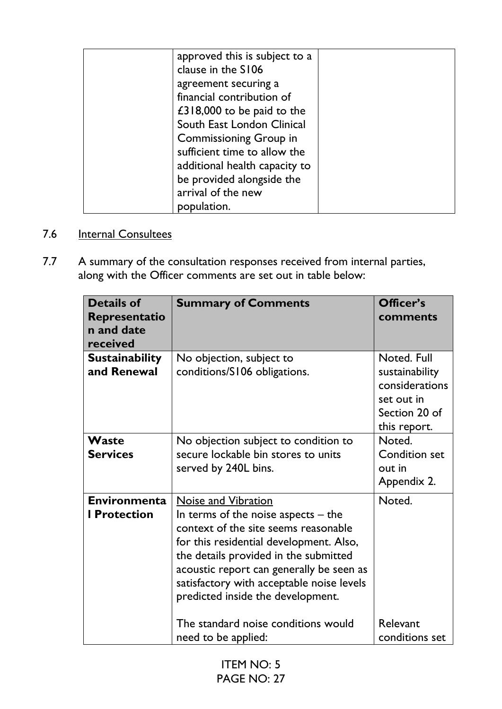| approved this is subject to a<br>clause in the S106 |  |
|-----------------------------------------------------|--|
| agreement securing a                                |  |
| financial contribution of                           |  |
| £318,000 to be paid to the                          |  |
| South East London Clinical                          |  |
| <b>Commissioning Group in</b>                       |  |
| sufficient time to allow the                        |  |
| additional health capacity to                       |  |
| be provided alongside the                           |  |
| arrival of the new                                  |  |
| population.                                         |  |

- 7.6 Internal Consultees
- 7.7 A summary of the consultation responses received from internal parties, along with the Officer comments are set out in table below:

| <b>Details of</b><br>Representatio<br>n and date<br>received | <b>Summary of Comments</b>                                                                                                                                                                                                                                                                                                                                                           | Officer's<br>comments                                                                          |
|--------------------------------------------------------------|--------------------------------------------------------------------------------------------------------------------------------------------------------------------------------------------------------------------------------------------------------------------------------------------------------------------------------------------------------------------------------------|------------------------------------------------------------------------------------------------|
| <b>Sustainability</b><br>and Renewal                         | No objection, subject to<br>conditions/S106 obligations.                                                                                                                                                                                                                                                                                                                             | Noted. Full<br>sustainability<br>considerations<br>set out in<br>Section 20 of<br>this report. |
| Waste<br><b>Services</b>                                     | No objection subject to condition to<br>secure lockable bin stores to units<br>served by 240L bins.                                                                                                                                                                                                                                                                                  | Noted.<br><b>Condition set</b><br>out in<br>Appendix 2.                                        |
| Environmenta<br><b>I</b> Protection                          | Noise and Vibration<br>In terms of the noise aspects $-$ the<br>context of the site seems reasonable<br>for this residential development. Also,<br>the details provided in the submitted<br>acoustic report can generally be seen as<br>satisfactory with acceptable noise levels<br>predicted inside the development.<br>The standard noise conditions would<br>need to be applied: | Noted.<br>Relevant<br>conditions set                                                           |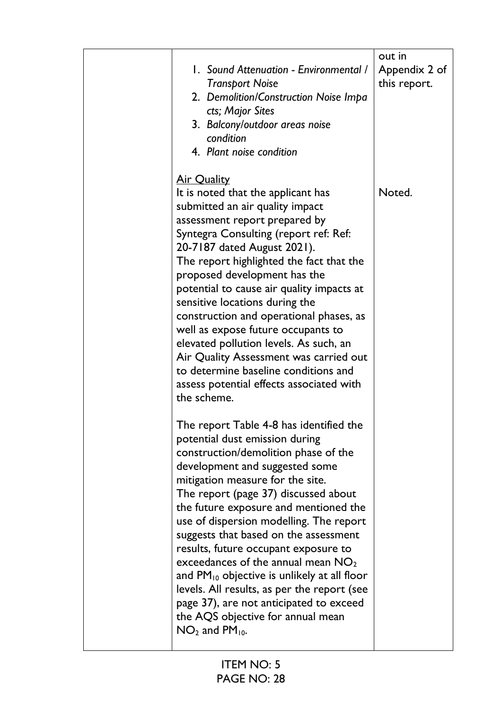| 1. Sound Attenuation - Environmental /<br><b>Transport Noise</b><br>2. Demolition/Construction Noise Impa<br>cts; Major Sites<br>3. Balcony/outdoor areas noise<br>condition<br>4. Plant noise condition                                                                                                                                                                                                                                                                                                                                                                                                                                                                                                                                                                                                                                                                                                                                                                                                                                                                                                                                                                                                                                                                                                   | out in<br>Appendix 2 of<br>this report. |
|------------------------------------------------------------------------------------------------------------------------------------------------------------------------------------------------------------------------------------------------------------------------------------------------------------------------------------------------------------------------------------------------------------------------------------------------------------------------------------------------------------------------------------------------------------------------------------------------------------------------------------------------------------------------------------------------------------------------------------------------------------------------------------------------------------------------------------------------------------------------------------------------------------------------------------------------------------------------------------------------------------------------------------------------------------------------------------------------------------------------------------------------------------------------------------------------------------------------------------------------------------------------------------------------------------|-----------------------------------------|
| <b>Air Quality</b><br>It is noted that the applicant has<br>submitted an air quality impact<br>assessment report prepared by<br>Syntegra Consulting (report ref: Ref:<br>20-7187 dated August 2021).<br>The report highlighted the fact that the<br>proposed development has the<br>potential to cause air quality impacts at<br>sensitive locations during the<br>construction and operational phases, as<br>well as expose future occupants to<br>elevated pollution levels. As such, an<br>Air Quality Assessment was carried out<br>to determine baseline conditions and<br>assess potential effects associated with<br>the scheme.<br>The report Table 4-8 has identified the<br>potential dust emission during<br>construction/demolition phase of the<br>development and suggested some<br>mitigation measure for the site.<br>The report (page 37) discussed about<br>the future exposure and mentioned the<br>use of dispersion modelling. The report<br>suggests that based on the assessment<br>results, future occupant exposure to<br>exceedances of the annual mean $NO2$<br>and $PM_{10}$ objective is unlikely at all floor<br>levels. All results, as per the report (see<br>page 37), are not anticipated to exceed<br>the AQS objective for annual mean<br>$NO2$ and PM <sub>10</sub> . | Noted.                                  |
|                                                                                                                                                                                                                                                                                                                                                                                                                                                                                                                                                                                                                                                                                                                                                                                                                                                                                                                                                                                                                                                                                                                                                                                                                                                                                                            |                                         |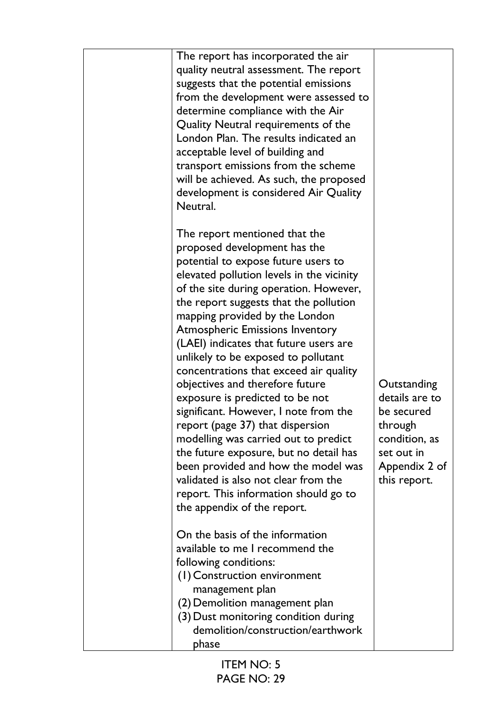| The report has incorporated the air                                      |                |
|--------------------------------------------------------------------------|----------------|
| quality neutral assessment. The report                                   |                |
| suggests that the potential emissions                                    |                |
| from the development were assessed to                                    |                |
| determine compliance with the Air                                        |                |
| Quality Neutral requirements of the                                      |                |
| London Plan. The results indicated an                                    |                |
| acceptable level of building and<br>transport emissions from the scheme  |                |
| will be achieved. As such, the proposed                                  |                |
| development is considered Air Quality                                    |                |
| Neutral.                                                                 |                |
|                                                                          |                |
| The report mentioned that the                                            |                |
| proposed development has the                                             |                |
| potential to expose future users to                                      |                |
| elevated pollution levels in the vicinity                                |                |
| of the site during operation. However,                                   |                |
| the report suggests that the pollution                                   |                |
| mapping provided by the London<br><b>Atmospheric Emissions Inventory</b> |                |
| (LAEI) indicates that future users are                                   |                |
| unlikely to be exposed to pollutant                                      |                |
| concentrations that exceed air quality                                   |                |
| objectives and therefore future                                          | Outstanding    |
| exposure is predicted to be not                                          | details are to |
| significant. However, I note from the                                    | be secured     |
| report (page 37) that dispersion                                         | through        |
| modelling was carried out to predict                                     | condition, as  |
| the future exposure, but no detail has                                   | set out in     |
| been provided and how the model was                                      | Appendix 2 of  |
| validated is also not clear from the                                     | this report.   |
| report. This information should go to                                    |                |
| the appendix of the report.                                              |                |
| On the basis of the information                                          |                |
| available to me I recommend the                                          |                |
| following conditions:                                                    |                |
| (1) Construction environment                                             |                |
| management plan                                                          |                |
| (2) Demolition management plan                                           |                |
| (3) Dust monitoring condition during                                     |                |
| demolition/construction/earthwork                                        |                |
| phase                                                                    |                |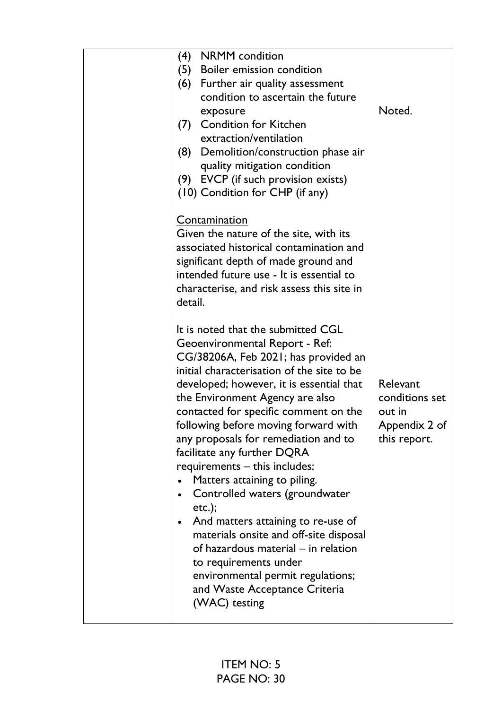| (4)<br><b>NRMM</b> condition<br>(5) Boiler emission condition<br>(6) Further air quality assessment<br>condition to ascertain the future<br>exposure<br><b>Condition for Kitchen</b><br>(7)<br>extraction/ventilation<br>(8)<br>Demolition/construction phase air<br>quality mitigation condition<br>(9) EVCP (if such provision exists)<br>(10) Condition for CHP (if any)                                                                                                                                                                                                                                                                                                                                                                                                                                                                                                                                                                                                                                              | Noted.                                                                |
|--------------------------------------------------------------------------------------------------------------------------------------------------------------------------------------------------------------------------------------------------------------------------------------------------------------------------------------------------------------------------------------------------------------------------------------------------------------------------------------------------------------------------------------------------------------------------------------------------------------------------------------------------------------------------------------------------------------------------------------------------------------------------------------------------------------------------------------------------------------------------------------------------------------------------------------------------------------------------------------------------------------------------|-----------------------------------------------------------------------|
| Contamination<br>Given the nature of the site, with its<br>associated historical contamination and<br>significant depth of made ground and<br>intended future use - It is essential to<br>characterise, and risk assess this site in<br>detail.<br>It is noted that the submitted CGL<br>Geoenvironmental Report - Ref:<br>CG/38206A, Feb 2021; has provided an<br>initial characterisation of the site to be<br>developed; however, it is essential that<br>the Environment Agency are also<br>contacted for specific comment on the<br>following before moving forward with<br>any proposals for remediation and to<br>facilitate any further DQRA<br>requirements - this includes:<br>Matters attaining to piling.<br>Controlled waters (groundwater<br>$etc.$ );<br>And matters attaining to re-use of<br>$\bullet$<br>materials onsite and off-site disposal<br>of hazardous material – in relation<br>to requirements under<br>environmental permit regulations;<br>and Waste Acceptance Criteria<br>(WAC) testing | Relevant<br>conditions set<br>out in<br>Appendix 2 of<br>this report. |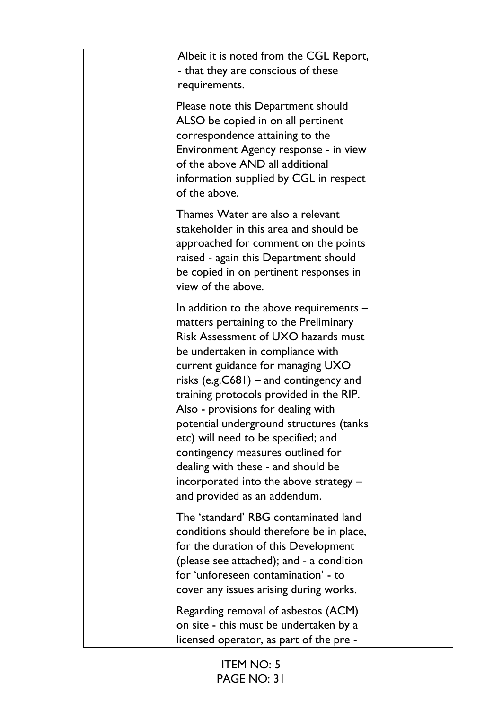| Albeit it is noted from the CGL Report,<br>- that they are conscious of these<br>requirements.                                                                                                                                                                                                                                                                                                                                                                                                                                                                             |  |
|----------------------------------------------------------------------------------------------------------------------------------------------------------------------------------------------------------------------------------------------------------------------------------------------------------------------------------------------------------------------------------------------------------------------------------------------------------------------------------------------------------------------------------------------------------------------------|--|
| Please note this Department should<br>ALSO be copied in on all pertinent<br>correspondence attaining to the<br>Environment Agency response - in view<br>of the above AND all additional<br>information supplied by CGL in respect<br>of the above.                                                                                                                                                                                                                                                                                                                         |  |
| Thames Water are also a relevant<br>stakeholder in this area and should be<br>approached for comment on the points<br>raised - again this Department should<br>be copied in on pertinent responses in<br>view of the above.                                                                                                                                                                                                                                                                                                                                                |  |
| In addition to the above requirements $-$<br>matters pertaining to the Preliminary<br>Risk Assessment of UXO hazards must<br>be undertaken in compliance with<br>current guidance for managing UXO<br>risks (e.g. $C681$ ) – and contingency and<br>training protocols provided in the RIP.<br>Also - provisions for dealing with<br>potential underground structures (tanks<br>etc) will need to be specified; and<br>contingency measures outlined for<br>dealing with these - and should be<br>incorporated into the above strategy $-$<br>and provided as an addendum. |  |
| The 'standard' RBG contaminated land<br>conditions should therefore be in place,<br>for the duration of this Development<br>(please see attached); and - a condition<br>for 'unforeseen contamination' - to<br>cover any issues arising during works.                                                                                                                                                                                                                                                                                                                      |  |
| Regarding removal of asbestos (ACM)<br>on site - this must be undertaken by a<br>licensed operator, as part of the pre -                                                                                                                                                                                                                                                                                                                                                                                                                                                   |  |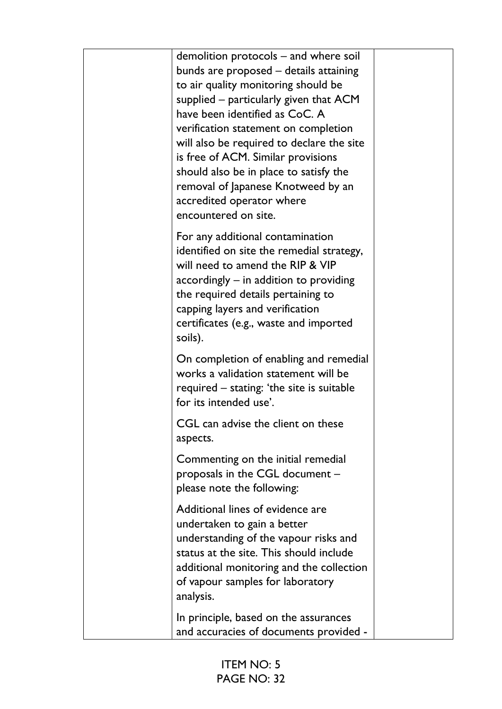| demolition protocols – and where soil<br>bunds are proposed - details attaining<br>to air quality monitoring should be<br>supplied – particularly given that ACM<br>have been identified as CoC. A<br>verification statement on completion<br>will also be required to declare the site<br>is free of ACM. Similar provisions<br>should also be in place to satisfy the<br>removal of Japanese Knotweed by an<br>accredited operator where<br>encountered on site. |  |
|--------------------------------------------------------------------------------------------------------------------------------------------------------------------------------------------------------------------------------------------------------------------------------------------------------------------------------------------------------------------------------------------------------------------------------------------------------------------|--|
| For any additional contamination<br>identified on site the remedial strategy,<br>will need to amend the RIP & VIP<br>$accordingly - in addition to providing$<br>the required details pertaining to<br>capping layers and verification<br>certificates (e.g., waste and imported<br>soils).                                                                                                                                                                        |  |
| On completion of enabling and remedial<br>works a validation statement will be<br>required - stating: 'the site is suitable<br>for its intended use'.                                                                                                                                                                                                                                                                                                              |  |
| CGL can advise the client on these<br>aspects.                                                                                                                                                                                                                                                                                                                                                                                                                     |  |
| Commenting on the initial remedial<br>proposals in the CGL document -<br>please note the following:                                                                                                                                                                                                                                                                                                                                                                |  |
| Additional lines of evidence are<br>undertaken to gain a better<br>understanding of the vapour risks and<br>status at the site. This should include<br>additional monitoring and the collection<br>of vapour samples for laboratory<br>analysis.                                                                                                                                                                                                                   |  |
| In principle, based on the assurances<br>and accuracies of documents provided -                                                                                                                                                                                                                                                                                                                                                                                    |  |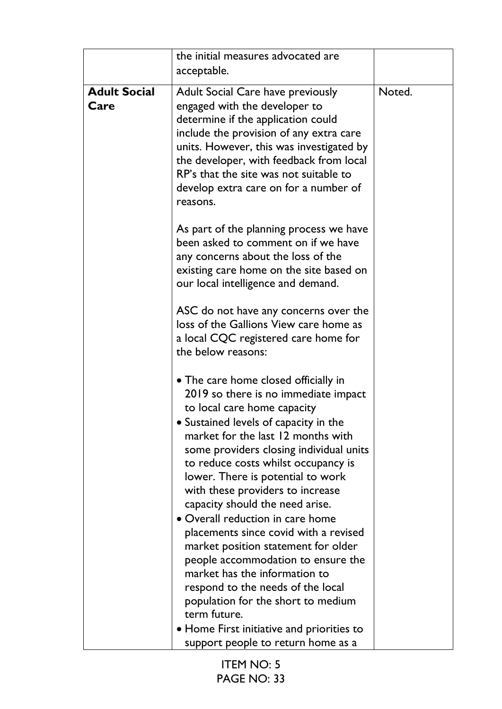|                             | the initial measures advocated are<br>acceptable.                                                                                                                                                                                                                                                                                                                                                                                                                             |        |
|-----------------------------|-------------------------------------------------------------------------------------------------------------------------------------------------------------------------------------------------------------------------------------------------------------------------------------------------------------------------------------------------------------------------------------------------------------------------------------------------------------------------------|--------|
| <b>Adult Social</b><br>Care | <b>Adult Social Care have previously</b><br>engaged with the developer to<br>determine if the application could<br>include the provision of any extra care<br>units. However, this was investigated by<br>the developer, with feedback from local<br>RP's that the site was not suitable to<br>develop extra care on for a number of<br>reasons.                                                                                                                              | Noted. |
|                             | As part of the planning process we have<br>been asked to comment on if we have<br>any concerns about the loss of the<br>existing care home on the site based on<br>our local intelligence and demand.                                                                                                                                                                                                                                                                         |        |
|                             | ASC do not have any concerns over the<br>loss of the Gallions View care home as<br>a local CQC registered care home for<br>the below reasons:                                                                                                                                                                                                                                                                                                                                 |        |
|                             | • The care home closed officially in<br>2019 so there is no immediate impact<br>to local care home capacity<br>$\bullet$ Sustained levels of capacity in the<br>market for the last 12 months with<br>some providers closing individual units<br>to reduce costs whilst occupancy is<br>lower. There is potential to work<br>with these providers to increase<br>capacity should the need arise.<br>• Overall reduction in care home<br>placements since covid with a revised |        |
|                             | market position statement for older<br>people accommodation to ensure the<br>market has the information to<br>respond to the needs of the local<br>population for the short to medium<br>term future.<br>• Home First initiative and priorities to<br>support people to return home as a                                                                                                                                                                                      |        |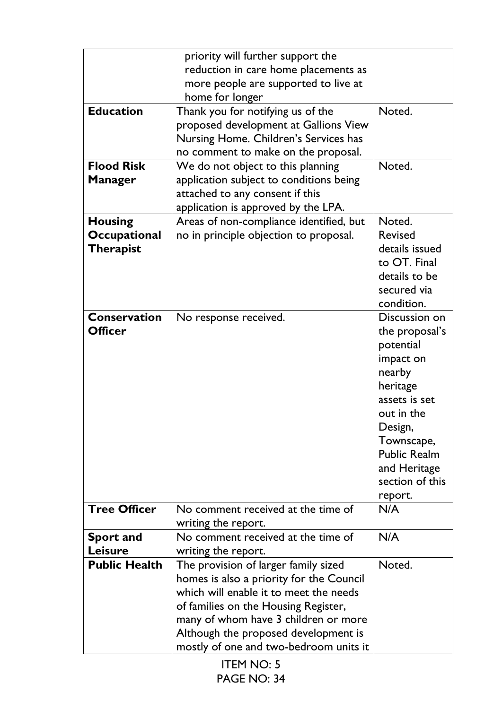| reduction in care home placements as                                                         |
|----------------------------------------------------------------------------------------------|
|                                                                                              |
| more people are supported to live at                                                         |
| home for longer                                                                              |
| <b>Education</b><br>Thank you for notifying us of the<br>Noted.                              |
| proposed development at Gallions View                                                        |
| Nursing Home. Children's Services has                                                        |
| no comment to make on the proposal.                                                          |
| <b>Flood Risk</b><br>Noted.<br>We do not object to this planning                             |
| application subject to conditions being<br><b>Manager</b><br>attached to any consent if this |
| application is approved by the LPA.                                                          |
| <b>Housing</b><br>Areas of non-compliance identified, but<br>Noted.                          |
| Occupational<br>no in principle objection to proposal.<br><b>Revised</b>                     |
| <b>Therapist</b><br>details issued                                                           |
| to OT. Final                                                                                 |
| details to be                                                                                |
| secured via                                                                                  |
| condition.                                                                                   |
| <b>Conservation</b><br>Discussion on<br>No response received.                                |
| <b>Officer</b><br>the proposal's                                                             |
| potential                                                                                    |
| impact on                                                                                    |
| nearby                                                                                       |
| heritage                                                                                     |
| assets is set                                                                                |
| out in the                                                                                   |
| Design,                                                                                      |
| Townscape,                                                                                   |
| <b>Public Realm</b>                                                                          |
| and Heritage                                                                                 |
| section of this                                                                              |
| report.<br><b>Tree Officer</b><br>No comment received at the time of<br>N/A                  |
| writing the report.                                                                          |
| N/A<br><b>Sport and</b><br>No comment received at the time of                                |
| <b>Leisure</b><br>writing the report.                                                        |
| <b>Public Health</b><br>The provision of larger family sized<br>Noted.                       |
| homes is also a priority for the Council                                                     |
| which will enable it to meet the needs                                                       |
| of families on the Housing Register,                                                         |
| many of whom have 3 children or more                                                         |
| Although the proposed development is                                                         |
| mostly of one and two-bedroom units it                                                       |

ITEM NO: 5 PAGE NO: 34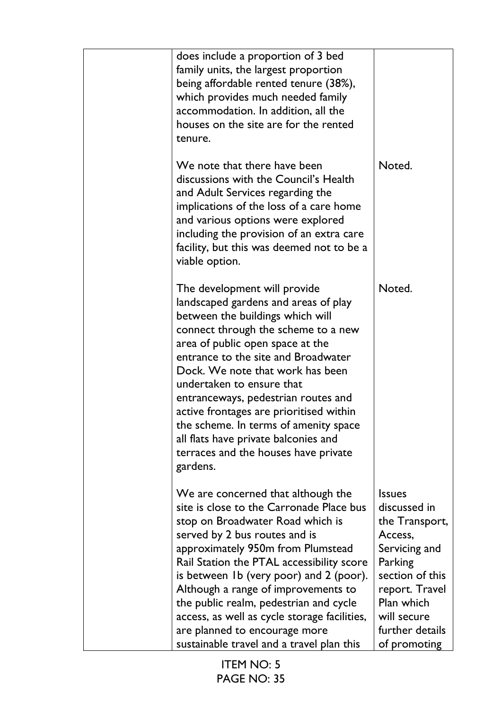| does include a proportion of 3 bed<br>family units, the largest proportion<br>being affordable rented tenure (38%),<br>which provides much needed family<br>accommodation. In addition, all the<br>houses on the site are for the rented<br>tenure.                                                                                                                                                                                                                                                                |                                                                                                                                                                                             |
|--------------------------------------------------------------------------------------------------------------------------------------------------------------------------------------------------------------------------------------------------------------------------------------------------------------------------------------------------------------------------------------------------------------------------------------------------------------------------------------------------------------------|---------------------------------------------------------------------------------------------------------------------------------------------------------------------------------------------|
| We note that there have been<br>discussions with the Council's Health<br>and Adult Services regarding the<br>implications of the loss of a care home<br>and various options were explored<br>including the provision of an extra care<br>facility, but this was deemed not to be a<br>viable option.                                                                                                                                                                                                               | Noted.                                                                                                                                                                                      |
| The development will provide<br>landscaped gardens and areas of play<br>between the buildings which will<br>connect through the scheme to a new<br>area of public open space at the<br>entrance to the site and Broadwater<br>Dock. We note that work has been<br>undertaken to ensure that<br>entranceways, pedestrian routes and<br>active frontages are prioritised within<br>the scheme. In terms of amenity space<br>all flats have private balconies and<br>terraces and the houses have private<br>gardens. | Noted.                                                                                                                                                                                      |
| We are concerned that although the<br>site is close to the Carronade Place bus<br>stop on Broadwater Road which is<br>served by 2 bus routes and is<br>approximately 950m from Plumstead<br>Rail Station the PTAL accessibility score<br>is between 1b (very poor) and 2 (poor).<br>Although a range of improvements to<br>the public realm, pedestrian and cycle<br>access, as well as cycle storage facilities,<br>are planned to encourage more<br>sustainable travel and a travel plan this                    | <b>Issues</b><br>discussed in<br>the Transport,<br>Access,<br>Servicing and<br>Parking<br>section of this<br>report. Travel<br>Plan which<br>will secure<br>further details<br>of promoting |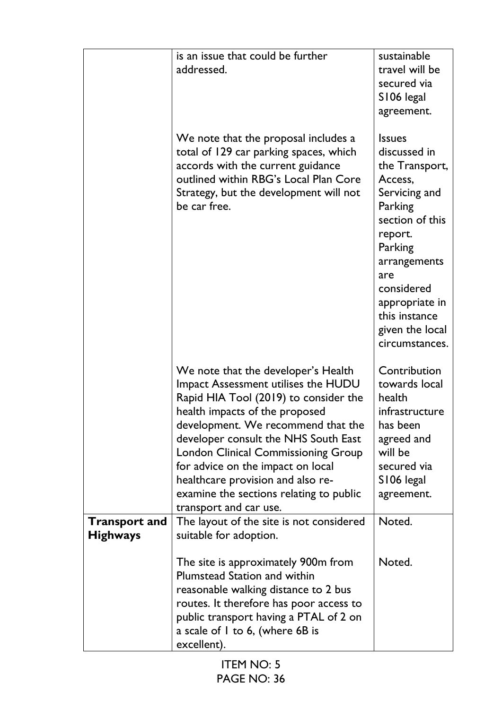|                                         | is an issue that could be further<br>addressed.                                                                                                                                                                                                                                                                                                                                                                           | sustainable<br>travel will be<br>secured via<br>S106 legal<br>agreement.                                                                                                                                                                     |
|-----------------------------------------|---------------------------------------------------------------------------------------------------------------------------------------------------------------------------------------------------------------------------------------------------------------------------------------------------------------------------------------------------------------------------------------------------------------------------|----------------------------------------------------------------------------------------------------------------------------------------------------------------------------------------------------------------------------------------------|
|                                         | We note that the proposal includes a<br>total of 129 car parking spaces, which<br>accords with the current guidance<br>outlined within RBG's Local Plan Core<br>Strategy, but the development will not<br>be car free.                                                                                                                                                                                                    | <b>Issues</b><br>discussed in<br>the Transport,<br>Access,<br>Servicing and<br>Parking<br>section of this<br>report.<br>Parking<br>arrangements<br>are<br>considered<br>appropriate in<br>this instance<br>given the local<br>circumstances. |
|                                         | We note that the developer's Health<br>Impact Assessment utilises the HUDU<br>Rapid HIA Tool (2019) to consider the<br>health impacts of the proposed<br>development. We recommend that the<br>developer consult the NHS South East<br>London Clinical Commissioning Group<br>for advice on the impact on local<br>healthcare provision and also re-<br>examine the sections relating to public<br>transport and car use. | Contribution<br>towards local<br>health<br>infrastructure<br>has been<br>agreed and<br>will be<br>secured via<br>S106 legal<br>agreement.                                                                                                    |
| <b>Transport and</b><br><b>Highways</b> | The layout of the site is not considered<br>suitable for adoption.                                                                                                                                                                                                                                                                                                                                                        | Noted.                                                                                                                                                                                                                                       |
|                                         | The site is approximately 900m from<br>Plumstead Station and within<br>reasonable walking distance to 2 bus<br>routes. It therefore has poor access to<br>public transport having a PTAL of 2 on<br>a scale of I to 6, (where 6B is<br>excellent).                                                                                                                                                                        | Noted.                                                                                                                                                                                                                                       |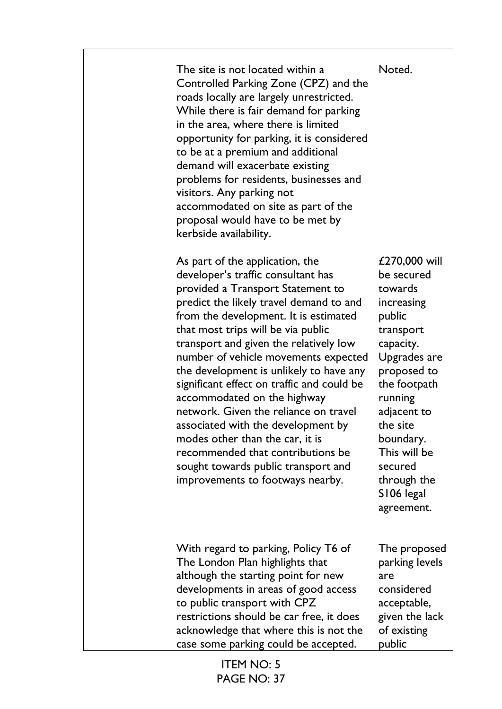| The site is not located within a<br>Controlled Parking Zone (CPZ) and the<br>roads locally are largely unrestricted.<br>While there is fair demand for parking<br>in the area, where there is limited<br>opportunity for parking, it is considered<br>to be at a premium and additional<br>demand will exacerbate existing<br>problems for residents, businesses and<br>visitors. Any parking not<br>accommodated on site as part of the<br>proposal would have to be met by<br>kerbside availability.                                                                                                                                                                           | Noted.                                                                                                                                                                                                                                                           |
|----------------------------------------------------------------------------------------------------------------------------------------------------------------------------------------------------------------------------------------------------------------------------------------------------------------------------------------------------------------------------------------------------------------------------------------------------------------------------------------------------------------------------------------------------------------------------------------------------------------------------------------------------------------------------------|------------------------------------------------------------------------------------------------------------------------------------------------------------------------------------------------------------------------------------------------------------------|
| As part of the application, the<br>developer's traffic consultant has<br>provided a Transport Statement to<br>predict the likely travel demand to and<br>from the development. It is estimated<br>that most trips will be via public<br>transport and given the relatively low<br>number of vehicle movements expected<br>the development is unlikely to have any<br>significant effect on traffic and could be<br>accommodated on the highway<br>network. Given the reliance on travel<br>associated with the development by<br>modes other than the car, it is<br>recommended that contributions be<br>sought towards public transport and<br>improvements to footways nearby. | £270,000 will<br>be secured<br>towards<br>increasing<br>public<br>transport<br>capacity.<br>Upgrades are<br>proposed to<br>the footpath<br>running<br>adjacent to<br>the site<br>boundary.<br>This will be<br>secured<br>through the<br>S106 legal<br>agreement. |
| With regard to parking, Policy T6 of<br>The London Plan highlights that<br>although the starting point for new<br>developments in areas of good access<br>to public transport with CPZ<br>restrictions should be car free, it does<br>acknowledge that where this is not the<br>case some parking could be accepted.                                                                                                                                                                                                                                                                                                                                                             | The proposed<br>parking levels<br>are<br>considered<br>acceptable,<br>given the lack<br>of existing<br>public                                                                                                                                                    |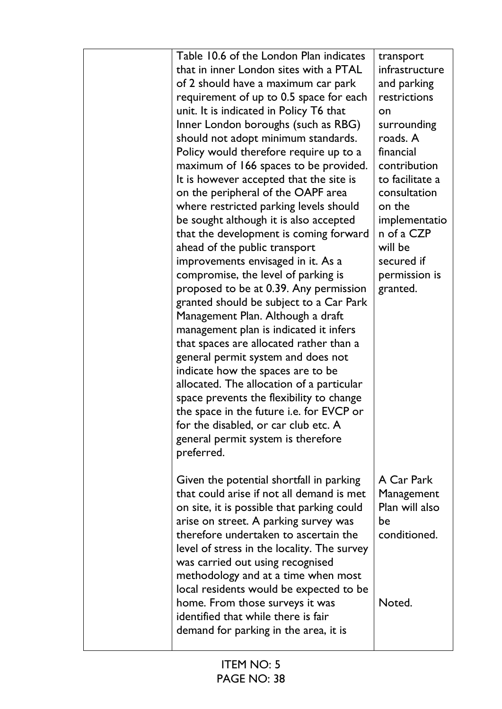| Table 10.6 of the London Plan indicates<br>that in inner London sites with a PTAL<br>of 2 should have a maximum car park<br>requirement of up to 0.5 space for each<br>unit. It is indicated in Policy T6 that<br>Inner London boroughs (such as RBG)<br>should not adopt minimum standards.<br>Policy would therefore require up to a<br>maximum of 166 spaces to be provided.<br>It is however accepted that the site is<br>on the peripheral of the OAPF area<br>where restricted parking levels should<br>be sought although it is also accepted<br>that the development is coming forward<br>ahead of the public transport<br>improvements envisaged in it. As a<br>compromise, the level of parking is<br>proposed to be at 0.39. Any permission<br>granted should be subject to a Car Park<br>Management Plan. Although a draft<br>management plan is indicated it infers<br>that spaces are allocated rather than a<br>general permit system and does not<br>indicate how the spaces are to be<br>allocated. The allocation of a particular<br>space prevents the flexibility to change<br>the space in the future i.e. for EVCP or<br>for the disabled, or car club etc. A<br>general permit system is therefore<br>preferred. | transport<br>infrastructure<br>and parking<br>restrictions<br><b>on</b><br>surrounding<br>roads. A<br>financial<br>contribution<br>to facilitate a<br>consultation<br>on the<br>implementatio<br>n of a CZP<br>will be<br>secured if<br>permission is<br>granted. |
|-----------------------------------------------------------------------------------------------------------------------------------------------------------------------------------------------------------------------------------------------------------------------------------------------------------------------------------------------------------------------------------------------------------------------------------------------------------------------------------------------------------------------------------------------------------------------------------------------------------------------------------------------------------------------------------------------------------------------------------------------------------------------------------------------------------------------------------------------------------------------------------------------------------------------------------------------------------------------------------------------------------------------------------------------------------------------------------------------------------------------------------------------------------------------------------------------------------------------------------------|-------------------------------------------------------------------------------------------------------------------------------------------------------------------------------------------------------------------------------------------------------------------|
| Given the potential shortfall in parking<br>that could arise if not all demand is met<br>on site, it is possible that parking could<br>arise on street. A parking survey was<br>therefore undertaken to ascertain the<br>level of stress in the locality. The survey<br>was carried out using recognised                                                                                                                                                                                                                                                                                                                                                                                                                                                                                                                                                                                                                                                                                                                                                                                                                                                                                                                                | A Car Park<br>Management<br>Plan will also<br>be<br>conditioned.                                                                                                                                                                                                  |
| methodology and at a time when most<br>local residents would be expected to be<br>home. From those surveys it was<br>identified that while there is fair<br>demand for parking in the area, it is                                                                                                                                                                                                                                                                                                                                                                                                                                                                                                                                                                                                                                                                                                                                                                                                                                                                                                                                                                                                                                       | Noted.                                                                                                                                                                                                                                                            |
| ITEM NI $\bigcap$ . F                                                                                                                                                                                                                                                                                                                                                                                                                                                                                                                                                                                                                                                                                                                                                                                                                                                                                                                                                                                                                                                                                                                                                                                                                   |                                                                                                                                                                                                                                                                   |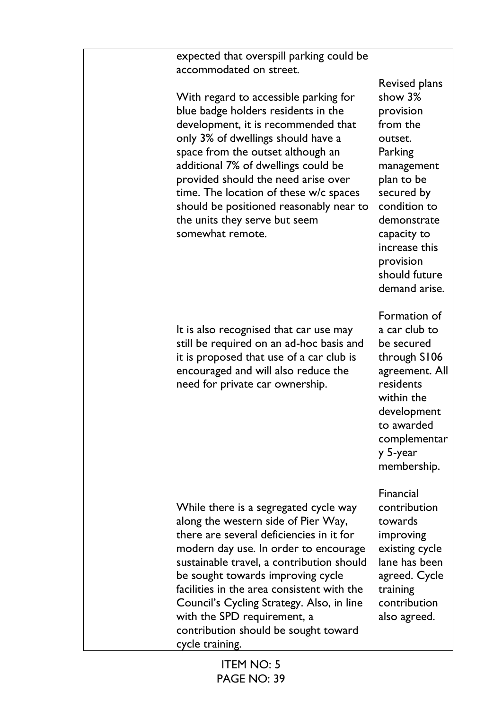| expected that overspill parking could be<br>accommodated on street.<br>With regard to accessible parking for<br>blue badge holders residents in the<br>development, it is recommended that<br>only 3% of dwellings should have a<br>space from the outset although an<br>additional 7% of dwellings could be<br>provided should the need arise over<br>time. The location of these w/c spaces<br>should be positioned reasonably near to<br>the units they serve but seem<br>somewhat remote. | <b>Revised plans</b><br>show 3%<br>provision<br>from the<br>outset.<br>Parking<br>management<br>plan to be<br>secured by<br>condition to<br>demonstrate<br>capacity to<br>increase this<br>provision<br>should future<br>demand arise. |
|-----------------------------------------------------------------------------------------------------------------------------------------------------------------------------------------------------------------------------------------------------------------------------------------------------------------------------------------------------------------------------------------------------------------------------------------------------------------------------------------------|----------------------------------------------------------------------------------------------------------------------------------------------------------------------------------------------------------------------------------------|
| It is also recognised that car use may<br>still be required on an ad-hoc basis and<br>it is proposed that use of a car club is<br>encouraged and will also reduce the<br>need for private car ownership.                                                                                                                                                                                                                                                                                      | Formation of<br>a car club to<br>be secured<br>through S106<br>agreement. All<br>residents<br>within the<br>development<br>to awarded<br>complementar<br>y 5-year<br>membership.                                                       |
| While there is a segregated cycle way<br>along the western side of Pier Way,<br>there are several deficiencies in it for<br>modern day use. In order to encourage<br>sustainable travel, a contribution should<br>be sought towards improving cycle<br>facilities in the area consistent with the<br>Council's Cycling Strategy. Also, in line<br>with the SPD requirement, a<br>contribution should be sought toward<br>cycle training.                                                      | <b>Financial</b><br>contribution<br>towards<br>improving<br>existing cycle<br>lane has been<br>agreed. Cycle<br>training<br>contribution<br>also agreed.                                                                               |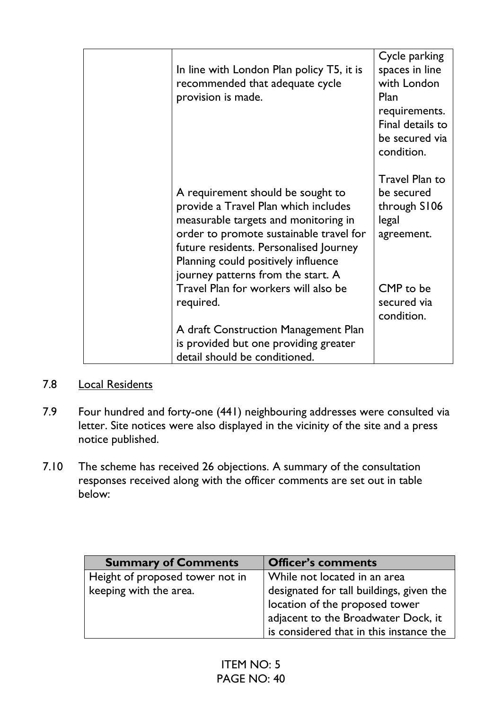| In line with London Plan policy T5, it is<br>recommended that adequate cycle<br>provision is made.                                                                                                                                                                                  | Cycle parking<br>spaces in line<br>with London<br>Plan<br>requirements.<br>Final details to<br>be secured via<br>condition. |
|-------------------------------------------------------------------------------------------------------------------------------------------------------------------------------------------------------------------------------------------------------------------------------------|-----------------------------------------------------------------------------------------------------------------------------|
| A requirement should be sought to<br>provide a Travel Plan which includes<br>measurable targets and monitoring in<br>order to promote sustainable travel for<br>future residents. Personalised Journey<br>Planning could positively influence<br>journey patterns from the start. A | Travel Plan to<br>be secured<br>through S106<br>legal<br>agreement.                                                         |
| Travel Plan for workers will also be<br>required.                                                                                                                                                                                                                                   | CMP to be<br>secured via<br>condition.                                                                                      |
| A draft Construction Management Plan<br>is provided but one providing greater<br>detail should be conditioned.                                                                                                                                                                      |                                                                                                                             |

- 7.8 Local Residents
- 7.9 Four hundred and forty-one (441) neighbouring addresses were consulted via letter. Site notices were also displayed in the vicinity of the site and a press notice published.
- 7.10 The scheme has received 26 objections. A summary of the consultation responses received along with the officer comments are set out in table below:

| <b>Summary of Comments</b>      | <b>Officer's comments</b>                |
|---------------------------------|------------------------------------------|
| Height of proposed tower not in | While not located in an area             |
| keeping with the area.          | designated for tall buildings, given the |
|                                 | location of the proposed tower           |
|                                 | adjacent to the Broadwater Dock, it      |
|                                 | is considered that in this instance the  |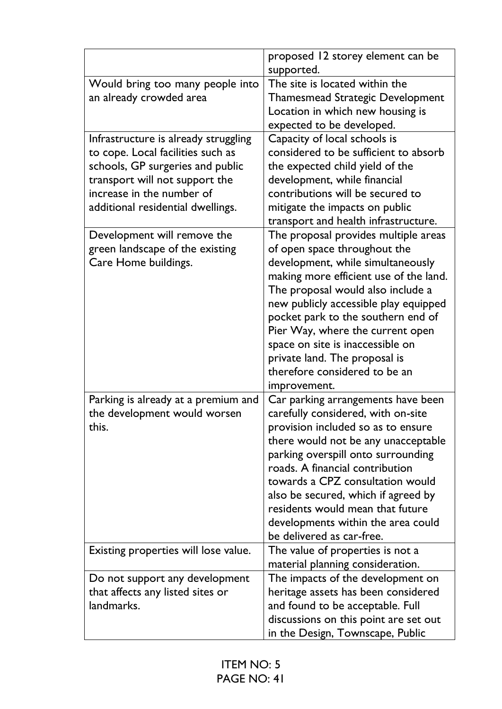|                                      | proposed 12 storey element can be<br>supported. |
|--------------------------------------|-------------------------------------------------|
| Would bring too many people into     | The site is located within the                  |
| an already crowded area              | <b>Thamesmead Strategic Development</b>         |
|                                      | Location in which new housing is                |
|                                      |                                                 |
|                                      | expected to be developed.                       |
| Infrastructure is already struggling | Capacity of local schools is                    |
| to cope. Local facilities such as    | considered to be sufficient to absorb           |
| schools, GP surgeries and public     | the expected child yield of the                 |
| transport will not support the       | development, while financial                    |
| increase in the number of            | contributions will be secured to                |
| additional residential dwellings.    | mitigate the impacts on public                  |
|                                      | transport and health infrastructure.            |
| Development will remove the          | The proposal provides multiple areas            |
| green landscape of the existing      | of open space throughout the                    |
| Care Home buildings.                 | development, while simultaneously               |
|                                      | making more efficient use of the land.          |
|                                      | The proposal would also include a               |
|                                      | new publicly accessible play equipped           |
|                                      | pocket park to the southern end of              |
|                                      | Pier Way, where the current open                |
|                                      | space on site is inaccessible on                |
|                                      | private land. The proposal is                   |
|                                      | therefore considered to be an                   |
|                                      | improvement.                                    |
| Parking is already at a premium and  | Car parking arrangements have been              |
| the development would worsen         | carefully considered, with on-site              |
| this.                                | provision included so as to ensure              |
|                                      | there would not be any unacceptable             |
|                                      | parking overspill onto surrounding              |
|                                      | roads. A financial contribution                 |
|                                      | towards a CPZ consultation would                |
|                                      | also be secured, which if agreed by             |
|                                      | residents would mean that future                |
|                                      | developments within the area could              |
|                                      | be delivered as car-free.                       |
| Existing properties will lose value. | The value of properties is not a                |
|                                      | material planning consideration.                |
| Do not support any development       | The impacts of the development on               |
| that affects any listed sites or     | heritage assets has been considered             |
| landmarks.                           | and found to be acceptable. Full                |
|                                      | discussions on this point are set out           |
|                                      | in the Design, Townscape, Public                |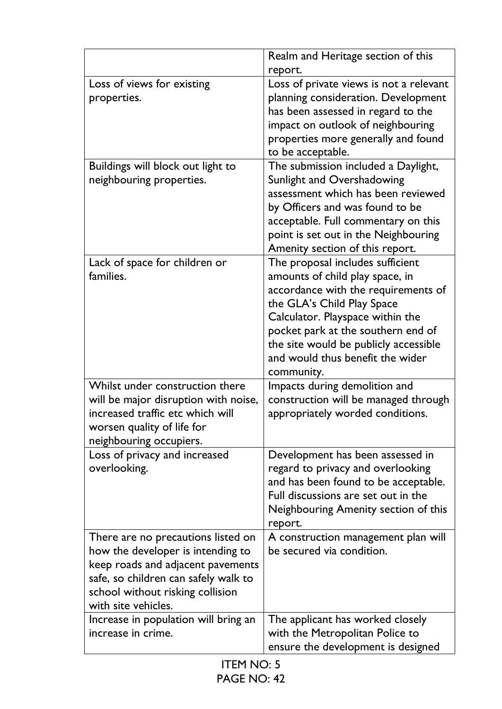|                                                                                                                                                                                                                 | Realm and Heritage section of this                                                                                                                                                                                                                                                                            |  |  |
|-----------------------------------------------------------------------------------------------------------------------------------------------------------------------------------------------------------------|---------------------------------------------------------------------------------------------------------------------------------------------------------------------------------------------------------------------------------------------------------------------------------------------------------------|--|--|
|                                                                                                                                                                                                                 | report.                                                                                                                                                                                                                                                                                                       |  |  |
| Loss of views for existing<br>properties.                                                                                                                                                                       | Loss of private views is not a relevant<br>planning consideration. Development<br>has been assessed in regard to the<br>impact on outlook of neighbouring<br>properties more generally and found<br>to be acceptable.                                                                                         |  |  |
| Buildings will block out light to<br>neighbouring properties.                                                                                                                                                   | The submission included a Daylight,<br>Sunlight and Overshadowing<br>assessment which has been reviewed<br>by Officers and was found to be<br>acceptable. Full commentary on this<br>point is set out in the Neighbouring<br>Amenity section of this report.                                                  |  |  |
| Lack of space for children or<br>families.                                                                                                                                                                      | The proposal includes sufficient<br>amounts of child play space, in<br>accordance with the requirements of<br>the GLA's Child Play Space<br>Calculator. Playspace within the<br>pocket park at the southern end of<br>the site would be publicly accessible<br>and would thus benefit the wider<br>community. |  |  |
| Whilst under construction there<br>will be major disruption with noise,<br>increased traffic etc which will<br>worsen quality of life for<br>neighbouring occupiers.                                            | Impacts during demolition and<br>construction will be managed through<br>appropriately worded conditions.                                                                                                                                                                                                     |  |  |
| Loss of privacy and increased<br>overlooking.                                                                                                                                                                   | Development has been assessed in<br>regard to privacy and overlooking<br>and has been found to be acceptable.<br>Full discussions are set out in the<br>Neighbouring Amenity section of this<br>report.                                                                                                       |  |  |
| There are no precautions listed on<br>how the developer is intending to<br>keep roads and adjacent pavements<br>safe, so children can safely walk to<br>school without risking collision<br>with site vehicles. | A construction management plan will<br>be secured via condition.                                                                                                                                                                                                                                              |  |  |
| Increase in population will bring an<br>increase in crime.                                                                                                                                                      | The applicant has worked closely<br>with the Metropolitan Police to<br>ensure the development is designed                                                                                                                                                                                                     |  |  |
| <b>ITEM NO: 5</b>                                                                                                                                                                                               |                                                                                                                                                                                                                                                                                                               |  |  |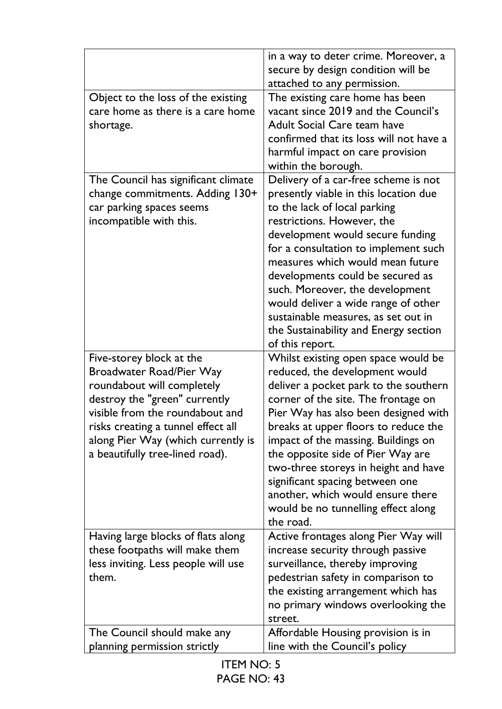|                                     | in a way to deter crime. Moreover, a<br>secure by design condition will be |
|-------------------------------------|----------------------------------------------------------------------------|
|                                     | attached to any permission.                                                |
| Object to the loss of the existing  | The existing care home has been                                            |
| care home as there is a care home   | vacant since 2019 and the Council's                                        |
| shortage.                           | Adult Social Care team have                                                |
|                                     | confirmed that its loss will not have a                                    |
|                                     | harmful impact on care provision                                           |
|                                     | within the borough.                                                        |
| The Council has significant climate | Delivery of a car-free scheme is not                                       |
| change commitments. Adding 130+     | presently viable in this location due                                      |
| car parking spaces seems            | to the lack of local parking                                               |
| incompatible with this.             | restrictions. However, the                                                 |
|                                     | development would secure funding                                           |
|                                     | for a consultation to implement such                                       |
|                                     | measures which would mean future                                           |
|                                     | developments could be secured as                                           |
|                                     | such. Moreover, the development                                            |
|                                     | would deliver a wide range of other                                        |
|                                     | sustainable measures, as set out in                                        |
|                                     | the Sustainability and Energy section<br>of this report.                   |
| Five-storey block at the            | Whilst existing open space would be                                        |
| Broadwater Road/Pier Way            | reduced, the development would                                             |
| roundabout will completely          | deliver a pocket park to the southern                                      |
| destroy the "green" currently       | corner of the site. The frontage on                                        |
| visible from the roundabout and     | Pier Way has also been designed with                                       |
| risks creating a tunnel effect all  | breaks at upper floors to reduce the                                       |
| along Pier Way (which currently is  | impact of the massing. Buildings on                                        |
| a beautifully tree-lined road).     | the opposite side of Pier Way are                                          |
|                                     | two-three storeys in height and have                                       |
|                                     | significant spacing between one                                            |
|                                     | another, which would ensure there                                          |
|                                     | would be no tunnelling effect along                                        |
|                                     | the road.                                                                  |
| Having large blocks of flats along  | Active frontages along Pier Way will                                       |
| these footpaths will make them      | increase security through passive                                          |
| less inviting. Less people will use | surveillance, thereby improving                                            |
| them.                               | pedestrian safety in comparison to                                         |
|                                     | the existing arrangement which has                                         |
|                                     | no primary windows overlooking the                                         |
| The Council should make any         | street.                                                                    |
|                                     | Affordable Housing provision is in                                         |
| planning permission strictly        | line with the Council's policy                                             |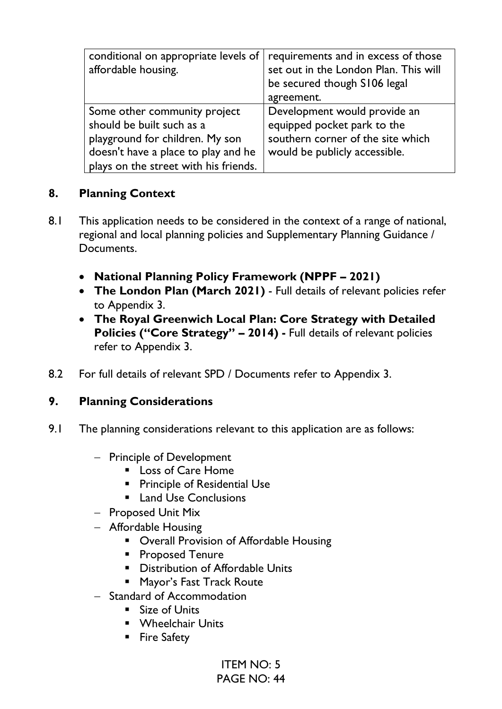| conditional on appropriate levels of<br>affordable housing. | requirements and in excess of those<br>set out in the London Plan. This will<br>be secured though S106 legal<br>agreement. |
|-------------------------------------------------------------|----------------------------------------------------------------------------------------------------------------------------|
| Some other community project                                | Development would provide an                                                                                               |
| should be built such as a                                   | equipped pocket park to the                                                                                                |
| playground for children. My son                             | southern corner of the site which                                                                                          |
| doesn't have a place to play and he                         | would be publicly accessible.                                                                                              |
| plays on the street with his friends.                       |                                                                                                                            |

# **8. Planning Context**

- 8.1 This application needs to be considered in the context of a range of national, regional and local planning policies and Supplementary Planning Guidance / **Documents** 
	- **National Planning Policy Framework (NPPF – 2021)**
	- **The London Plan (March 2021)** Full details of relevant policies refer to Appendix 3.
	- **The Royal Greenwich Local Plan: Core Strategy with Detailed Policies ("Core Strategy" – 2014) -** Full details of relevant policies refer to Appendix 3.
- 8.2 For full details of relevant SPD / Documents refer to Appendix 3.

## **9. Planning Considerations**

- 9.1 The planning considerations relevant to this application are as follows:
	- − Principle of Development
		- Loss of Care Home
		- **•** Principle of Residential Use
		- Land Use Conclusions
	- − Proposed Unit Mix
	- − Affordable Housing
		- Overall Provision of Affordable Housing
		- Proposed Tenure
		- **Distribution of Affordable Units**
		- Mayor's Fast Track Route
	- − Standard of Accommodation
		- Size of Units
		- Wheelchair Units
		- Fire Safety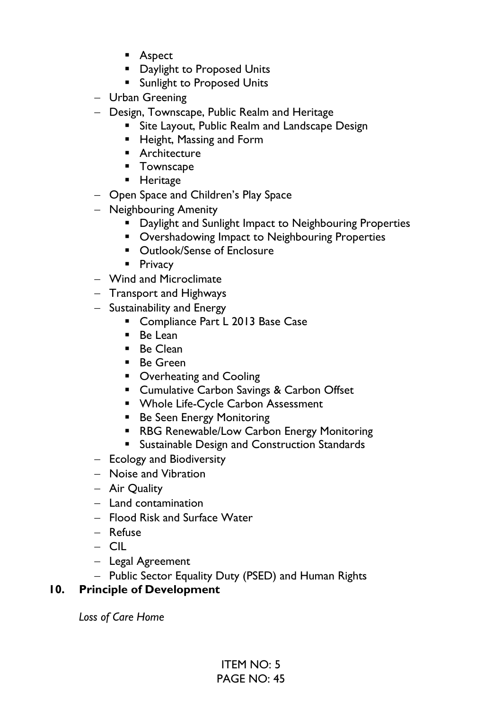- Aspect
- Daylight to Proposed Units
- Sunlight to Proposed Units
- − Urban Greening
- − Design, Townscape, Public Realm and Heritage
	- **E** Site Layout, Public Realm and Landscape Design
	- Height, Massing and Form
	- Architecture
	- **■** Townscape
	- Heritage
- − Open Space and Children's Play Space
- − Neighbouring Amenity
	- Daylight and Sunlight Impact to Neighbouring Properties
	- **Overshadowing Impact to Neighbouring Properties**
	- Outlook/Sense of Enclosure
	- Privacy
- − Wind and Microclimate
- − Transport and Highways
- − Sustainability and Energy
	- **EXECOMPLE COMPLEXED FIGHTS COMPLEX EXECUSE**
	- Be Lean
	- Be Clean
	- Be Green
	- Overheating and Cooling
	- Cumulative Carbon Savings & Carbon Offset
	- Whole Life-Cycle Carbon Assessment
	- Be Seen Energy Monitoring
	- RBG Renewable/Low Carbon Energy Monitoring
	- Sustainable Design and Construction Standards
- − Ecology and Biodiversity
- − Noise and Vibration
- − Air Quality
- − Land contamination
- − Flood Risk and Surface Water
- − Refuse
- − CIL
- − Legal Agreement
- − Public Sector Equality Duty (PSED) and Human Rights

# **10. Principle of Development**

*Loss of Care Home*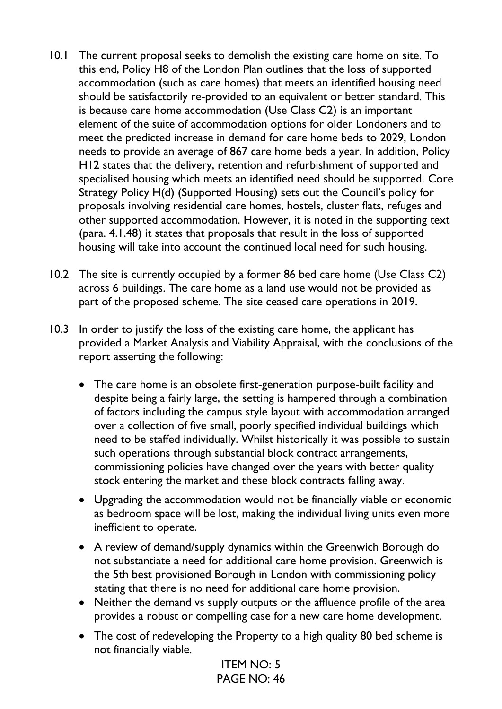- 10.1 The current proposal seeks to demolish the existing care home on site. To this end, Policy H8 of the London Plan outlines that the loss of supported accommodation (such as care homes) that meets an identified housing need should be satisfactorily re-provided to an equivalent or better standard. This is because care home accommodation (Use Class C2) is an important element of the suite of accommodation options for older Londoners and to meet the predicted increase in demand for care home beds to 2029, London needs to provide an average of 867 care home beds a year. In addition, Policy H12 states that the delivery, retention and refurbishment of supported and specialised housing which meets an identified need should be supported. Core Strategy Policy H(d) (Supported Housing) sets out the Council's policy for proposals involving residential care homes, hostels, cluster flats, refuges and other supported accommodation. However, it is noted in the supporting text (para. 4.1.48) it states that proposals that result in the loss of supported housing will take into account the continued local need for such housing.
- 10.2 The site is currently occupied by a former 86 bed care home (Use Class C2) across 6 buildings. The care home as a land use would not be provided as part of the proposed scheme. The site ceased care operations in 2019.
- 10.3 In order to justify the loss of the existing care home, the applicant has provided a Market Analysis and Viability Appraisal, with the conclusions of the report asserting the following:
	- The care home is an obsolete first-generation purpose-built facility and despite being a fairly large, the setting is hampered through a combination of factors including the campus style layout with accommodation arranged over a collection of five small, poorly specified individual buildings which need to be staffed individually. Whilst historically it was possible to sustain such operations through substantial block contract arrangements, commissioning policies have changed over the years with better quality stock entering the market and these block contracts falling away.
	- Upgrading the accommodation would not be financially viable or economic as bedroom space will be lost, making the individual living units even more inefficient to operate.
	- A review of demand/supply dynamics within the Greenwich Borough do not substantiate a need for additional care home provision. Greenwich is the 5th best provisioned Borough in London with commissioning policy stating that there is no need for additional care home provision.
	- Neither the demand vs supply outputs or the affluence profile of the area provides a robust or compelling case for a new care home development.
	- The cost of redeveloping the Property to a high quality 80 bed scheme is not financially viable.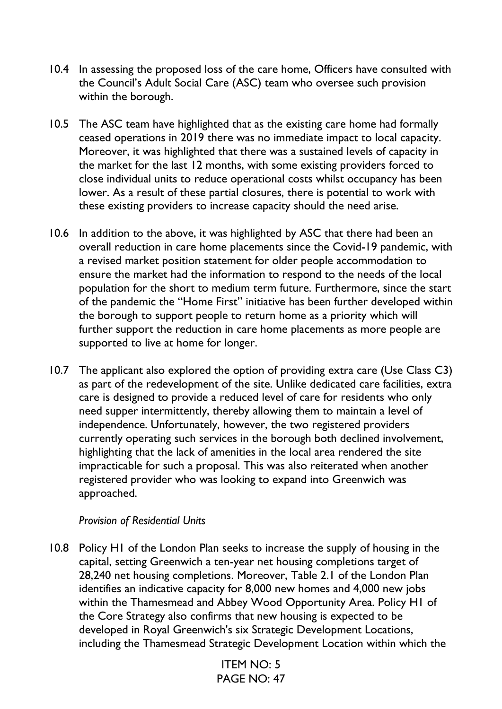- 10.4 In assessing the proposed loss of the care home, Officers have consulted with the Council's Adult Social Care (ASC) team who oversee such provision within the borough.
- 10.5 The ASC team have highlighted that as the existing care home had formally ceased operations in 2019 there was no immediate impact to local capacity. Moreover, it was highlighted that there was a sustained levels of capacity in the market for the last 12 months, with some existing providers forced to close individual units to reduce operational costs whilst occupancy has been lower. As a result of these partial closures, there is potential to work with these existing providers to increase capacity should the need arise.
- 10.6 In addition to the above, it was highlighted by ASC that there had been an overall reduction in care home placements since the Covid-19 pandemic, with a revised market position statement for older people accommodation to ensure the market had the information to respond to the needs of the local population for the short to medium term future. Furthermore, since the start of the pandemic the "Home First" initiative has been further developed within the borough to support people to return home as a priority which will further support the reduction in care home placements as more people are supported to live at home for longer.
- 10.7 The applicant also explored the option of providing extra care (Use Class C3) as part of the redevelopment of the site. Unlike dedicated care facilities, extra care is designed to provide a reduced level of care for residents who only need supper intermittently, thereby allowing them to maintain a level of independence. Unfortunately, however, the two registered providers currently operating such services in the borough both declined involvement, highlighting that the lack of amenities in the local area rendered the site impracticable for such a proposal. This was also reiterated when another registered provider who was looking to expand into Greenwich was approached.

### *Provision of Residential Units*

10.8 Policy H1 of the London Plan seeks to increase the supply of housing in the capital, setting Greenwich a ten-year net housing completions target of 28,240 net housing completions. Moreover, Table 2.1 of the London Plan identifies an indicative capacity for 8,000 new homes and 4,000 new jobs within the Thamesmead and Abbey Wood Opportunity Area. Policy H1 of the Core Strategy also confirms that new housing is expected to be developed in Royal Greenwich's six Strategic Development Locations, including the Thamesmead Strategic Development Location within which the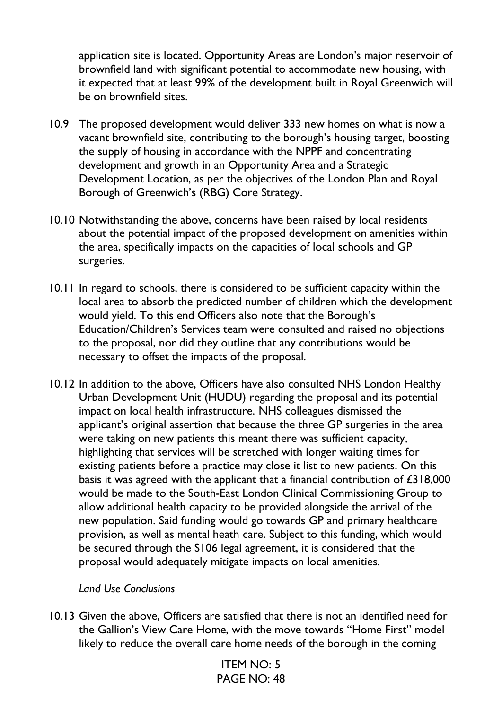application site is located. Opportunity Areas are London's major reservoir of brownfield land with significant potential to accommodate new housing, with it expected that at least 99% of the development built in Royal Greenwich will be on brownfield sites.

- 10.9 The proposed development would deliver 333 new homes on what is now a vacant brownfield site, contributing to the borough's housing target, boosting the supply of housing in accordance with the NPPF and concentrating development and growth in an Opportunity Area and a Strategic Development Location, as per the objectives of the London Plan and Royal Borough of Greenwich's (RBG) Core Strategy.
- 10.10 Notwithstanding the above, concerns have been raised by local residents about the potential impact of the proposed development on amenities within the area, specifically impacts on the capacities of local schools and GP surgeries.
- 10.11 In regard to schools, there is considered to be sufficient capacity within the local area to absorb the predicted number of children which the development would yield. To this end Officers also note that the Borough's Education/Children's Services team were consulted and raised no objections to the proposal, nor did they outline that any contributions would be necessary to offset the impacts of the proposal.
- 10.12 In addition to the above, Officers have also consulted NHS London Healthy Urban Development Unit (HUDU) regarding the proposal and its potential impact on local health infrastructure. NHS colleagues dismissed the applicant's original assertion that because the three GP surgeries in the area were taking on new patients this meant there was sufficient capacity, highlighting that services will be stretched with longer waiting times for existing patients before a practice may close it list to new patients. On this basis it was agreed with the applicant that a financial contribution of £318,000 would be made to the South-East London Clinical Commissioning Group to allow additional health capacity to be provided alongside the arrival of the new population. Said funding would go towards GP and primary healthcare provision, as well as mental heath care. Subject to this funding, which would be secured through the S106 legal agreement, it is considered that the proposal would adequately mitigate impacts on local amenities.

*Land Use Conclusions*

10.13 Given the above, Officers are satisfied that there is not an identified need for the Gallion's View Care Home, with the move towards "Home First" model likely to reduce the overall care home needs of the borough in the coming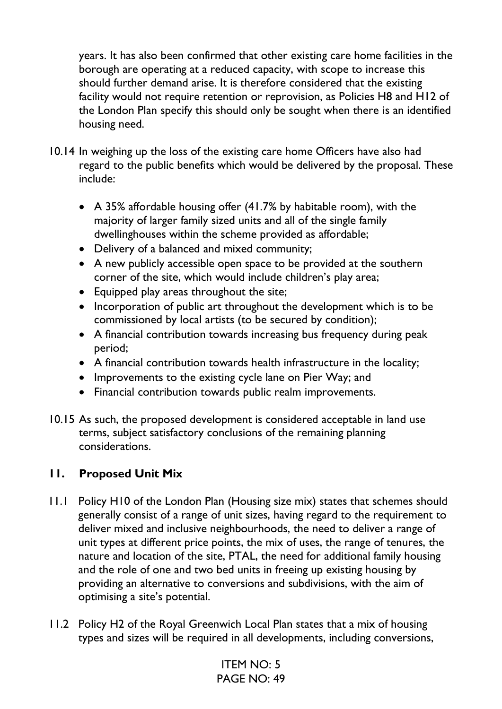years. It has also been confirmed that other existing care home facilities in the borough are operating at a reduced capacity, with scope to increase this should further demand arise. It is therefore considered that the existing facility would not require retention or reprovision, as Policies H8 and H12 of the London Plan specify this should only be sought when there is an identified housing need.

- 10.14 In weighing up the loss of the existing care home Officers have also had regard to the public benefits which would be delivered by the proposal. These include:
	- A 35% affordable housing offer (41.7% by habitable room), with the majority of larger family sized units and all of the single family dwellinghouses within the scheme provided as affordable;
	- Delivery of a balanced and mixed community;
	- A new publicly accessible open space to be provided at the southern corner of the site, which would include children's play area;
	- Equipped play areas throughout the site;
	- Incorporation of public art throughout the development which is to be commissioned by local artists (to be secured by condition);
	- A financial contribution towards increasing bus frequency during peak period;
	- A financial contribution towards health infrastructure in the locality;
	- Improvements to the existing cycle lane on Pier Way; and
	- Financial contribution towards public realm improvements.
- 10.15 As such, the proposed development is considered acceptable in land use terms, subject satisfactory conclusions of the remaining planning considerations.

# **11. Proposed Unit Mix**

- 11.1 Policy H10 of the London Plan (Housing size mix) states that schemes should generally consist of a range of unit sizes, having regard to the requirement to deliver mixed and inclusive neighbourhoods, the need to deliver a range of unit types at different price points, the mix of uses, the range of tenures, the nature and location of the site, PTAL, the need for additional family housing and the role of one and two bed units in freeing up existing housing by providing an alternative to conversions and subdivisions, with the aim of optimising a site's potential.
- 11.2 Policy H2 of the Royal Greenwich Local Plan states that a mix of housing types and sizes will be required in all developments, including conversions,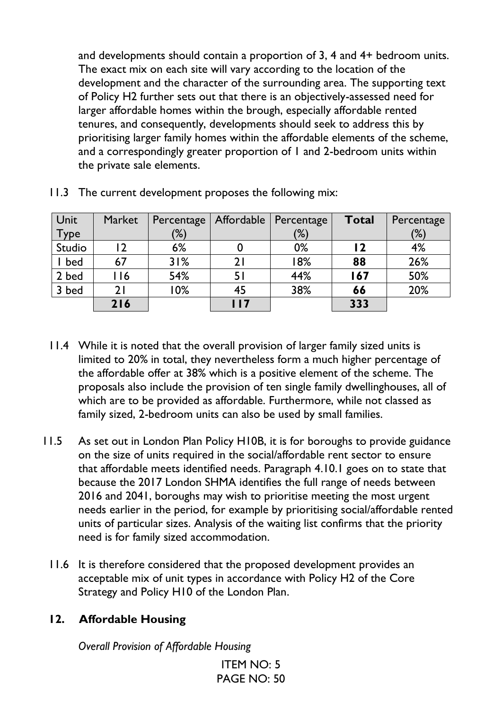and developments should contain a proportion of 3, 4 and 4+ bedroom units. The exact mix on each site will vary according to the location of the development and the character of the surrounding area. The supporting text of Policy H2 further sets out that there is an objectively-assessed need for larger affordable homes within the brough, especially affordable rented tenures, and consequently, developments should seek to address this by prioritising larger family homes within the affordable elements of the scheme, and a correspondingly greater proportion of 1 and 2-bedroom units within the private sale elements.

| Unit        | <b>Market</b> | Percentage    |     | Affordable   Percentage | <b>Total</b> | Percentage |
|-------------|---------------|---------------|-----|-------------------------|--------------|------------|
| <b>Type</b> |               | $\frac{1}{2}$ |     | $\frac{1}{2}$           |              | (%)        |
| Studio      | 12            | 6%            |     | 0%                      | 12           | 4%         |
| bed         | 67            | 31%           |     | 18%                     | 88           | 26%        |
| 2 bed       | l 16          | 54%           |     | 44%                     | 167          | 50%        |
| 3 bed       | 21            | 10%           | 45  | 38%                     | 66           | 20%        |
|             | 216           |               | 117 |                         | 333          |            |

11.3 The current development proposes the following mix:

- 11.4 While it is noted that the overall provision of larger family sized units is limited to 20% in total, they nevertheless form a much higher percentage of the affordable offer at 38% which is a positive element of the scheme. The proposals also include the provision of ten single family dwellinghouses, all of which are to be provided as affordable. Furthermore, while not classed as family sized, 2-bedroom units can also be used by small families.
- 11.5 As set out in London Plan Policy H10B, it is for boroughs to provide guidance on the size of units required in the social/affordable rent sector to ensure that affordable meets identified needs. Paragraph 4.10.1 goes on to state that because the 2017 London SHMA identifies the full range of needs between 2016 and 2041, boroughs may wish to prioritise meeting the most urgent needs earlier in the period, for example by prioritising social/affordable rented units of particular sizes. Analysis of the waiting list confirms that the priority need is for family sized accommodation.
	- 11.6 It is therefore considered that the proposed development provides an acceptable mix of unit types in accordance with Policy H2 of the Core Strategy and Policy H10 of the London Plan.

# **12. Affordable Housing**

*Overall Provision of Affordable Housing*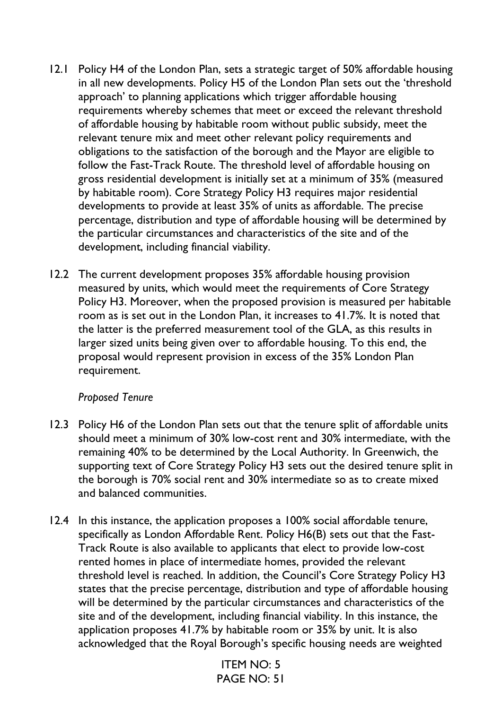- 12.1 Policy H4 of the London Plan, sets a strategic target of 50% affordable housing in all new developments. Policy H5 of the London Plan sets out the 'threshold approach' to planning applications which trigger affordable housing requirements whereby schemes that meet or exceed the relevant threshold of affordable housing by habitable room without public subsidy, meet the relevant tenure mix and meet other relevant policy requirements and obligations to the satisfaction of the borough and the Mayor are eligible to follow the Fast-Track Route. The threshold level of affordable housing on gross residential development is initially set at a minimum of 35% (measured by habitable room). Core Strategy Policy H3 requires major residential developments to provide at least 35% of units as affordable. The precise percentage, distribution and type of affordable housing will be determined by the particular circumstances and characteristics of the site and of the development, including financial viability.
- 12.2 The current development proposes 35% affordable housing provision measured by units, which would meet the requirements of Core Strategy Policy H3. Moreover, when the proposed provision is measured per habitable room as is set out in the London Plan, it increases to 41.7%. It is noted that the latter is the preferred measurement tool of the GLA, as this results in larger sized units being given over to affordable housing. To this end, the proposal would represent provision in excess of the 35% London Plan requirement.

### *Proposed Tenure*

- 12.3 Policy H6 of the London Plan sets out that the tenure split of affordable units should meet a minimum of 30% low-cost rent and 30% intermediate, with the remaining 40% to be determined by the Local Authority. In Greenwich, the supporting text of Core Strategy Policy H3 sets out the desired tenure split in the borough is 70% social rent and 30% intermediate so as to create mixed and balanced communities.
- 12.4 In this instance, the application proposes a 100% social affordable tenure, specifically as London Affordable Rent. Policy H6(B) sets out that the Fast-Track Route is also available to applicants that elect to provide low-cost rented homes in place of intermediate homes, provided the relevant threshold level is reached. In addition, the Council's Core Strategy Policy H3 states that the precise percentage, distribution and type of affordable housing will be determined by the particular circumstances and characteristics of the site and of the development, including financial viability. In this instance, the application proposes 41.7% by habitable room or 35% by unit. It is also acknowledged that the Royal Borough's specific housing needs are weighted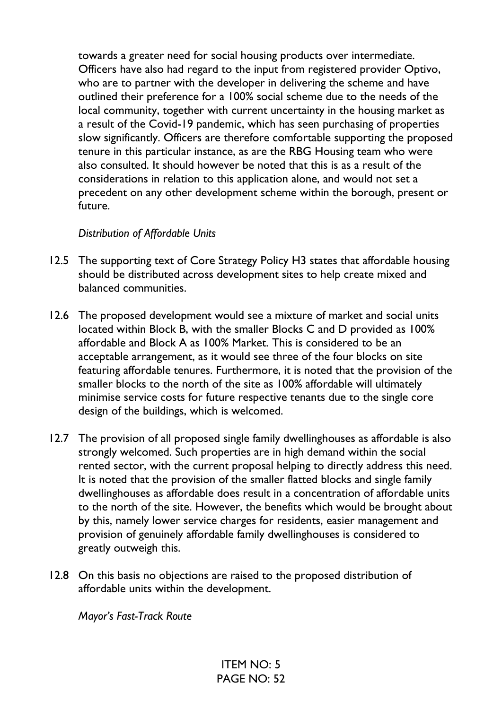towards a greater need for social housing products over intermediate. Officers have also had regard to the input from registered provider Optivo, who are to partner with the developer in delivering the scheme and have outlined their preference for a 100% social scheme due to the needs of the local community, together with current uncertainty in the housing market as a result of the Covid-19 pandemic, which has seen purchasing of properties slow significantly. Officers are therefore comfortable supporting the proposed tenure in this particular instance, as are the RBG Housing team who were also consulted. It should however be noted that this is as a result of the considerations in relation to this application alone, and would not set a precedent on any other development scheme within the borough, present or future.

## *Distribution of Affordable Units*

- 12.5 The supporting text of Core Strategy Policy H3 states that affordable housing should be distributed across development sites to help create mixed and balanced communities.
- 12.6 The proposed development would see a mixture of market and social units located within Block B, with the smaller Blocks C and D provided as 100% affordable and Block A as 100% Market. This is considered to be an acceptable arrangement, as it would see three of the four blocks on site featuring affordable tenures. Furthermore, it is noted that the provision of the smaller blocks to the north of the site as 100% affordable will ultimately minimise service costs for future respective tenants due to the single core design of the buildings, which is welcomed.
- 12.7 The provision of all proposed single family dwellinghouses as affordable is also strongly welcomed. Such properties are in high demand within the social rented sector, with the current proposal helping to directly address this need. It is noted that the provision of the smaller flatted blocks and single family dwellinghouses as affordable does result in a concentration of affordable units to the north of the site. However, the benefits which would be brought about by this, namely lower service charges for residents, easier management and provision of genuinely affordable family dwellinghouses is considered to greatly outweigh this.
- 12.8 On this basis no objections are raised to the proposed distribution of affordable units within the development.

*Mayor's Fast-Track Route*

ITEM NO: 5  $PAGF NO· 52$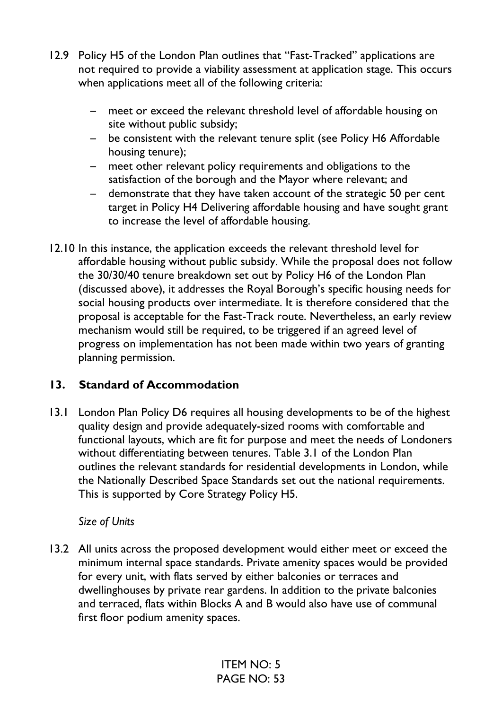- 12.9 Policy H5 of the London Plan outlines that "Fast-Tracked" applications are not required to provide a viability assessment at application stage. This occurs when applications meet all of the following criteria:
	- ̶ meet or exceed the relevant threshold level of affordable housing on site without public subsidy;
	- ̶ be consistent with the relevant tenure split (see Policy H6 Affordable housing tenure);
	- ̶ meet other relevant policy requirements and obligations to the satisfaction of the borough and the Mayor where relevant; and
	- demonstrate that they have taken account of the strategic 50 per cent target in Policy H4 Delivering affordable housing and have sought grant to increase the level of affordable housing.
- 12.10 In this instance, the application exceeds the relevant threshold level for affordable housing without public subsidy. While the proposal does not follow the 30/30/40 tenure breakdown set out by Policy H6 of the London Plan (discussed above), it addresses the Royal Borough's specific housing needs for social housing products over intermediate. It is therefore considered that the proposal is acceptable for the Fast-Track route. Nevertheless, an early review mechanism would still be required, to be triggered if an agreed level of progress on implementation has not been made within two years of granting planning permission.

# **13. Standard of Accommodation**

13.1 London Plan Policy D6 requires all housing developments to be of the highest quality design and provide adequately-sized rooms with comfortable and functional layouts, which are fit for purpose and meet the needs of Londoners without differentiating between tenures. Table 3.1 of the London Plan outlines the relevant standards for residential developments in London, while the Nationally Described Space Standards set out the national requirements. This is supported by Core Strategy Policy H5.

# *Size of Units*

13.2 All units across the proposed development would either meet or exceed the minimum internal space standards. Private amenity spaces would be provided for every unit, with flats served by either balconies or terraces and dwellinghouses by private rear gardens. In addition to the private balconies and terraced, flats within Blocks A and B would also have use of communal first floor podium amenity spaces.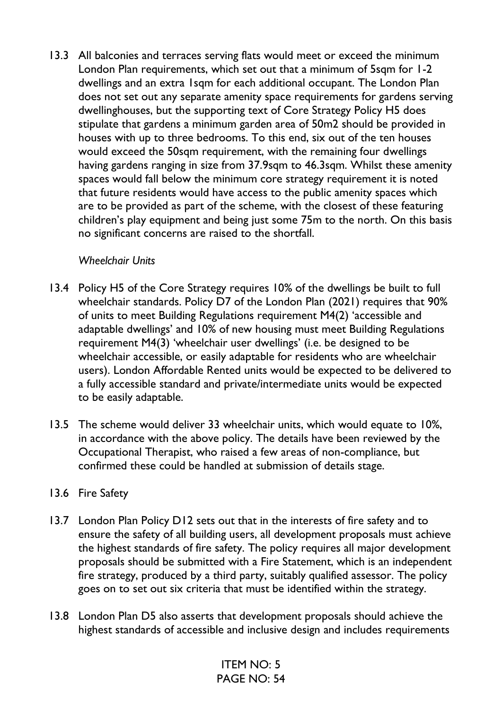13.3 All balconies and terraces serving flats would meet or exceed the minimum London Plan requirements, which set out that a minimum of 5sqm for 1-2 dwellings and an extra 1sqm for each additional occupant. The London Plan does not set out any separate amenity space requirements for gardens serving dwellinghouses, but the supporting text of Core Strategy Policy H5 does stipulate that gardens a minimum garden area of 50m2 should be provided in houses with up to three bedrooms. To this end, six out of the ten houses would exceed the 50sqm requirement, with the remaining four dwellings having gardens ranging in size from 37.9sqm to 46.3sqm. Whilst these amenity spaces would fall below the minimum core strategy requirement it is noted that future residents would have access to the public amenity spaces which are to be provided as part of the scheme, with the closest of these featuring children's play equipment and being just some 75m to the north. On this basis no significant concerns are raised to the shortfall.

## *Wheelchair Units*

- 13.4 Policy H5 of the Core Strategy requires 10% of the dwellings be built to full wheelchair standards. Policy D7 of the London Plan (2021) requires that 90% of units to meet Building Regulations requirement M4(2) 'accessible and adaptable dwellings' and 10% of new housing must meet Building Regulations requirement M4(3) 'wheelchair user dwellings' (i.e. be designed to be wheelchair accessible, or easily adaptable for residents who are wheelchair users). London Affordable Rented units would be expected to be delivered to a fully accessible standard and private/intermediate units would be expected to be easily adaptable.
- 13.5 The scheme would deliver 33 wheelchair units, which would equate to 10%, in accordance with the above policy. The details have been reviewed by the Occupational Therapist, who raised a few areas of non-compliance, but confirmed these could be handled at submission of details stage.

## 13.6 Fire Safety

- 13.7 London Plan Policy D12 sets out that in the interests of fire safety and to ensure the safety of all building users, all development proposals must achieve the highest standards of fire safety. The policy requires all major development proposals should be submitted with a Fire Statement, which is an independent fire strategy, produced by a third party, suitably qualified assessor. The policy goes on to set out six criteria that must be identified within the strategy.
- 13.8 London Plan D5 also asserts that development proposals should achieve the highest standards of accessible and inclusive design and includes requirements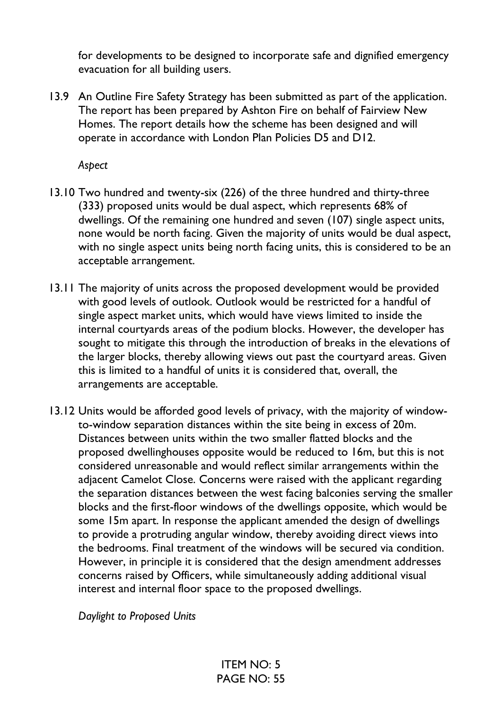for developments to be designed to incorporate safe and dignified emergency evacuation for all building users.

13.9 An Outline Fire Safety Strategy has been submitted as part of the application. The report has been prepared by Ashton Fire on behalf of Fairview New Homes. The report details how the scheme has been designed and will operate in accordance with London Plan Policies D5 and D12.

*Aspect*

- 13.10 Two hundred and twenty-six (226) of the three hundred and thirty-three (333) proposed units would be dual aspect, which represents 68% of dwellings. Of the remaining one hundred and seven (107) single aspect units, none would be north facing. Given the majority of units would be dual aspect, with no single aspect units being north facing units, this is considered to be an acceptable arrangement.
- 13.11 The majority of units across the proposed development would be provided with good levels of outlook. Outlook would be restricted for a handful of single aspect market units, which would have views limited to inside the internal courtyards areas of the podium blocks. However, the developer has sought to mitigate this through the introduction of breaks in the elevations of the larger blocks, thereby allowing views out past the courtyard areas. Given this is limited to a handful of units it is considered that, overall, the arrangements are acceptable.
- 13.12 Units would be afforded good levels of privacy, with the majority of windowto-window separation distances within the site being in excess of 20m. Distances between units within the two smaller flatted blocks and the proposed dwellinghouses opposite would be reduced to 16m, but this is not considered unreasonable and would reflect similar arrangements within the adjacent Camelot Close. Concerns were raised with the applicant regarding the separation distances between the west facing balconies serving the smaller blocks and the first-floor windows of the dwellings opposite, which would be some 15m apart. In response the applicant amended the design of dwellings to provide a protruding angular window, thereby avoiding direct views into the bedrooms. Final treatment of the windows will be secured via condition. However, in principle it is considered that the design amendment addresses concerns raised by Officers, while simultaneously adding additional visual interest and internal floor space to the proposed dwellings.

*Daylight to Proposed Units*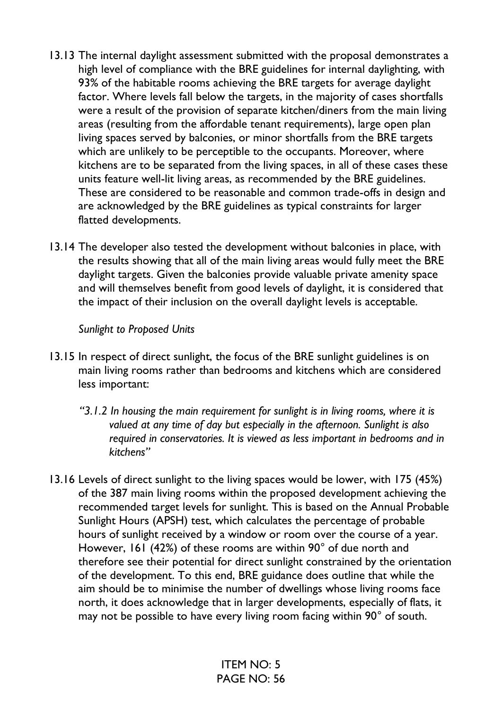- 13.13 The internal daylight assessment submitted with the proposal demonstrates a high level of compliance with the BRE guidelines for internal daylighting, with 93% of the habitable rooms achieving the BRE targets for average daylight factor. Where levels fall below the targets, in the majority of cases shortfalls were a result of the provision of separate kitchen/diners from the main living areas (resulting from the affordable tenant requirements), large open plan living spaces served by balconies, or minor shortfalls from the BRE targets which are unlikely to be perceptible to the occupants. Moreover, where kitchens are to be separated from the living spaces, in all of these cases these units feature well-lit living areas, as recommended by the BRE guidelines. These are considered to be reasonable and common trade-offs in design and are acknowledged by the BRE guidelines as typical constraints for larger flatted developments.
- 13.14 The developer also tested the development without balconies in place, with the results showing that all of the main living areas would fully meet the BRE daylight targets. Given the balconies provide valuable private amenity space and will themselves benefit from good levels of daylight, it is considered that the impact of their inclusion on the overall daylight levels is acceptable.

#### *Sunlight to Proposed Units*

- 13.15 In respect of direct sunlight, the focus of the BRE sunlight guidelines is on main living rooms rather than bedrooms and kitchens which are considered less important:
	- *"3.1.2 In housing the main requirement for sunlight is in living rooms, where it is valued at any time of day but especially in the afternoon. Sunlight is also required in conservatories. It is viewed as less important in bedrooms and in kitchens"*
- 13.16 Levels of direct sunlight to the living spaces would be lower, with 175 (45%) of the 387 main living rooms within the proposed development achieving the recommended target levels for sunlight. This is based on the Annual Probable Sunlight Hours (APSH) test, which calculates the percentage of probable hours of sunlight received by a window or room over the course of a year. However, 161 (42%) of these rooms are within 90° of due north and therefore see their potential for direct sunlight constrained by the orientation of the development. To this end, BRE guidance does outline that while the aim should be to minimise the number of dwellings whose living rooms face north, it does acknowledge that in larger developments, especially of flats, it may not be possible to have every living room facing within 90° of south.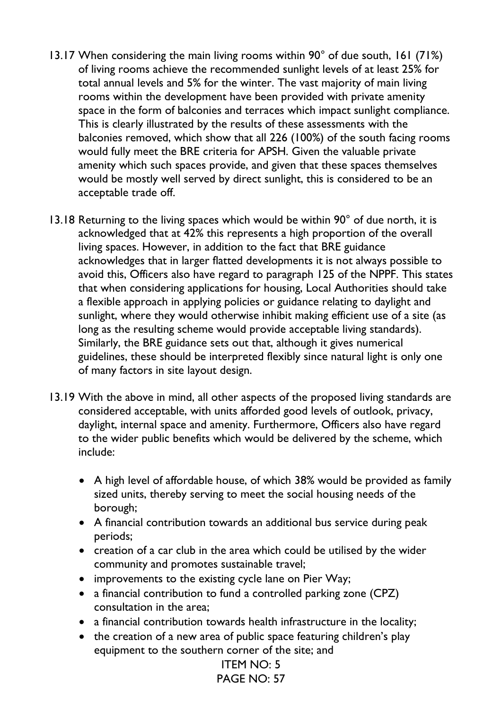- 13.17 When considering the main living rooms within 90° of due south, 161 (71%) of living rooms achieve the recommended sunlight levels of at least 25% for total annual levels and 5% for the winter. The vast majority of main living rooms within the development have been provided with private amenity space in the form of balconies and terraces which impact sunlight compliance. This is clearly illustrated by the results of these assessments with the balconies removed, which show that all 226 (100%) of the south facing rooms would fully meet the BRE criteria for APSH. Given the valuable private amenity which such spaces provide, and given that these spaces themselves would be mostly well served by direct sunlight, this is considered to be an acceptable trade off.
- 13.18 Returning to the living spaces which would be within 90° of due north, it is acknowledged that at 42% this represents a high proportion of the overall living spaces. However, in addition to the fact that BRE guidance acknowledges that in larger flatted developments it is not always possible to avoid this, Officers also have regard to paragraph 125 of the NPPF. This states that when considering applications for housing, Local Authorities should take a flexible approach in applying policies or guidance relating to daylight and sunlight, where they would otherwise inhibit making efficient use of a site (as long as the resulting scheme would provide acceptable living standards). Similarly, the BRE guidance sets out that, although it gives numerical guidelines, these should be interpreted flexibly since natural light is only one of many factors in site layout design.
- 13.19 With the above in mind, all other aspects of the proposed living standards are considered acceptable, with units afforded good levels of outlook, privacy, daylight, internal space and amenity. Furthermore, Officers also have regard to the wider public benefits which would be delivered by the scheme, which include:
	- A high level of affordable house, of which 38% would be provided as family sized units, thereby serving to meet the social housing needs of the borough;
	- A financial contribution towards an additional bus service during peak periods;
	- creation of a car club in the area which could be utilised by the wider community and promotes sustainable travel;
	- improvements to the existing cycle lane on Pier Way;
	- a financial contribution to fund a controlled parking zone (CPZ) consultation in the area;
	- a financial contribution towards health infrastructure in the locality;
	- the creation of a new area of public space featuring children's play equipment to the southern corner of the site; and

ITEM NO: 5 PAGE NO: 57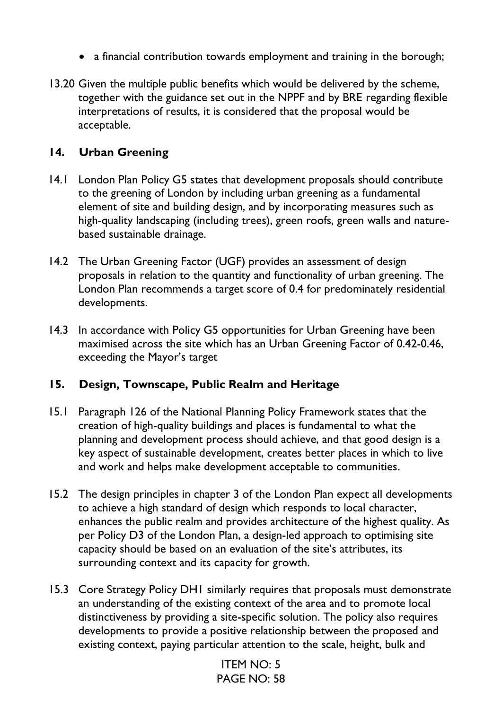- a financial contribution towards employment and training in the borough;
- 13.20 Given the multiple public benefits which would be delivered by the scheme, together with the guidance set out in the NPPF and by BRE regarding flexible interpretations of results, it is considered that the proposal would be acceptable.

## **14. Urban Greening**

- 14.1 London Plan Policy G5 states that development proposals should contribute to the greening of London by including urban greening as a fundamental element of site and building design, and by incorporating measures such as high-quality landscaping (including trees), green roofs, green walls and naturebased sustainable drainage.
- 14.2 The Urban Greening Factor (UGF) provides an assessment of design proposals in relation to the quantity and functionality of urban greening. The London Plan recommends a target score of 0.4 for predominately residential developments.
- 14.3 In accordance with Policy G5 opportunities for Urban Greening have been maximised across the site which has an Urban Greening Factor of 0.42-0.46, exceeding the Mayor's target

### **15. Design, Townscape, Public Realm and Heritage**

- 15.1 Paragraph 126 of the National Planning Policy Framework states that the creation of high-quality buildings and places is fundamental to what the planning and development process should achieve, and that good design is a key aspect of sustainable development, creates better places in which to live and work and helps make development acceptable to communities.
- 15.2 The design principles in chapter 3 of the London Plan expect all developments to achieve a high standard of design which responds to local character, enhances the public realm and provides architecture of the highest quality. As per Policy D3 of the London Plan, a design-led approach to optimising site capacity should be based on an evaluation of the site's attributes, its surrounding context and its capacity for growth.
- 15.3 Core Strategy Policy DH1 similarly requires that proposals must demonstrate an understanding of the existing context of the area and to promote local distinctiveness by providing a site-specific solution. The policy also requires developments to provide a positive relationship between the proposed and existing context, paying particular attention to the scale, height, bulk and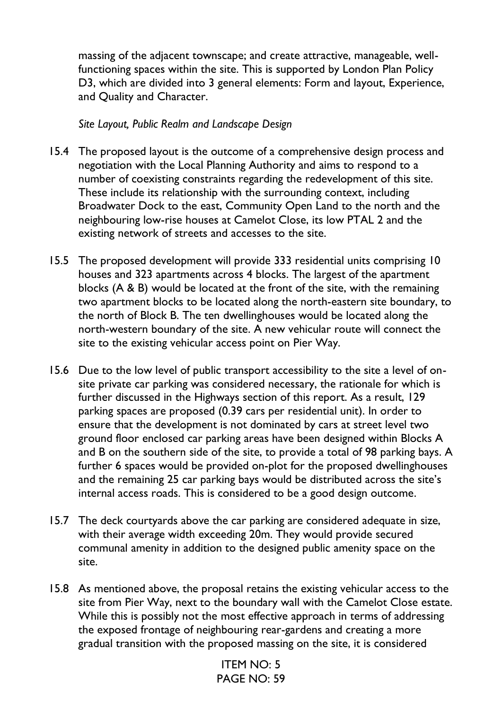massing of the adjacent townscape; and create attractive, manageable, wellfunctioning spaces within the site. This is supported by London Plan Policy D3, which are divided into 3 general elements: Form and layout, Experience, and Quality and Character.

*Site Layout, Public Realm and Landscape Design*

- 15.4 The proposed layout is the outcome of a comprehensive design process and negotiation with the Local Planning Authority and aims to respond to a number of coexisting constraints regarding the redevelopment of this site. These include its relationship with the surrounding context, including Broadwater Dock to the east, Community Open Land to the north and the neighbouring low-rise houses at Camelot Close, its low PTAL 2 and the existing network of streets and accesses to the site.
- 15.5 The proposed development will provide 333 residential units comprising 10 houses and 323 apartments across 4 blocks. The largest of the apartment blocks (A & B) would be located at the front of the site, with the remaining two apartment blocks to be located along the north-eastern site boundary, to the north of Block B. The ten dwellinghouses would be located along the north-western boundary of the site. A new vehicular route will connect the site to the existing vehicular access point on Pier Way.
- 15.6 Due to the low level of public transport accessibility to the site a level of onsite private car parking was considered necessary, the rationale for which is further discussed in the Highways section of this report. As a result, 129 parking spaces are proposed (0.39 cars per residential unit). In order to ensure that the development is not dominated by cars at street level two ground floor enclosed car parking areas have been designed within Blocks A and B on the southern side of the site, to provide a total of 98 parking bays. A further 6 spaces would be provided on-plot for the proposed dwellinghouses and the remaining 25 car parking bays would be distributed across the site's internal access roads. This is considered to be a good design outcome.
- 15.7 The deck courtyards above the car parking are considered adequate in size, with their average width exceeding 20m. They would provide secured communal amenity in addition to the designed public amenity space on the site.
- 15.8 As mentioned above, the proposal retains the existing vehicular access to the site from Pier Way, next to the boundary wall with the Camelot Close estate. While this is possibly not the most effective approach in terms of addressing the exposed frontage of neighbouring rear-gardens and creating a more gradual transition with the proposed massing on the site, it is considered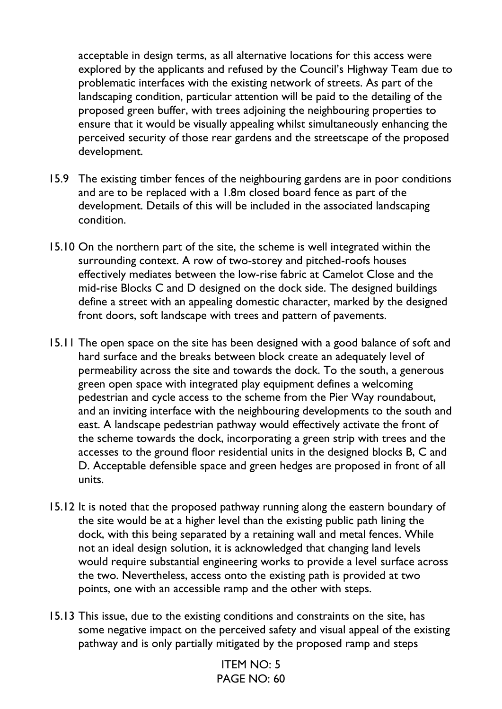acceptable in design terms, as all alternative locations for this access were explored by the applicants and refused by the Council's Highway Team due to problematic interfaces with the existing network of streets. As part of the landscaping condition, particular attention will be paid to the detailing of the proposed green buffer, with trees adjoining the neighbouring properties to ensure that it would be visually appealing whilst simultaneously enhancing the perceived security of those rear gardens and the streetscape of the proposed development.

- 15.9 The existing timber fences of the neighbouring gardens are in poor conditions and are to be replaced with a 1.8m closed board fence as part of the development. Details of this will be included in the associated landscaping condition.
- 15.10 On the northern part of the site, the scheme is well integrated within the surrounding context. A row of two-storey and pitched-roofs houses effectively mediates between the low-rise fabric at Camelot Close and the mid-rise Blocks C and D designed on the dock side. The designed buildings define a street with an appealing domestic character, marked by the designed front doors, soft landscape with trees and pattern of pavements.
- 15.11 The open space on the site has been designed with a good balance of soft and hard surface and the breaks between block create an adequately level of permeability across the site and towards the dock. To the south, a generous green open space with integrated play equipment defines a welcoming pedestrian and cycle access to the scheme from the Pier Way roundabout, and an inviting interface with the neighbouring developments to the south and east. A landscape pedestrian pathway would effectively activate the front of the scheme towards the dock, incorporating a green strip with trees and the accesses to the ground floor residential units in the designed blocks B, C and D. Acceptable defensible space and green hedges are proposed in front of all units.
- 15.12 It is noted that the proposed pathway running along the eastern boundary of the site would be at a higher level than the existing public path lining the dock, with this being separated by a retaining wall and metal fences. While not an ideal design solution, it is acknowledged that changing land levels would require substantial engineering works to provide a level surface across the two. Nevertheless, access onto the existing path is provided at two points, one with an accessible ramp and the other with steps.
- 15.13 This issue, due to the existing conditions and constraints on the site, has some negative impact on the perceived safety and visual appeal of the existing pathway and is only partially mitigated by the proposed ramp and steps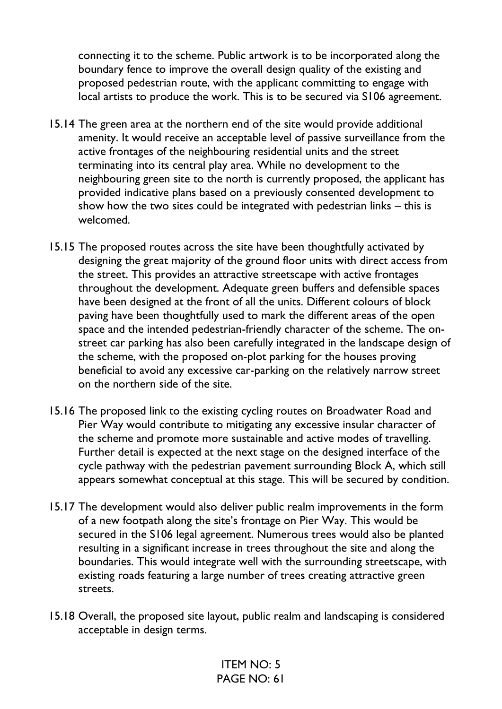connecting it to the scheme. Public artwork is to be incorporated along the boundary fence to improve the overall design quality of the existing and proposed pedestrian route, with the applicant committing to engage with local artists to produce the work. This is to be secured via S106 agreement.

- 15.14 The green area at the northern end of the site would provide additional amenity. It would receive an acceptable level of passive surveillance from the active frontages of the neighbouring residential units and the street terminating into its central play area. While no development to the neighbouring green site to the north is currently proposed, the applicant has provided indicative plans based on a previously consented development to show how the two sites could be integrated with pedestrian links – this is welcomed.
- 15.15 The proposed routes across the site have been thoughtfully activated by designing the great majority of the ground floor units with direct access from the street. This provides an attractive streetscape with active frontages throughout the development. Adequate green buffers and defensible spaces have been designed at the front of all the units. Different colours of block paving have been thoughtfully used to mark the different areas of the open space and the intended pedestrian-friendly character of the scheme. The onstreet car parking has also been carefully integrated in the landscape design of the scheme, with the proposed on-plot parking for the houses proving beneficial to avoid any excessive car-parking on the relatively narrow street on the northern side of the site.
- 15.16 The proposed link to the existing cycling routes on Broadwater Road and Pier Way would contribute to mitigating any excessive insular character of the scheme and promote more sustainable and active modes of travelling. Further detail is expected at the next stage on the designed interface of the cycle pathway with the pedestrian pavement surrounding Block A, which still appears somewhat conceptual at this stage. This will be secured by condition.
- 15.17 The development would also deliver public realm improvements in the form of a new footpath along the site's frontage on Pier Way. This would be secured in the S106 legal agreement. Numerous trees would also be planted resulting in a significant increase in trees throughout the site and along the boundaries. This would integrate well with the surrounding streetscape, with existing roads featuring a large number of trees creating attractive green streets.
- 15.18 Overall, the proposed site layout, public realm and landscaping is considered acceptable in design terms.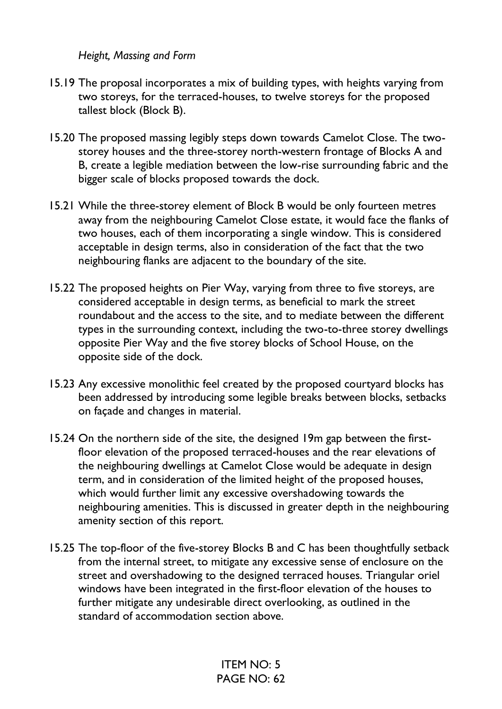*Height, Massing and Form*

- 15.19 The proposal incorporates a mix of building types, with heights varying from two storeys, for the terraced-houses, to twelve storeys for the proposed tallest block (Block B).
- 15.20 The proposed massing legibly steps down towards Camelot Close. The twostorey houses and the three-storey north-western frontage of Blocks A and B, create a legible mediation between the low-rise surrounding fabric and the bigger scale of blocks proposed towards the dock.
- 15.21 While the three-storey element of Block B would be only fourteen metres away from the neighbouring Camelot Close estate, it would face the flanks of two houses, each of them incorporating a single window. This is considered acceptable in design terms, also in consideration of the fact that the two neighbouring flanks are adjacent to the boundary of the site.
- 15.22 The proposed heights on Pier Way, varying from three to five storeys, are considered acceptable in design terms, as beneficial to mark the street roundabout and the access to the site, and to mediate between the different types in the surrounding context, including the two-to-three storey dwellings opposite Pier Way and the five storey blocks of School House, on the opposite side of the dock.
- 15.23 Any excessive monolithic feel created by the proposed courtyard blocks has been addressed by introducing some legible breaks between blocks, setbacks on façade and changes in material.
- 15.24 On the northern side of the site, the designed 19m gap between the firstfloor elevation of the proposed terraced-houses and the rear elevations of the neighbouring dwellings at Camelot Close would be adequate in design term, and in consideration of the limited height of the proposed houses, which would further limit any excessive overshadowing towards the neighbouring amenities. This is discussed in greater depth in the neighbouring amenity section of this report.
- 15.25 The top-floor of the five-storey Blocks B and C has been thoughtfully setback from the internal street, to mitigate any excessive sense of enclosure on the street and overshadowing to the designed terraced houses. Triangular oriel windows have been integrated in the first-floor elevation of the houses to further mitigate any undesirable direct overlooking, as outlined in the standard of accommodation section above.

ITEM NO: 5  $PAGF NO·62$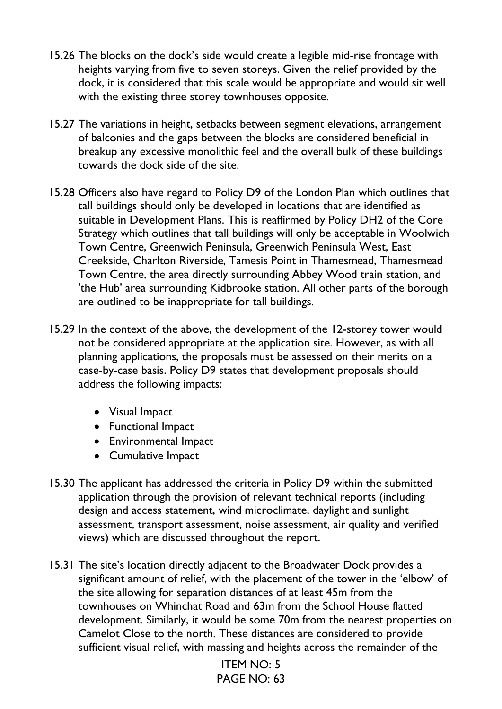- 15.26 The blocks on the dock's side would create a legible mid-rise frontage with heights varying from five to seven storeys. Given the relief provided by the dock, it is considered that this scale would be appropriate and would sit well with the existing three storey townhouses opposite.
- 15.27 The variations in height, setbacks between segment elevations, arrangement of balconies and the gaps between the blocks are considered beneficial in breakup any excessive monolithic feel and the overall bulk of these buildings towards the dock side of the site.
- 15.28 Officers also have regard to Policy D9 of the London Plan which outlines that tall buildings should only be developed in locations that are identified as suitable in Development Plans. This is reaffirmed by Policy DH2 of the Core Strategy which outlines that tall buildings will only be acceptable in Woolwich Town Centre, Greenwich Peninsula, Greenwich Peninsula West, East Creekside, Charlton Riverside, Tamesis Point in Thamesmead, Thamesmead Town Centre, the area directly surrounding Abbey Wood train station, and 'the Hub' area surrounding Kidbrooke station. All other parts of the borough are outlined to be inappropriate for tall buildings.
- 15.29 In the context of the above, the development of the 12-storey tower would not be considered appropriate at the application site. However, as with all planning applications, the proposals must be assessed on their merits on a case-by-case basis. Policy D9 states that development proposals should address the following impacts:
	- Visual Impact
	- Functional Impact
	- Environmental Impact
	- Cumulative Impact
- 15.30 The applicant has addressed the criteria in Policy D9 within the submitted application through the provision of relevant technical reports (including design and access statement, wind microclimate, daylight and sunlight assessment, transport assessment, noise assessment, air quality and verified views) which are discussed throughout the report.
- 15.31 The site's location directly adjacent to the Broadwater Dock provides a significant amount of relief, with the placement of the tower in the 'elbow' of the site allowing for separation distances of at least 45m from the townhouses on Whinchat Road and 63m from the School House flatted development. Similarly, it would be some 70m from the nearest properties on Camelot Close to the north. These distances are considered to provide sufficient visual relief, with massing and heights across the remainder of the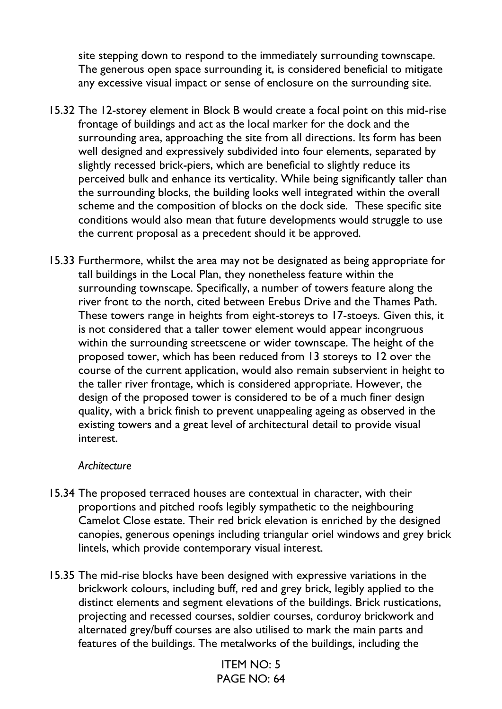site stepping down to respond to the immediately surrounding townscape. The generous open space surrounding it, is considered beneficial to mitigate any excessive visual impact or sense of enclosure on the surrounding site.

- 15.32 The 12-storey element in Block B would create a focal point on this mid-rise frontage of buildings and act as the local marker for the dock and the surrounding area, approaching the site from all directions. Its form has been well designed and expressively subdivided into four elements, separated by slightly recessed brick-piers, which are beneficial to slightly reduce its perceived bulk and enhance its verticality. While being significantly taller than the surrounding blocks, the building looks well integrated within the overall scheme and the composition of blocks on the dock side. These specific site conditions would also mean that future developments would struggle to use the current proposal as a precedent should it be approved.
- 15.33 Furthermore, whilst the area may not be designated as being appropriate for tall buildings in the Local Plan, they nonetheless feature within the surrounding townscape. Specifically, a number of towers feature along the river front to the north, cited between Erebus Drive and the Thames Path. These towers range in heights from eight-storeys to 17-stoeys. Given this, it is not considered that a taller tower element would appear incongruous within the surrounding streetscene or wider townscape. The height of the proposed tower, which has been reduced from 13 storeys to 12 over the course of the current application, would also remain subservient in height to the taller river frontage, which is considered appropriate. However, the design of the proposed tower is considered to be of a much finer design quality, with a brick finish to prevent unappealing ageing as observed in the existing towers and a great level of architectural detail to provide visual interest.

#### *Architecture*

- 15.34 The proposed terraced houses are contextual in character, with their proportions and pitched roofs legibly sympathetic to the neighbouring Camelot Close estate. Their red brick elevation is enriched by the designed canopies, generous openings including triangular oriel windows and grey brick lintels, which provide contemporary visual interest.
- 15.35 The mid-rise blocks have been designed with expressive variations in the brickwork colours, including buff, red and grey brick, legibly applied to the distinct elements and segment elevations of the buildings. Brick rustications, projecting and recessed courses, soldier courses, corduroy brickwork and alternated grey/buff courses are also utilised to mark the main parts and features of the buildings. The metalworks of the buildings, including the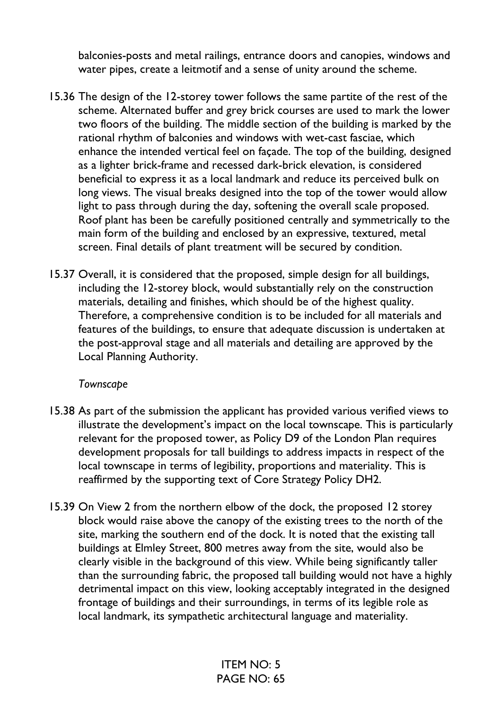balconies-posts and metal railings, entrance doors and canopies, windows and water pipes, create a leitmotif and a sense of unity around the scheme.

- 15.36 The design of the 12-storey tower follows the same partite of the rest of the scheme. Alternated buffer and grey brick courses are used to mark the lower two floors of the building. The middle section of the building is marked by the rational rhythm of balconies and windows with wet-cast fasciae, which enhance the intended vertical feel on façade. The top of the building, designed as a lighter brick-frame and recessed dark-brick elevation, is considered beneficial to express it as a local landmark and reduce its perceived bulk on long views. The visual breaks designed into the top of the tower would allow light to pass through during the day, softening the overall scale proposed. Roof plant has been be carefully positioned centrally and symmetrically to the main form of the building and enclosed by an expressive, textured, metal screen. Final details of plant treatment will be secured by condition.
- 15.37 Overall, it is considered that the proposed, simple design for all buildings, including the 12-storey block, would substantially rely on the construction materials, detailing and finishes, which should be of the highest quality. Therefore, a comprehensive condition is to be included for all materials and features of the buildings, to ensure that adequate discussion is undertaken at the post-approval stage and all materials and detailing are approved by the Local Planning Authority.

### *Townscape*

- 15.38 As part of the submission the applicant has provided various verified views to illustrate the development's impact on the local townscape. This is particularly relevant for the proposed tower, as Policy D9 of the London Plan requires development proposals for tall buildings to address impacts in respect of the local townscape in terms of legibility, proportions and materiality. This is reaffirmed by the supporting text of Core Strategy Policy DH2.
- 15.39 On View 2 from the northern elbow of the dock, the proposed 12 storey block would raise above the canopy of the existing trees to the north of the site, marking the southern end of the dock. It is noted that the existing tall buildings at Elmley Street, 800 metres away from the site, would also be clearly visible in the background of this view. While being significantly taller than the surrounding fabric, the proposed tall building would not have a highly detrimental impact on this view, looking acceptably integrated in the designed frontage of buildings and their surroundings, in terms of its legible role as local landmark, its sympathetic architectural language and materiality.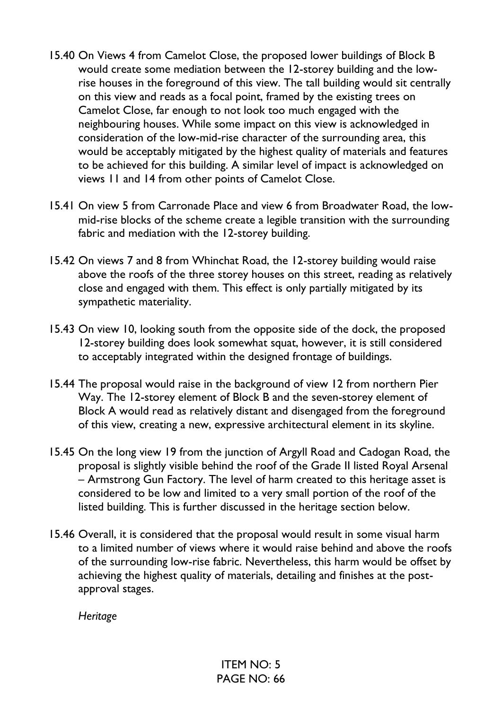- 15.40 On Views 4 from Camelot Close, the proposed lower buildings of Block B would create some mediation between the 12-storey building and the lowrise houses in the foreground of this view. The tall building would sit centrally on this view and reads as a focal point, framed by the existing trees on Camelot Close, far enough to not look too much engaged with the neighbouring houses. While some impact on this view is acknowledged in consideration of the low-mid-rise character of the surrounding area, this would be acceptably mitigated by the highest quality of materials and features to be achieved for this building. A similar level of impact is acknowledged on views 11 and 14 from other points of Camelot Close.
- 15.41 On view 5 from Carronade Place and view 6 from Broadwater Road, the lowmid-rise blocks of the scheme create a legible transition with the surrounding fabric and mediation with the 12-storey building.
- 15.42 On views 7 and 8 from Whinchat Road, the 12-storey building would raise above the roofs of the three storey houses on this street, reading as relatively close and engaged with them. This effect is only partially mitigated by its sympathetic materiality.
- 15.43 On view 10, looking south from the opposite side of the dock, the proposed 12-storey building does look somewhat squat, however, it is still considered to acceptably integrated within the designed frontage of buildings.
- 15.44 The proposal would raise in the background of view 12 from northern Pier Way. The 12-storey element of Block B and the seven-storey element of Block A would read as relatively distant and disengaged from the foreground of this view, creating a new, expressive architectural element in its skyline.
- 15.45 On the long view 19 from the junction of Argyll Road and Cadogan Road, the proposal is slightly visible behind the roof of the Grade II listed Royal Arsenal – Armstrong Gun Factory. The level of harm created to this heritage asset is considered to be low and limited to a very small portion of the roof of the listed building. This is further discussed in the heritage section below.
- 15.46 Overall, it is considered that the proposal would result in some visual harm to a limited number of views where it would raise behind and above the roofs of the surrounding low-rise fabric. Nevertheless, this harm would be offset by achieving the highest quality of materials, detailing and finishes at the postapproval stages.

*Heritage*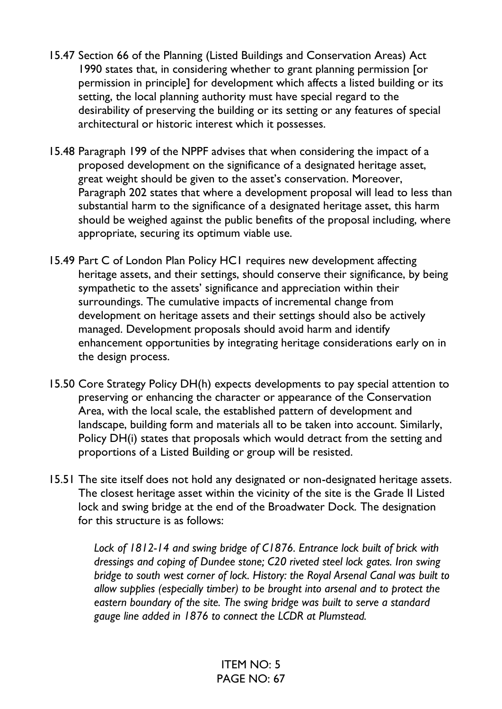- 15.47 Section 66 of the Planning (Listed Buildings and Conservation Areas) Act 1990 states that, in considering whether to grant planning permission [or permission in principle] for development which affects a listed building or its setting, the local planning authority must have special regard to the desirability of preserving the building or its setting or any features of special architectural or historic interest which it possesses.
- 15.48 Paragraph 199 of the NPPF advises that when considering the impact of a proposed development on the significance of a designated heritage asset, great weight should be given to the asset's conservation. Moreover, Paragraph 202 states that where a development proposal will lead to less than substantial harm to the significance of a designated heritage asset, this harm should be weighed against the public benefits of the proposal including, where appropriate, securing its optimum viable use.
- 15.49 Part C of London Plan Policy HC1 requires new development affecting heritage assets, and their settings, should conserve their significance, by being sympathetic to the assets' significance and appreciation within their surroundings. The cumulative impacts of incremental change from development on heritage assets and their settings should also be actively managed. Development proposals should avoid harm and identify enhancement opportunities by integrating heritage considerations early on in the design process.
- 15.50 Core Strategy Policy DH(h) expects developments to pay special attention to preserving or enhancing the character or appearance of the Conservation Area, with the local scale, the established pattern of development and landscape, building form and materials all to be taken into account. Similarly, Policy DH(i) states that proposals which would detract from the setting and proportions of a Listed Building or group will be resisted.
- 15.51 The site itself does not hold any designated or non-designated heritage assets. The closest heritage asset within the vicinity of the site is the Grade II Listed lock and swing bridge at the end of the Broadwater Dock. The designation for this structure is as follows:

*Lock of 1812-14 and swing bridge of C1876. Entrance lock built of brick with dressings and coping of Dundee stone; C20 riveted steel lock gates. Iron swing bridge to south west corner of lock. History: the Royal Arsenal Canal was built to allow supplies (especially timber) to be brought into arsenal and to protect the eastern boundary of the site. The swing bridge was built to serve a standard gauge line added in 1876 to connect the LCDR at Plumstead.*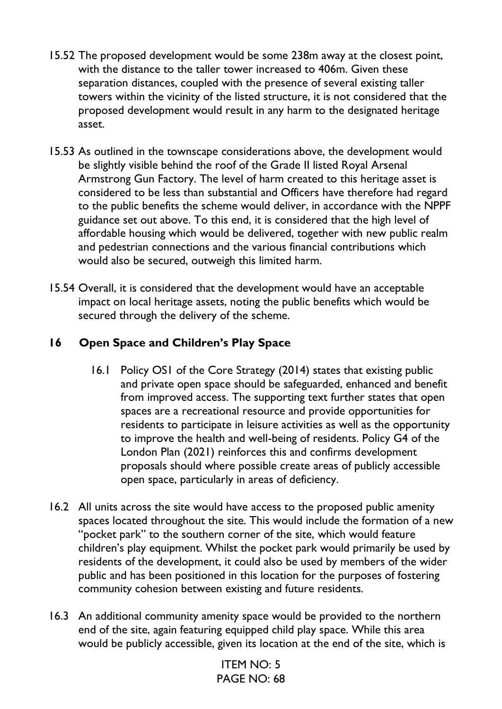- 15.52 The proposed development would be some 238m away at the closest point, with the distance to the taller tower increased to 406m. Given these separation distances, coupled with the presence of several existing taller towers within the vicinity of the listed structure, it is not considered that the proposed development would result in any harm to the designated heritage asset.
- 15.53 As outlined in the townscape considerations above, the development would be slightly visible behind the roof of the Grade II listed Royal Arsenal Armstrong Gun Factory. The level of harm created to this heritage asset is considered to be less than substantial and Officers have therefore had regard to the public benefits the scheme would deliver, in accordance with the NPPF guidance set out above. To this end, it is considered that the high level of affordable housing which would be delivered, together with new public realm and pedestrian connections and the various financial contributions which would also be secured, outweigh this limited harm.
- 15.54 Overall, it is considered that the development would have an acceptable impact on local heritage assets, noting the public benefits which would be secured through the delivery of the scheme.

# **16 Open Space and Children's Play Space**

- 16.1 Policy OS1 of the Core Strategy (2014) states that existing public and private open space should be safeguarded, enhanced and benefit from improved access. The supporting text further states that open spaces are a recreational resource and provide opportunities for residents to participate in leisure activities as well as the opportunity to improve the health and well-being of residents. Policy G4 of the London Plan (2021) reinforces this and confirms development proposals should where possible create areas of publicly accessible open space, particularly in areas of deficiency.
- 16.2 All units across the site would have access to the proposed public amenity spaces located throughout the site. This would include the formation of a new "pocket park" to the southern corner of the site, which would feature children's play equipment. Whilst the pocket park would primarily be used by residents of the development, it could also be used by members of the wider public and has been positioned in this location for the purposes of fostering community cohesion between existing and future residents.
- 16.3 An additional community amenity space would be provided to the northern end of the site, again featuring equipped child play space. While this area would be publicly accessible, given its location at the end of the site, which is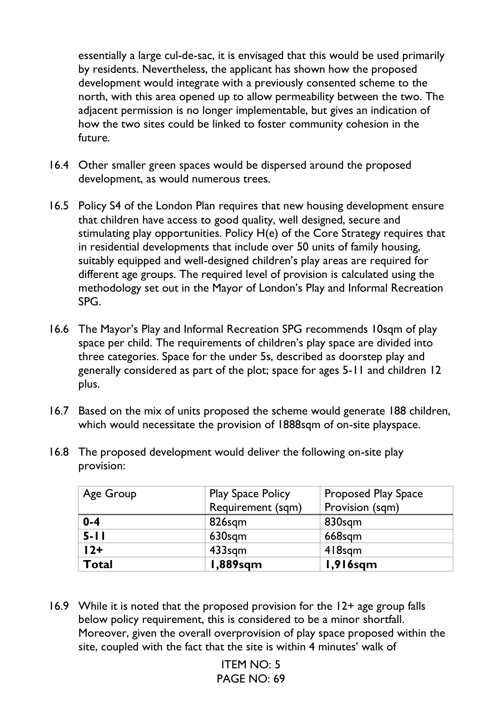essentially a large cul-de-sac, it is envisaged that this would be used primarily by residents. Nevertheless, the applicant has shown how the proposed development would integrate with a previously consented scheme to the north, with this area opened up to allow permeability between the two. The adjacent permission is no longer implementable, but gives an indication of how the two sites could be linked to foster community cohesion in the future.

- 16.4 Other smaller green spaces would be dispersed around the proposed development, as would numerous trees.
- 16.5 Policy S4 of the London Plan requires that new housing development ensure that children have access to good quality, well designed, secure and stimulating play opportunities. Policy H(e) of the Core Strategy requires that in residential developments that include over 50 units of family housing, suitably equipped and well-designed children's play areas are required for different age groups. The required level of provision is calculated using the methodology set out in the Mayor of London's Play and Informal Recreation SPG.
- 16.6 The Mayor's Play and Informal Recreation SPG recommends 10sqm of play space per child. The requirements of children's play space are divided into three categories. Space for the under 5s, described as doorstep play and generally considered as part of the plot; space for ages 5-11 and children 12 plus.
- 16.7 Based on the mix of units proposed the scheme would generate 188 children, which would necessitate the provision of 1888sqm of on-site playspace.
- 16.8 The proposed development would deliver the following on-site play provision:

| Age Group    | <b>Play Space Policy</b> | <b>Proposed Play Space</b> |  |
|--------------|--------------------------|----------------------------|--|
|              | Requirement (sqm)        | Provision (sqm)            |  |
| $0 - 4$      | 826sqm                   | 830sqm                     |  |
| $5 - 11$     | 630sqm                   | 668sqm                     |  |
| $12+$        | 433sqm                   | $418$ sqm                  |  |
| <b>Total</b> | 1,889sqm                 | 1,916sqm                   |  |

16.9 While it is noted that the proposed provision for the 12+ age group falls below policy requirement, this is considered to be a minor shortfall. Moreover, given the overall overprovision of play space proposed within the site, coupled with the fact that the site is within 4 minutes' walk of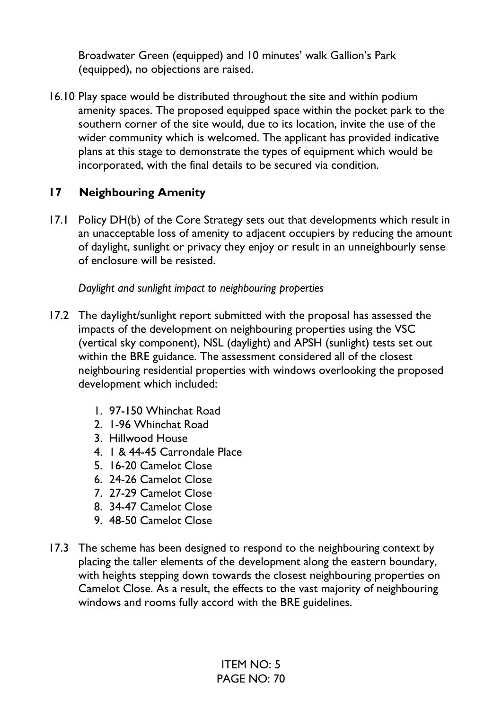Broadwater Green (equipped) and 10 minutes' walk Gallion's Park (equipped), no objections are raised.

16.10 Play space would be distributed throughout the site and within podium amenity spaces. The proposed equipped space within the pocket park to the southern corner of the site would, due to its location, invite the use of the wider community which is welcomed. The applicant has provided indicative plans at this stage to demonstrate the types of equipment which would be incorporated, with the final details to be secured via condition.

# **17 Neighbouring Amenity**

17.1 Policy DH(b) of the Core Strategy sets out that developments which result in an unacceptable loss of amenity to adjacent occupiers by reducing the amount of daylight, sunlight or privacy they enjoy or result in an unneighbourly sense of enclosure will be resisted.

*Daylight and sunlight impact to neighbouring properties*

- 17.2 The daylight/sunlight report submitted with the proposal has assessed the impacts of the development on neighbouring properties using the VSC (vertical sky component), NSL (daylight) and APSH (sunlight) tests set out within the BRE guidance. The assessment considered all of the closest neighbouring residential properties with windows overlooking the proposed development which included:
	- 1. 97-150 Whinchat Road
	- 2. 1-96 Whinchat Road
	- 3. Hillwood House
	- 4. 1 & 44-45 Carrondale Place
	- 5. 16-20 Camelot Close
	- 6. 24-26 Camelot Close
	- 7. 27-29 Camelot Close
	- 8. 34-47 Camelot Close
	- 9. 48-50 Camelot Close
- 17.3 The scheme has been designed to respond to the neighbouring context by placing the taller elements of the development along the eastern boundary, with heights stepping down towards the closest neighbouring properties on Camelot Close. As a result, the effects to the vast majority of neighbouring windows and rooms fully accord with the BRE guidelines.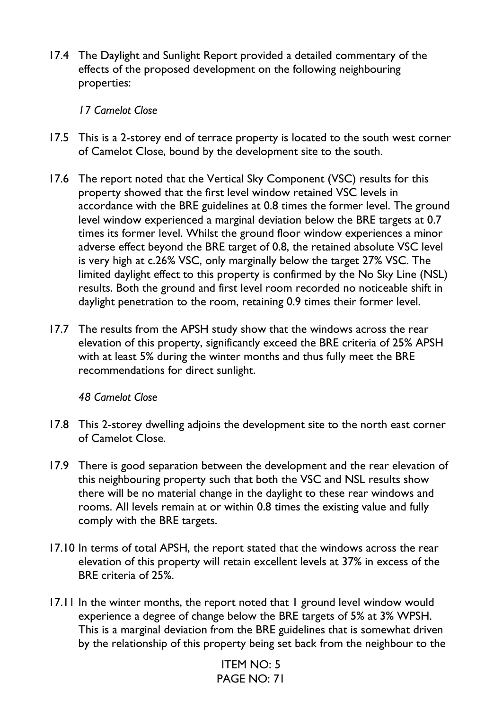17.4 The Daylight and Sunlight Report provided a detailed commentary of the effects of the proposed development on the following neighbouring properties:

## *17 Camelot Close*

- 17.5 This is a 2-storey end of terrace property is located to the south west corner of Camelot Close, bound by the development site to the south.
- 17.6 The report noted that the Vertical Sky Component (VSC) results for this property showed that the first level window retained VSC levels in accordance with the BRE guidelines at 0.8 times the former level. The ground level window experienced a marginal deviation below the BRE targets at 0.7 times its former level. Whilst the ground floor window experiences a minor adverse effect beyond the BRE target of 0.8, the retained absolute VSC level is very high at c.26% VSC, only marginally below the target 27% VSC. The limited daylight effect to this property is confirmed by the No Sky Line (NSL) results. Both the ground and first level room recorded no noticeable shift in daylight penetration to the room, retaining 0.9 times their former level.
- 17.7 The results from the APSH study show that the windows across the rear elevation of this property, significantly exceed the BRE criteria of 25% APSH with at least 5% during the winter months and thus fully meet the BRE recommendations for direct sunlight.

### *48 Camelot Close*

- 17.8 This 2-storey dwelling adjoins the development site to the north east corner of Camelot Close.
- 17.9 There is good separation between the development and the rear elevation of this neighbouring property such that both the VSC and NSL results show there will be no material change in the daylight to these rear windows and rooms. All levels remain at or within 0.8 times the existing value and fully comply with the BRE targets.
- 17.10 In terms of total APSH, the report stated that the windows across the rear elevation of this property will retain excellent levels at 37% in excess of the BRE criteria of 25%.
- 17.11 In the winter months, the report noted that 1 ground level window would experience a degree of change below the BRE targets of 5% at 3% WPSH. This is a marginal deviation from the BRE guidelines that is somewhat driven by the relationship of this property being set back from the neighbour to the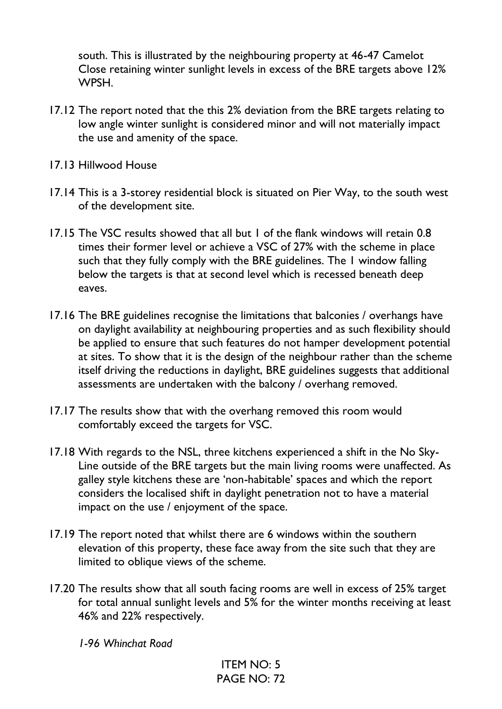south. This is illustrated by the neighbouring property at 46-47 Camelot Close retaining winter sunlight levels in excess of the BRE targets above 12% WPSH.

- 17.12 The report noted that the this 2% deviation from the BRE targets relating to low angle winter sunlight is considered minor and will not materially impact the use and amenity of the space.
- 17.13 Hillwood House
- 17.14 This is a 3-storey residential block is situated on Pier Way, to the south west of the development site.
- 17.15 The VSC results showed that all but 1 of the flank windows will retain 0.8 times their former level or achieve a VSC of 27% with the scheme in place such that they fully comply with the BRE guidelines. The 1 window falling below the targets is that at second level which is recessed beneath deep eaves.
- 17.16 The BRE guidelines recognise the limitations that balconies / overhangs have on daylight availability at neighbouring properties and as such flexibility should be applied to ensure that such features do not hamper development potential at sites. To show that it is the design of the neighbour rather than the scheme itself driving the reductions in daylight, BRE guidelines suggests that additional assessments are undertaken with the balcony / overhang removed.
- 17.17 The results show that with the overhang removed this room would comfortably exceed the targets for VSC.
- 17.18 With regards to the NSL, three kitchens experienced a shift in the No Sky-Line outside of the BRE targets but the main living rooms were unaffected. As galley style kitchens these are 'non-habitable' spaces and which the report considers the localised shift in daylight penetration not to have a material impact on the use / enjoyment of the space.
- 17.19 The report noted that whilst there are 6 windows within the southern elevation of this property, these face away from the site such that they are limited to oblique views of the scheme.
- 17.20 The results show that all south facing rooms are well in excess of 25% target for total annual sunlight levels and 5% for the winter months receiving at least 46% and 22% respectively.

*1-96 Whinchat Road*

ITEM NO: 5  $PAGF NO·72$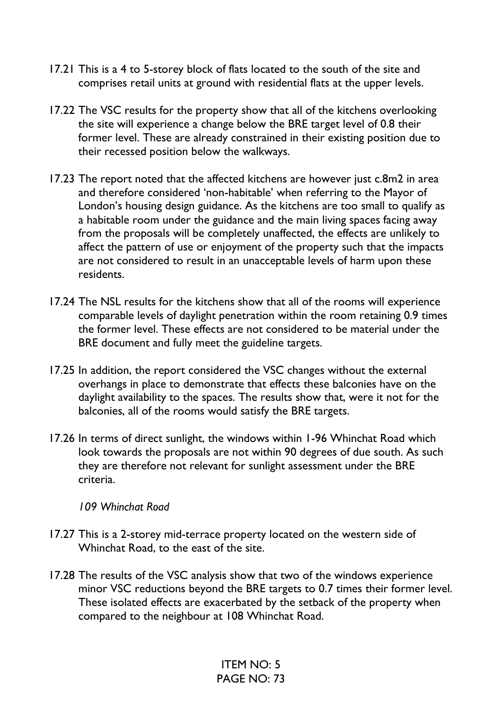- 17.21 This is a 4 to 5-storey block of flats located to the south of the site and comprises retail units at ground with residential flats at the upper levels.
- 17.22 The VSC results for the property show that all of the kitchens overlooking the site will experience a change below the BRE target level of 0.8 their former level. These are already constrained in their existing position due to their recessed position below the walkways.
- 17.23 The report noted that the affected kitchens are however just c.8m2 in area and therefore considered 'non-habitable' when referring to the Mayor of London's housing design guidance. As the kitchens are too small to qualify as a habitable room under the guidance and the main living spaces facing away from the proposals will be completely unaffected, the effects are unlikely to affect the pattern of use or enjoyment of the property such that the impacts are not considered to result in an unacceptable levels of harm upon these residents.
- 17.24 The NSL results for the kitchens show that all of the rooms will experience comparable levels of daylight penetration within the room retaining 0.9 times the former level. These effects are not considered to be material under the BRE document and fully meet the guideline targets.
- 17.25 In addition, the report considered the VSC changes without the external overhangs in place to demonstrate that effects these balconies have on the daylight availability to the spaces. The results show that, were it not for the balconies, all of the rooms would satisfy the BRE targets.
- 17.26 In terms of direct sunlight, the windows within 1-96 Whinchat Road which look towards the proposals are not within 90 degrees of due south. As such they are therefore not relevant for sunlight assessment under the BRE criteria.

*109 Whinchat Road*

- 17.27 This is a 2-storey mid-terrace property located on the western side of Whinchat Road, to the east of the site.
- 17.28 The results of the VSC analysis show that two of the windows experience minor VSC reductions beyond the BRE targets to 0.7 times their former level. These isolated effects are exacerbated by the setback of the property when compared to the neighbour at 108 Whinchat Road.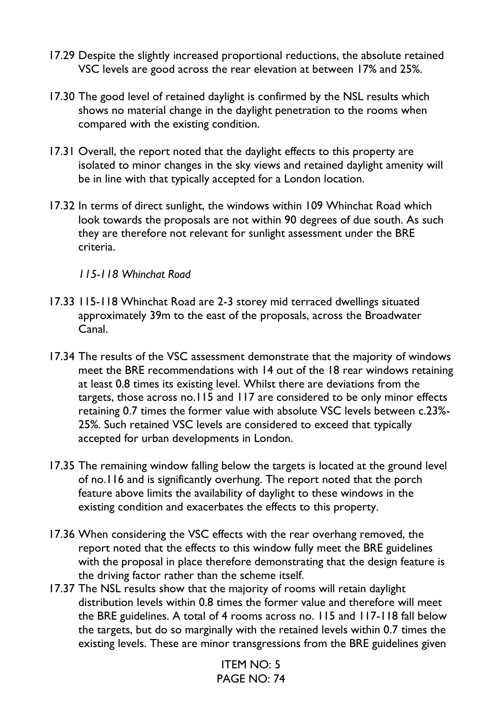- 17.29 Despite the slightly increased proportional reductions, the absolute retained VSC levels are good across the rear elevation at between 17% and 25%.
- 17.30 The good level of retained daylight is confirmed by the NSL results which shows no material change in the daylight penetration to the rooms when compared with the existing condition.
- 17.31 Overall, the report noted that the daylight effects to this property are isolated to minor changes in the sky views and retained daylight amenity will be in line with that typically accepted for a London location.
- 17.32 In terms of direct sunlight, the windows within 109 Whinchat Road which look towards the proposals are not within 90 degrees of due south. As such they are therefore not relevant for sunlight assessment under the BRE criteria.

*115-118 Whinchat Road*

- 17.33 115-118 Whinchat Road are 2-3 storey mid terraced dwellings situated approximately 39m to the east of the proposals, across the Broadwater Canal.
- 17.34 The results of the VSC assessment demonstrate that the majority of windows meet the BRE recommendations with 14 out of the 18 rear windows retaining at least 0.8 times its existing level. Whilst there are deviations from the targets, those across no.115 and 117 are considered to be only minor effects retaining 0.7 times the former value with absolute VSC levels between c.23%- 25%. Such retained VSC levels are considered to exceed that typically accepted for urban developments in London.
- 17.35 The remaining window falling below the targets is located at the ground level of no.116 and is significantly overhung. The report noted that the porch feature above limits the availability of daylight to these windows in the existing condition and exacerbates the effects to this property.
- 17.36 When considering the VSC effects with the rear overhang removed, the report noted that the effects to this window fully meet the BRE guidelines with the proposal in place therefore demonstrating that the design feature is the driving factor rather than the scheme itself.
- 17.37 The NSL results show that the majority of rooms will retain daylight distribution levels within 0.8 times the former value and therefore will meet the BRE guidelines. A total of 4 rooms across no. 115 and 117-118 fall below the targets, but do so marginally with the retained levels within 0.7 times the existing levels. These are minor transgressions from the BRE guidelines given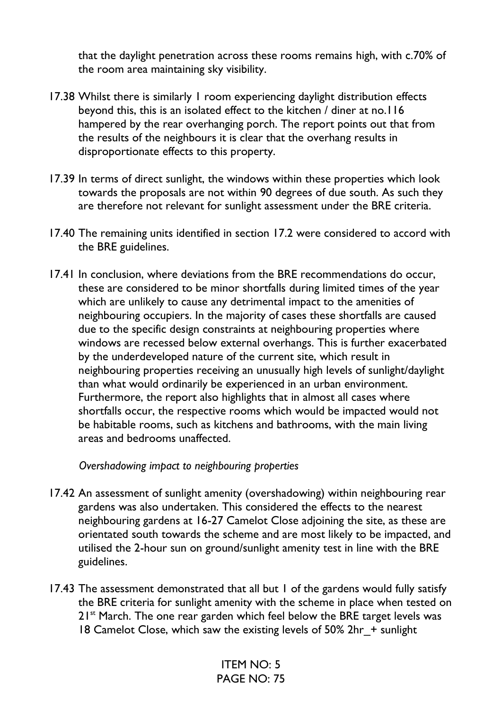that the daylight penetration across these rooms remains high, with c.70% of the room area maintaining sky visibility.

- 17.38 Whilst there is similarly 1 room experiencing daylight distribution effects beyond this, this is an isolated effect to the kitchen / diner at no.116 hampered by the rear overhanging porch. The report points out that from the results of the neighbours it is clear that the overhang results in disproportionate effects to this property.
- 17.39 In terms of direct sunlight, the windows within these properties which look towards the proposals are not within 90 degrees of due south. As such they are therefore not relevant for sunlight assessment under the BRE criteria.
- 17.40 The remaining units identified in section 17.2 were considered to accord with the BRE guidelines.
- 17.41 In conclusion, where deviations from the BRE recommendations do occur, these are considered to be minor shortfalls during limited times of the year which are unlikely to cause any detrimental impact to the amenities of neighbouring occupiers. In the majority of cases these shortfalls are caused due to the specific design constraints at neighbouring properties where windows are recessed below external overhangs. This is further exacerbated by the underdeveloped nature of the current site, which result in neighbouring properties receiving an unusually high levels of sunlight/daylight than what would ordinarily be experienced in an urban environment. Furthermore, the report also highlights that in almost all cases where shortfalls occur, the respective rooms which would be impacted would not be habitable rooms, such as kitchens and bathrooms, with the main living areas and bedrooms unaffected.

*Overshadowing impact to neighbouring properties*

- 17.42 An assessment of sunlight amenity (overshadowing) within neighbouring rear gardens was also undertaken. This considered the effects to the nearest neighbouring gardens at 16-27 Camelot Close adjoining the site, as these are orientated south towards the scheme and are most likely to be impacted, and utilised the 2-hour sun on ground/sunlight amenity test in line with the BRE guidelines.
- 17.43 The assessment demonstrated that all but 1 of the gardens would fully satisfy the BRE criteria for sunlight amenity with the scheme in place when tested on 21<sup>st</sup> March. The one rear garden which feel below the BRE target levels was 18 Camelot Close, which saw the existing levels of 50% 2hr\_+ sunlight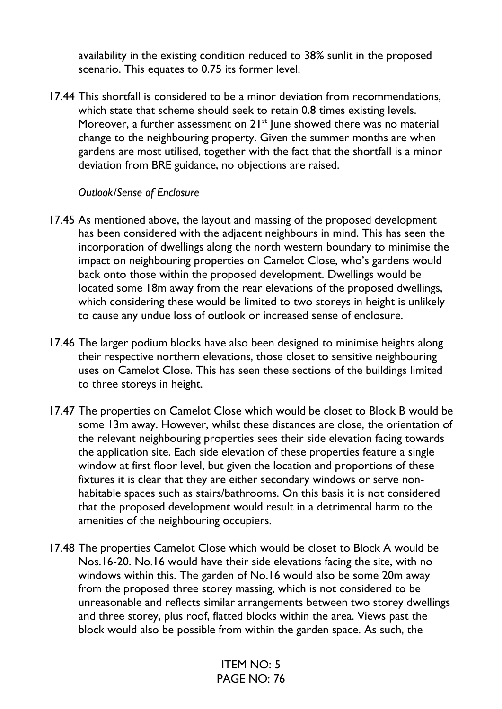availability in the existing condition reduced to 38% sunlit in the proposed scenario. This equates to 0.75 its former level.

17.44 This shortfall is considered to be a minor deviation from recommendations, which state that scheme should seek to retain 0.8 times existing levels. Moreover, a further assessment on  $21<sup>st</sup>$  June showed there was no material change to the neighbouring property. Given the summer months are when gardens are most utilised, together with the fact that the shortfall is a minor deviation from BRE guidance, no objections are raised.

### *Outlook/Sense of Enclosure*

- 17.45 As mentioned above, the layout and massing of the proposed development has been considered with the adjacent neighbours in mind. This has seen the incorporation of dwellings along the north western boundary to minimise the impact on neighbouring properties on Camelot Close, who's gardens would back onto those within the proposed development. Dwellings would be located some 18m away from the rear elevations of the proposed dwellings, which considering these would be limited to two storeys in height is unlikely to cause any undue loss of outlook or increased sense of enclosure.
- 17.46 The larger podium blocks have also been designed to minimise heights along their respective northern elevations, those closet to sensitive neighbouring uses on Camelot Close. This has seen these sections of the buildings limited to three storeys in height.
- 17.47 The properties on Camelot Close which would be closet to Block B would be some 13m away. However, whilst these distances are close, the orientation of the relevant neighbouring properties sees their side elevation facing towards the application site. Each side elevation of these properties feature a single window at first floor level, but given the location and proportions of these fixtures it is clear that they are either secondary windows or serve nonhabitable spaces such as stairs/bathrooms. On this basis it is not considered that the proposed development would result in a detrimental harm to the amenities of the neighbouring occupiers.
- 17.48 The properties Camelot Close which would be closet to Block A would be Nos.16-20. No.16 would have their side elevations facing the site, with no windows within this. The garden of No.16 would also be some 20m away from the proposed three storey massing, which is not considered to be unreasonable and reflects similar arrangements between two storey dwellings and three storey, plus roof, flatted blocks within the area. Views past the block would also be possible from within the garden space. As such, the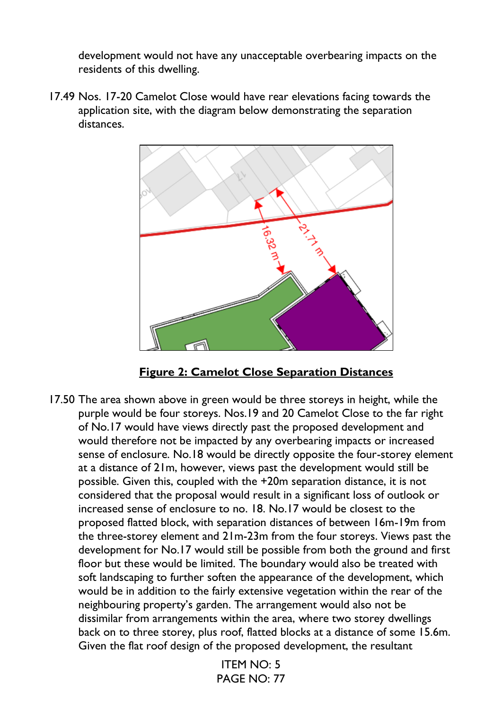development would not have any unacceptable overbearing impacts on the residents of this dwelling.

17.49 Nos. 17-20 Camelot Close would have rear elevations facing towards the application site, with the diagram below demonstrating the separation distances.



**Figure 2: Camelot Close Separation Distances**

17.50 The area shown above in green would be three storeys in height, while the purple would be four storeys. Nos.19 and 20 Camelot Close to the far right of No.17 would have views directly past the proposed development and would therefore not be impacted by any overbearing impacts or increased sense of enclosure. No.18 would be directly opposite the four-storey element at a distance of 21m, however, views past the development would still be possible. Given this, coupled with the +20m separation distance, it is not considered that the proposal would result in a significant loss of outlook or increased sense of enclosure to no. 18. No.17 would be closest to the proposed flatted block, with separation distances of between 16m-19m from the three-storey element and 21m-23m from the four storeys. Views past the development for No.17 would still be possible from both the ground and first floor but these would be limited. The boundary would also be treated with soft landscaping to further soften the appearance of the development, which would be in addition to the fairly extensive vegetation within the rear of the neighbouring property's garden. The arrangement would also not be dissimilar from arrangements within the area, where two storey dwellings back on to three storey, plus roof, flatted blocks at a distance of some 15.6m. Given the flat roof design of the proposed development, the resultant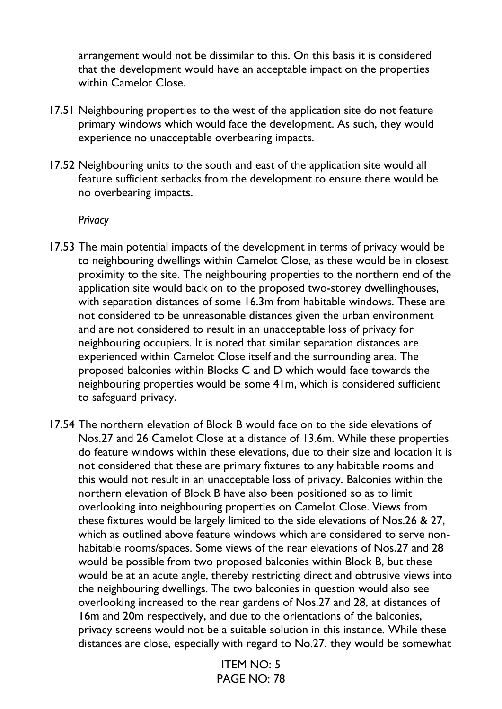arrangement would not be dissimilar to this. On this basis it is considered that the development would have an acceptable impact on the properties within Camelot Close.

- 17.51 Neighbouring properties to the west of the application site do not feature primary windows which would face the development. As such, they would experience no unacceptable overbearing impacts.
- 17.52 Neighbouring units to the south and east of the application site would all feature sufficient setbacks from the development to ensure there would be no overbearing impacts.

#### *Privacy*

- 17.53 The main potential impacts of the development in terms of privacy would be to neighbouring dwellings within Camelot Close, as these would be in closest proximity to the site. The neighbouring properties to the northern end of the application site would back on to the proposed two-storey dwellinghouses, with separation distances of some 16.3m from habitable windows. These are not considered to be unreasonable distances given the urban environment and are not considered to result in an unacceptable loss of privacy for neighbouring occupiers. It is noted that similar separation distances are experienced within Camelot Close itself and the surrounding area. The proposed balconies within Blocks C and D which would face towards the neighbouring properties would be some 41m, which is considered sufficient to safeguard privacy.
- 17.54 The northern elevation of Block B would face on to the side elevations of Nos.27 and 26 Camelot Close at a distance of 13.6m. While these properties do feature windows within these elevations, due to their size and location it is not considered that these are primary fixtures to any habitable rooms and this would not result in an unacceptable loss of privacy. Balconies within the northern elevation of Block B have also been positioned so as to limit overlooking into neighbouring properties on Camelot Close. Views from these fixtures would be largely limited to the side elevations of Nos.26 & 27, which as outlined above feature windows which are considered to serve nonhabitable rooms/spaces. Some views of the rear elevations of Nos.27 and 28 would be possible from two proposed balconies within Block B, but these would be at an acute angle, thereby restricting direct and obtrusive views into the neighbouring dwellings. The two balconies in question would also see overlooking increased to the rear gardens of Nos.27 and 28, at distances of 16m and 20m respectively, and due to the orientations of the balconies, privacy screens would not be a suitable solution in this instance. While these distances are close, especially with regard to No.27, they would be somewhat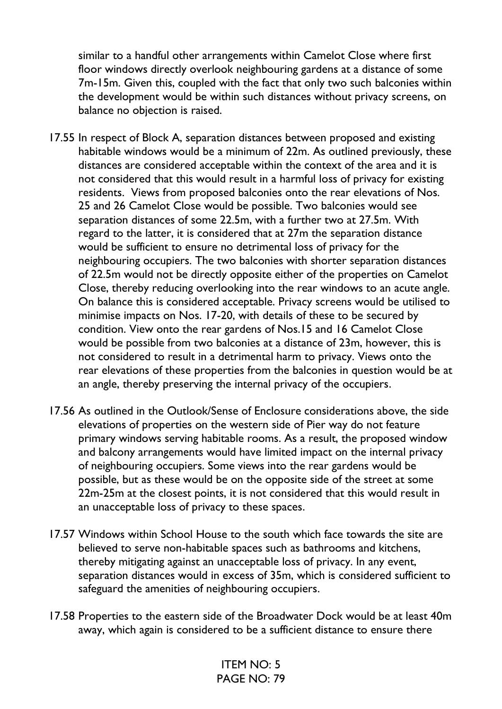similar to a handful other arrangements within Camelot Close where first floor windows directly overlook neighbouring gardens at a distance of some 7m-15m. Given this, coupled with the fact that only two such balconies within the development would be within such distances without privacy screens, on balance no objection is raised.

- 17.55 In respect of Block A, separation distances between proposed and existing habitable windows would be a minimum of 22m. As outlined previously, these distances are considered acceptable within the context of the area and it is not considered that this would result in a harmful loss of privacy for existing residents. Views from proposed balconies onto the rear elevations of Nos. 25 and 26 Camelot Close would be possible. Two balconies would see separation distances of some 22.5m, with a further two at 27.5m. With regard to the latter, it is considered that at 27m the separation distance would be sufficient to ensure no detrimental loss of privacy for the neighbouring occupiers. The two balconies with shorter separation distances of 22.5m would not be directly opposite either of the properties on Camelot Close, thereby reducing overlooking into the rear windows to an acute angle. On balance this is considered acceptable. Privacy screens would be utilised to minimise impacts on Nos. 17-20, with details of these to be secured by condition. View onto the rear gardens of Nos.15 and 16 Camelot Close would be possible from two balconies at a distance of 23m, however, this is not considered to result in a detrimental harm to privacy. Views onto the rear elevations of these properties from the balconies in question would be at an angle, thereby preserving the internal privacy of the occupiers.
- 17.56 As outlined in the Outlook/Sense of Enclosure considerations above, the side elevations of properties on the western side of Pier way do not feature primary windows serving habitable rooms. As a result, the proposed window and balcony arrangements would have limited impact on the internal privacy of neighbouring occupiers. Some views into the rear gardens would be possible, but as these would be on the opposite side of the street at some 22m-25m at the closest points, it is not considered that this would result in an unacceptable loss of privacy to these spaces.
- 17.57 Windows within School House to the south which face towards the site are believed to serve non-habitable spaces such as bathrooms and kitchens, thereby mitigating against an unacceptable loss of privacy. In any event, separation distances would in excess of 35m, which is considered sufficient to safeguard the amenities of neighbouring occupiers.
- 17.58 Properties to the eastern side of the Broadwater Dock would be at least 40m away, which again is considered to be a sufficient distance to ensure there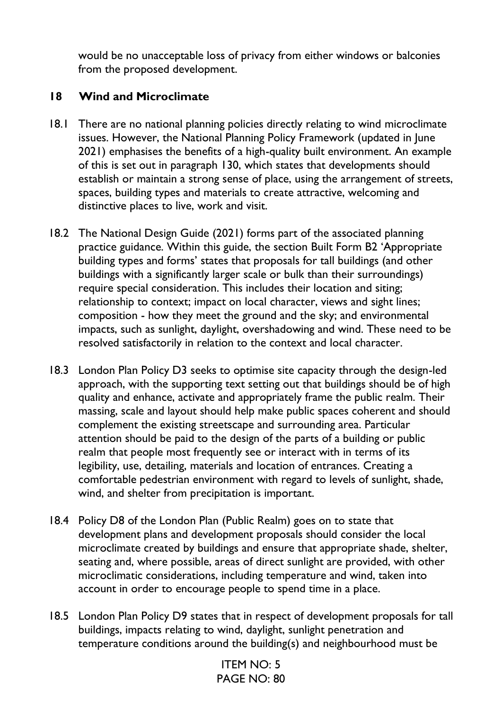would be no unacceptable loss of privacy from either windows or balconies from the proposed development.

# **18 Wind and Microclimate**

- 18.1 There are no national planning policies directly relating to wind microclimate issues. However, the National Planning Policy Framework (updated in June 2021) emphasises the benefits of a high-quality built environment. An example of this is set out in paragraph 130, which states that developments should establish or maintain a strong sense of place, using the arrangement of streets, spaces, building types and materials to create attractive, welcoming and distinctive places to live, work and visit.
- 18.2 The National Design Guide (2021) forms part of the associated planning practice guidance. Within this guide, the section Built Form B2 'Appropriate building types and forms' states that proposals for tall buildings (and other buildings with a significantly larger scale or bulk than their surroundings) require special consideration. This includes their location and siting; relationship to context; impact on local character, views and sight lines; composition - how they meet the ground and the sky; and environmental impacts, such as sunlight, daylight, overshadowing and wind. These need to be resolved satisfactorily in relation to the context and local character.
- 18.3 London Plan Policy D3 seeks to optimise site capacity through the design-led approach, with the supporting text setting out that buildings should be of high quality and enhance, activate and appropriately frame the public realm. Their massing, scale and layout should help make public spaces coherent and should complement the existing streetscape and surrounding area. Particular attention should be paid to the design of the parts of a building or public realm that people most frequently see or interact with in terms of its legibility, use, detailing, materials and location of entrances. Creating a comfortable pedestrian environment with regard to levels of sunlight, shade, wind, and shelter from precipitation is important.
- 18.4 Policy D8 of the London Plan (Public Realm) goes on to state that development plans and development proposals should consider the local microclimate created by buildings and ensure that appropriate shade, shelter, seating and, where possible, areas of direct sunlight are provided, with other microclimatic considerations, including temperature and wind, taken into account in order to encourage people to spend time in a place.
- 18.5 London Plan Policy D9 states that in respect of development proposals for tall buildings, impacts relating to wind, daylight, sunlight penetration and temperature conditions around the building(s) and neighbourhood must be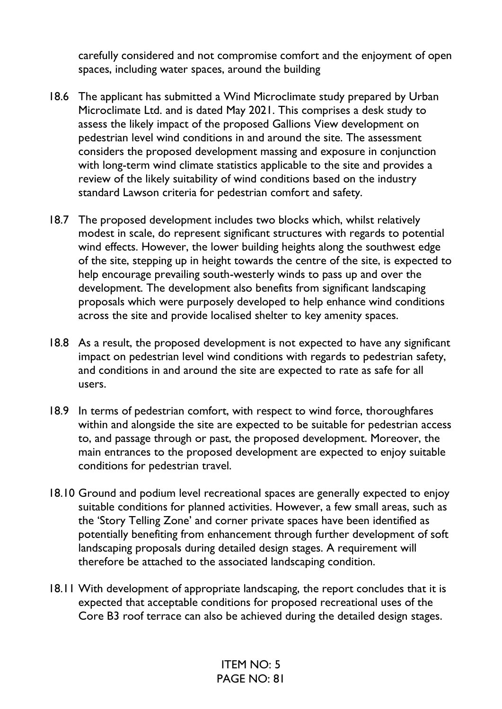carefully considered and not compromise comfort and the enjoyment of open spaces, including water spaces, around the building

- 18.6 The applicant has submitted a Wind Microclimate study prepared by Urban Microclimate Ltd. and is dated May 2021. This comprises a desk study to assess the likely impact of the proposed Gallions View development on pedestrian level wind conditions in and around the site. The assessment considers the proposed development massing and exposure in conjunction with long-term wind climate statistics applicable to the site and provides a review of the likely suitability of wind conditions based on the industry standard Lawson criteria for pedestrian comfort and safety.
- 18.7 The proposed development includes two blocks which, whilst relatively modest in scale, do represent significant structures with regards to potential wind effects. However, the lower building heights along the southwest edge of the site, stepping up in height towards the centre of the site, is expected to help encourage prevailing south-westerly winds to pass up and over the development. The development also benefits from significant landscaping proposals which were purposely developed to help enhance wind conditions across the site and provide localised shelter to key amenity spaces.
- 18.8 As a result, the proposed development is not expected to have any significant impact on pedestrian level wind conditions with regards to pedestrian safety, and conditions in and around the site are expected to rate as safe for all users.
- 18.9 In terms of pedestrian comfort, with respect to wind force, thoroughfares within and alongside the site are expected to be suitable for pedestrian access to, and passage through or past, the proposed development. Moreover, the main entrances to the proposed development are expected to enjoy suitable conditions for pedestrian travel.
- 18.10 Ground and podium level recreational spaces are generally expected to enjoy suitable conditions for planned activities. However, a few small areas, such as the 'Story Telling Zone' and corner private spaces have been identified as potentially benefiting from enhancement through further development of soft landscaping proposals during detailed design stages. A requirement will therefore be attached to the associated landscaping condition.
- 18.11 With development of appropriate landscaping, the report concludes that it is expected that acceptable conditions for proposed recreational uses of the Core B3 roof terrace can also be achieved during the detailed design stages.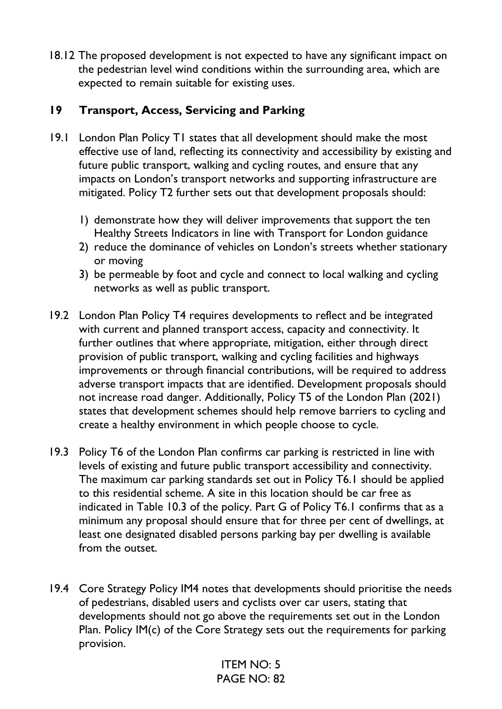18.12 The proposed development is not expected to have any significant impact on the pedestrian level wind conditions within the surrounding area, which are expected to remain suitable for existing uses.

## **19 Transport, Access, Servicing and Parking**

- 19.1 London Plan Policy T1 states that all development should make the most effective use of land, reflecting its connectivity and accessibility by existing and future public transport, walking and cycling routes, and ensure that any impacts on London's transport networks and supporting infrastructure are mitigated. Policy T2 further sets out that development proposals should:
	- 1) demonstrate how they will deliver improvements that support the ten Healthy Streets Indicators in line with Transport for London guidance
	- 2) reduce the dominance of vehicles on London's streets whether stationary or moving
	- 3) be permeable by foot and cycle and connect to local walking and cycling networks as well as public transport.
- 19.2 London Plan Policy T4 requires developments to reflect and be integrated with current and planned transport access, capacity and connectivity. It further outlines that where appropriate, mitigation, either through direct provision of public transport, walking and cycling facilities and highways improvements or through financial contributions, will be required to address adverse transport impacts that are identified. Development proposals should not increase road danger. Additionally, Policy T5 of the London Plan (2021) states that development schemes should help remove barriers to cycling and create a healthy environment in which people choose to cycle.
- 19.3 Policy T6 of the London Plan confirms car parking is restricted in line with levels of existing and future public transport accessibility and connectivity. The maximum car parking standards set out in Policy T6.1 should be applied to this residential scheme. A site in this location should be car free as indicated in Table 10.3 of the policy. Part G of Policy T6.1 confirms that as a minimum any proposal should ensure that for three per cent of dwellings, at least one designated disabled persons parking bay per dwelling is available from the outset.
- 19.4 Core Strategy Policy IM4 notes that developments should prioritise the needs of pedestrians, disabled users and cyclists over car users, stating that developments should not go above the requirements set out in the London Plan. Policy IM(c) of the Core Strategy sets out the requirements for parking provision.

ITEM NO: 5  $PAGF NO· 82$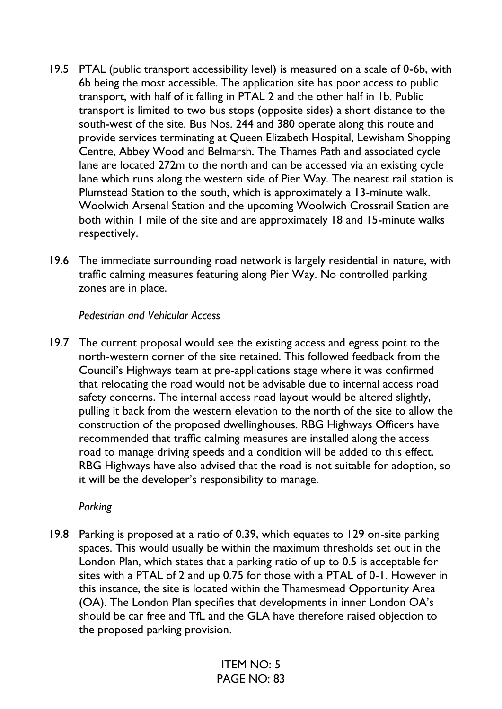- 19.5 PTAL (public transport accessibility level) is measured on a scale of 0-6b, with 6b being the most accessible. The application site has poor access to public transport, with half of it falling in PTAL 2 and the other half in 1b. Public transport is limited to two bus stops (opposite sides) a short distance to the south-west of the site. Bus Nos. 244 and 380 operate along this route and provide services terminating at Queen Elizabeth Hospital, Lewisham Shopping Centre, Abbey Wood and Belmarsh. The Thames Path and associated cycle lane are located 272m to the north and can be accessed via an existing cycle lane which runs along the western side of Pier Way. The nearest rail station is Plumstead Station to the south, which is approximately a 13-minute walk. Woolwich Arsenal Station and the upcoming Woolwich Crossrail Station are both within 1 mile of the site and are approximately 18 and 15-minute walks respectively.
- 19.6 The immediate surrounding road network is largely residential in nature, with traffic calming measures featuring along Pier Way. No controlled parking zones are in place.

### *Pedestrian and Vehicular Access*

19.7 The current proposal would see the existing access and egress point to the north-western corner of the site retained. This followed feedback from the Council's Highways team at pre-applications stage where it was confirmed that relocating the road would not be advisable due to internal access road safety concerns. The internal access road layout would be altered slightly, pulling it back from the western elevation to the north of the site to allow the construction of the proposed dwellinghouses. RBG Highways Officers have recommended that traffic calming measures are installed along the access road to manage driving speeds and a condition will be added to this effect. RBG Highways have also advised that the road is not suitable for adoption, so it will be the developer's responsibility to manage.

### *Parking*

19.8 Parking is proposed at a ratio of 0.39, which equates to 129 on-site parking spaces. This would usually be within the maximum thresholds set out in the London Plan, which states that a parking ratio of up to 0.5 is acceptable for sites with a PTAL of 2 and up 0.75 for those with a PTAL of 0-1. However in this instance, the site is located within the Thamesmead Opportunity Area (OA). The London Plan specifies that developments in inner London OA's should be car free and TfL and the GLA have therefore raised objection to the proposed parking provision.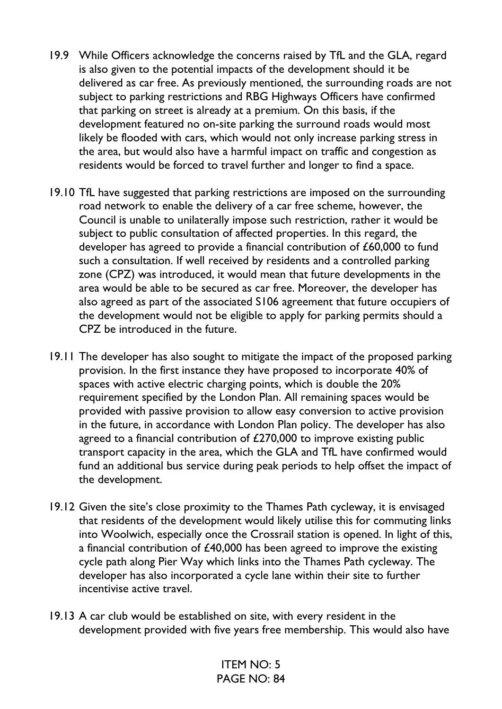- 19.9 While Officers acknowledge the concerns raised by TfL and the GLA, regard is also given to the potential impacts of the development should it be delivered as car free. As previously mentioned, the surrounding roads are not subject to parking restrictions and RBG Highways Officers have confirmed that parking on street is already at a premium. On this basis, if the development featured no on-site parking the surround roads would most likely be flooded with cars, which would not only increase parking stress in the area, but would also have a harmful impact on traffic and congestion as residents would be forced to travel further and longer to find a space.
- 19.10 TfL have suggested that parking restrictions are imposed on the surrounding road network to enable the delivery of a car free scheme, however, the Council is unable to unilaterally impose such restriction, rather it would be subject to public consultation of affected properties. In this regard, the developer has agreed to provide a financial contribution of £60,000 to fund such a consultation. If well received by residents and a controlled parking zone (CPZ) was introduced, it would mean that future developments in the area would be able to be secured as car free. Moreover, the developer has also agreed as part of the associated S106 agreement that future occupiers of the development would not be eligible to apply for parking permits should a CPZ be introduced in the future.
- 19.11 The developer has also sought to mitigate the impact of the proposed parking provision. In the first instance they have proposed to incorporate 40% of spaces with active electric charging points, which is double the 20% requirement specified by the London Plan. All remaining spaces would be provided with passive provision to allow easy conversion to active provision in the future, in accordance with London Plan policy. The developer has also agreed to a financial contribution of £270,000 to improve existing public transport capacity in the area, which the GLA and TfL have confirmed would fund an additional bus service during peak periods to help offset the impact of the development.
- 19.12 Given the site's close proximity to the Thames Path cycleway, it is envisaged that residents of the development would likely utilise this for commuting links into Woolwich, especially once the Crossrail station is opened. In light of this, a financial contribution of £40,000 has been agreed to improve the existing cycle path along Pier Way which links into the Thames Path cycleway. The developer has also incorporated a cycle lane within their site to further incentivise active travel.
- 19.13 A car club would be established on site, with every resident in the development provided with five years free membership. This would also have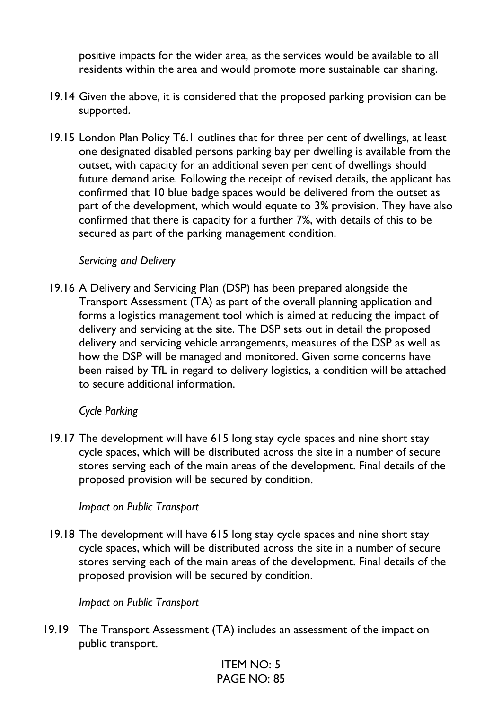positive impacts for the wider area, as the services would be available to all residents within the area and would promote more sustainable car sharing.

- 19.14 Given the above, it is considered that the proposed parking provision can be supported.
- 19.15 London Plan Policy T6.1 outlines that for three per cent of dwellings, at least one designated disabled persons parking bay per dwelling is available from the outset, with capacity for an additional seven per cent of dwellings should future demand arise. Following the receipt of revised details, the applicant has confirmed that 10 blue badge spaces would be delivered from the outset as part of the development, which would equate to 3% provision. They have also confirmed that there is capacity for a further 7%, with details of this to be secured as part of the parking management condition.

### *Servicing and Delivery*

19.16 A Delivery and Servicing Plan (DSP) has been prepared alongside the Transport Assessment (TA) as part of the overall planning application and forms a logistics management tool which is aimed at reducing the impact of delivery and servicing at the site. The DSP sets out in detail the proposed delivery and servicing vehicle arrangements, measures of the DSP as well as how the DSP will be managed and monitored. Given some concerns have been raised by TfL in regard to delivery logistics, a condition will be attached to secure additional information.

### *Cycle Parking*

19.17 The development will have 615 long stay cycle spaces and nine short stay cycle spaces, which will be distributed across the site in a number of secure stores serving each of the main areas of the development. Final details of the proposed provision will be secured by condition.

### *Impact on Public Transport*

19.18 The development will have 615 long stay cycle spaces and nine short stay cycle spaces, which will be distributed across the site in a number of secure stores serving each of the main areas of the development. Final details of the proposed provision will be secured by condition.

### *Impact on Public Transport*

19.19 The Transport Assessment (TA) includes an assessment of the impact on public transport.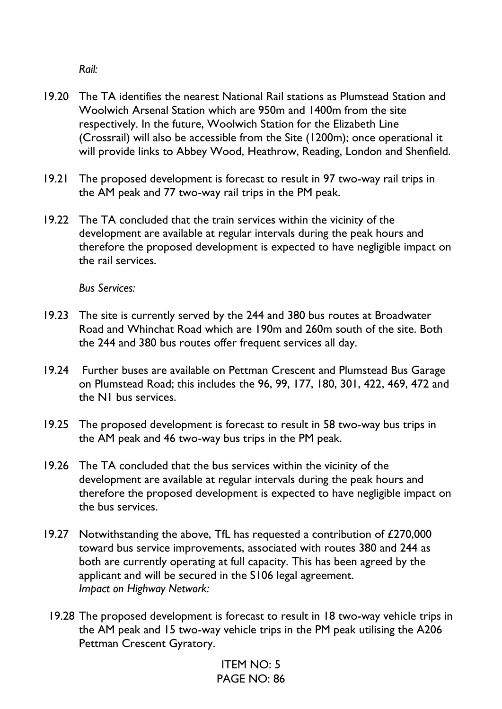*Rail:*

- 19.20 The TA identifies the nearest National Rail stations as Plumstead Station and Woolwich Arsenal Station which are 950m and 1400m from the site respectively. In the future, Woolwich Station for the Elizabeth Line (Crossrail) will also be accessible from the Site (1200m); once operational it will provide links to Abbey Wood, Heathrow, Reading, London and Shenfield.
- 19.21 The proposed development is forecast to result in 97 two-way rail trips in the AM peak and 77 two-way rail trips in the PM peak.
- 19.22 The TA concluded that the train services within the vicinity of the development are available at regular intervals during the peak hours and therefore the proposed development is expected to have negligible impact on the rail services.

*Bus Services:*

- 19.23 The site is currently served by the 244 and 380 bus routes at Broadwater Road and Whinchat Road which are 190m and 260m south of the site. Both the 244 and 380 bus routes offer frequent services all day.
- 19.24 Further buses are available on Pettman Crescent and Plumstead Bus Garage on Plumstead Road; this includes the 96, 99, 177, 180, 301, 422, 469, 472 and the N1 bus services.
- 19.25 The proposed development is forecast to result in 58 two-way bus trips in the AM peak and 46 two-way bus trips in the PM peak.
- 19.26 The TA concluded that the bus services within the vicinity of the development are available at regular intervals during the peak hours and therefore the proposed development is expected to have negligible impact on the bus services.
- 19.27 Notwithstanding the above, TfL has requested a contribution of £270,000 toward bus service improvements, associated with routes 380 and 244 as both are currently operating at full capacity. This has been agreed by the applicant and will be secured in the S106 legal agreement. *Impact on Highway Network:*
	- 19.28 The proposed development is forecast to result in 18 two-way vehicle trips in the AM peak and 15 two-way vehicle trips in the PM peak utilising the A206 Pettman Crescent Gyratory.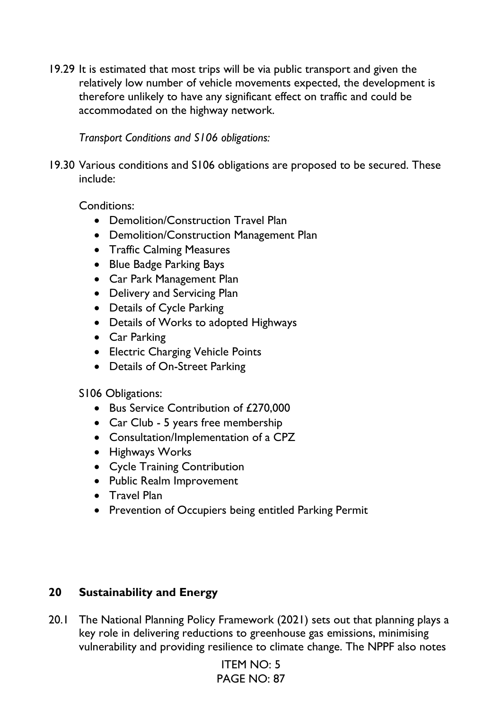19.29 It is estimated that most trips will be via public transport and given the relatively low number of vehicle movements expected, the development is therefore unlikely to have any significant effect on traffic and could be accommodated on the highway network.

*Transport Conditions and S106 obligations:*

19.30 Various conditions and S106 obligations are proposed to be secured. These include:

Conditions:

- Demolition/Construction Travel Plan
- Demolition/Construction Management Plan
- Traffic Calming Measures
- Blue Badge Parking Bays
- Car Park Management Plan
- Delivery and Servicing Plan
- Details of Cycle Parking
- Details of Works to adopted Highways
- Car Parking
- Electric Charging Vehicle Points
- Details of On-Street Parking

S106 Obligations:

- Bus Service Contribution of £270,000
- Car Club 5 years free membership
- Consultation/Implementation of a CPZ
- Highways Works
- Cycle Training Contribution
- Public Realm Improvement
- Travel Plan
- Prevention of Occupiers being entitled Parking Permit

# **20 Sustainability and Energy**

20.1 The National Planning Policy Framework (2021) sets out that planning plays a key role in delivering reductions to greenhouse gas emissions, minimising vulnerability and providing resilience to climate change. The NPPF also notes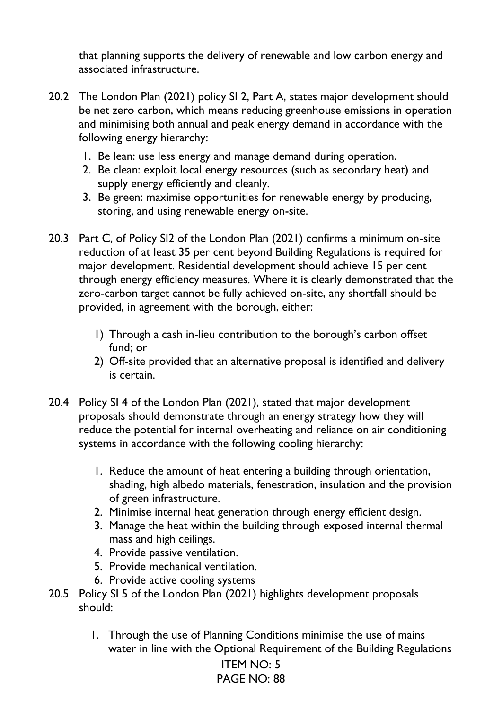that planning supports the delivery of renewable and low carbon energy and associated infrastructure.

- 20.2 The London Plan (2021) policy SI 2, Part A, states major development should be net zero carbon, which means reducing greenhouse emissions in operation and minimising both annual and peak energy demand in accordance with the following energy hierarchy:
	- 1. Be lean: use less energy and manage demand during operation.
	- 2. Be clean: exploit local energy resources (such as secondary heat) and supply energy efficiently and cleanly.
	- 3. Be green: maximise opportunities for renewable energy by producing, storing, and using renewable energy on-site.
- 20.3 Part C, of Policy SI2 of the London Plan (2021) confirms a minimum on-site reduction of at least 35 per cent beyond Building Regulations is required for major development. Residential development should achieve 15 per cent through energy efficiency measures. Where it is clearly demonstrated that the zero-carbon target cannot be fully achieved on-site, any shortfall should be provided, in agreement with the borough, either:
	- 1) Through a cash in-lieu contribution to the borough's carbon offset fund; or
	- 2) Off-site provided that an alternative proposal is identified and delivery is certain.
- 20.4 Policy SI 4 of the London Plan (2021), stated that major development proposals should demonstrate through an energy strategy how they will reduce the potential for internal overheating and reliance on air conditioning systems in accordance with the following cooling hierarchy:
	- 1. Reduce the amount of heat entering a building through orientation, shading, high albedo materials, fenestration, insulation and the provision of green infrastructure.
	- 2. Minimise internal heat generation through energy efficient design.
	- 3. Manage the heat within the building through exposed internal thermal mass and high ceilings.
	- 4. Provide passive ventilation.
	- 5. Provide mechanical ventilation.
	- 6. Provide active cooling systems
- 20.5 Policy SI 5 of the London Plan (2021) highlights development proposals should:
	- 1. Through the use of Planning Conditions minimise the use of mains water in line with the Optional Requirement of the Building Regulations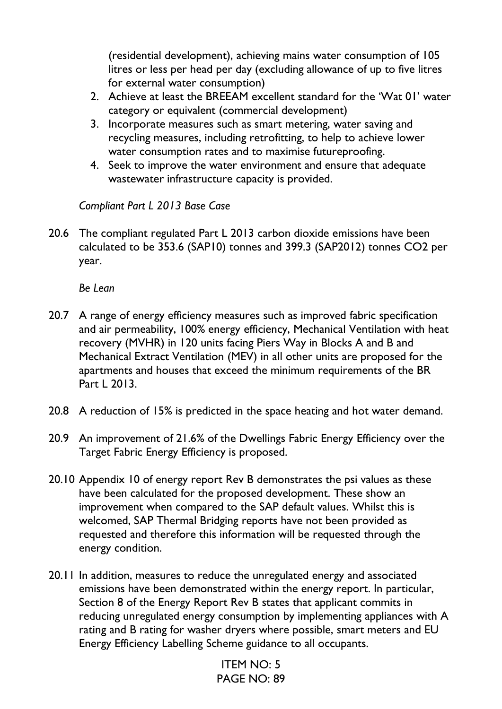(residential development), achieving mains water consumption of 105 litres or less per head per day (excluding allowance of up to five litres for external water consumption)

- 2. Achieve at least the BREEAM excellent standard for the 'Wat 01' water category or equivalent (commercial development)
- 3. Incorporate measures such as smart metering, water saving and recycling measures, including retrofitting, to help to achieve lower water consumption rates and to maximise futureproofing.
- 4. Seek to improve the water environment and ensure that adequate wastewater infrastructure capacity is provided.

*Compliant Part L 2013 Base Case*

20.6 The compliant regulated Part L 2013 carbon dioxide emissions have been calculated to be 353.6 (SAP10) tonnes and 399.3 (SAP2012) tonnes CO2 per year.

*Be Lean*

- 20.7 A range of energy efficiency measures such as improved fabric specification and air permeability, 100% energy efficiency, Mechanical Ventilation with heat recovery (MVHR) in 120 units facing Piers Way in Blocks A and B and Mechanical Extract Ventilation (MEV) in all other units are proposed for the apartments and houses that exceed the minimum requirements of the BR Part L 2013.
- 20.8 A reduction of 15% is predicted in the space heating and hot water demand.
- 20.9 An improvement of 21.6% of the Dwellings Fabric Energy Efficiency over the Target Fabric Energy Efficiency is proposed.
- 20.10 Appendix 10 of energy report Rev B demonstrates the psi values as these have been calculated for the proposed development. These show an improvement when compared to the SAP default values. Whilst this is welcomed, SAP Thermal Bridging reports have not been provided as requested and therefore this information will be requested through the energy condition.
- 20.11 In addition, measures to reduce the unregulated energy and associated emissions have been demonstrated within the energy report. In particular, Section 8 of the Energy Report Rev B states that applicant commits in reducing unregulated energy consumption by implementing appliances with A rating and B rating for washer dryers where possible, smart meters and EU Energy Efficiency Labelling Scheme guidance to all occupants.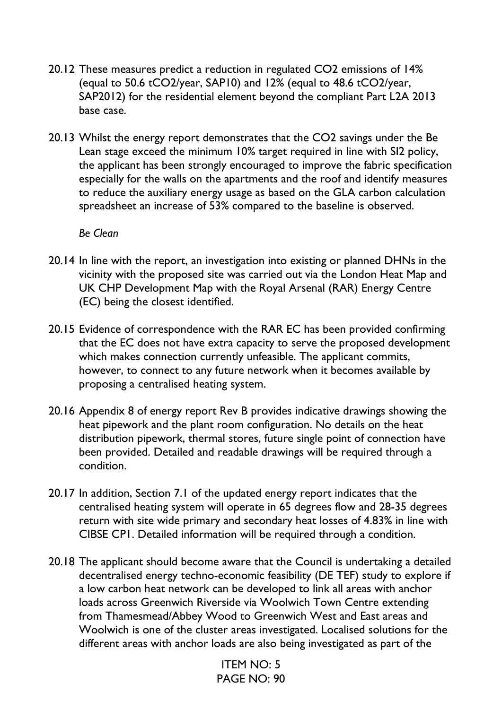- 20.12 These measures predict a reduction in regulated CO2 emissions of 14% (equal to 50.6 tCO2/year, SAP10) and 12% (equal to 48.6 tCO2/year, SAP2012) for the residential element beyond the compliant Part L2A 2013 base case.
- 20.13 Whilst the energy report demonstrates that the CO2 savings under the Be Lean stage exceed the minimum 10% target required in line with SI2 policy, the applicant has been strongly encouraged to improve the fabric specification especially for the walls on the apartments and the roof and identify measures to reduce the auxiliary energy usage as based on the GLA carbon calculation spreadsheet an increase of 53% compared to the baseline is observed.

*Be Clean*

- 20.14 In line with the report, an investigation into existing or planned DHNs in the vicinity with the proposed site was carried out via the London Heat Map and UK CHP Development Map with the Royal Arsenal (RAR) Energy Centre (EC) being the closest identified.
- 20.15 Evidence of correspondence with the RAR EC has been provided confirming that the EC does not have extra capacity to serve the proposed development which makes connection currently unfeasible. The applicant commits, however, to connect to any future network when it becomes available by proposing a centralised heating system.
- 20.16 Appendix 8 of energy report Rev B provides indicative drawings showing the heat pipework and the plant room configuration. No details on the heat distribution pipework, thermal stores, future single point of connection have been provided. Detailed and readable drawings will be required through a condition.
- 20.17 In addition, Section 7.1 of the updated energy report indicates that the centralised heating system will operate in 65 degrees flow and 28-35 degrees return with site wide primary and secondary heat losses of 4.83% in line with CIBSE CP1. Detailed information will be required through a condition.
- 20.18 The applicant should become aware that the Council is undertaking a detailed decentralised energy techno-economic feasibility (DE TEF) study to explore if a low carbon heat network can be developed to link all areas with anchor loads across Greenwich Riverside via Woolwich Town Centre extending from Thamesmead/Abbey Wood to Greenwich West and East areas and Woolwich is one of the cluster areas investigated. Localised solutions for the different areas with anchor loads are also being investigated as part of the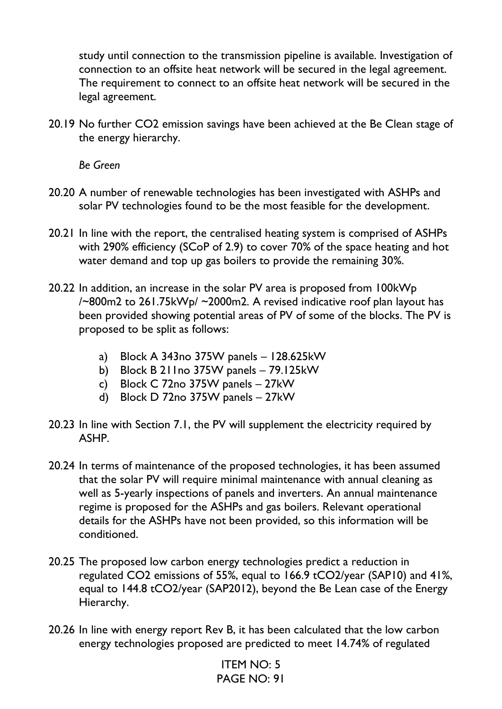study until connection to the transmission pipeline is available. Investigation of connection to an offsite heat network will be secured in the legal agreement. The requirement to connect to an offsite heat network will be secured in the legal agreement.

20.19 No further CO2 emission savings have been achieved at the Be Clean stage of the energy hierarchy.

*Be Green*

- 20.20 A number of renewable technologies has been investigated with ASHPs and solar PV technologies found to be the most feasible for the development.
- 20.21 In line with the report, the centralised heating system is comprised of ASHPs with 290% efficiency (SCoP of 2.9) to cover 70% of the space heating and hot water demand and top up gas boilers to provide the remaining 30%.
- 20.22 In addition, an increase in the solar PV area is proposed from 100kWp /~800m2 to 261.75kWp/ ~2000m2. A revised indicative roof plan layout has been provided showing potential areas of PV of some of the blocks. The PV is proposed to be split as follows:
	- a) Block A 343no 375W panels 128.625kW
	- b) Block B 211no 375W panels 79.125kW
	- c) Block C 72no 375W panels 27kW
	- d) Block D 72no 375W panels 27kW
- 20.23 In line with Section 7.1, the PV will supplement the electricity required by ASHP.
- 20.24 In terms of maintenance of the proposed technologies, it has been assumed that the solar PV will require minimal maintenance with annual cleaning as well as 5-yearly inspections of panels and inverters. An annual maintenance regime is proposed for the ASHPs and gas boilers. Relevant operational details for the ASHPs have not been provided, so this information will be conditioned.
- 20.25 The proposed low carbon energy technologies predict a reduction in regulated CO2 emissions of 55%, equal to 166.9 tCO2/year (SAP10) and 41%, equal to 144.8 tCO2/year (SAP2012), beyond the Be Lean case of the Energy Hierarchy.
- 20.26 In line with energy report Rev B, it has been calculated that the low carbon energy technologies proposed are predicted to meet 14.74% of regulated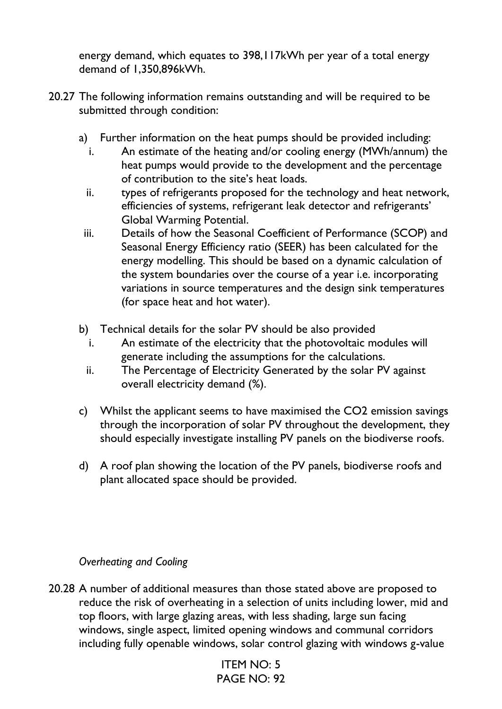energy demand, which equates to 398,117kWh per year of a total energy demand of 1,350,896kWh.

- 20.27 The following information remains outstanding and will be required to be submitted through condition:
	- a) Further information on the heat pumps should be provided including:
		- i. An estimate of the heating and/or cooling energy (MWh/annum) the heat pumps would provide to the development and the percentage of contribution to the site's heat loads.
		- ii. types of refrigerants proposed for the technology and heat network, efficiencies of systems, refrigerant leak detector and refrigerants' Global Warming Potential.
		- iii. Details of how the Seasonal Coefficient of Performance (SCOP) and Seasonal Energy Efficiency ratio (SEER) has been calculated for the energy modelling. This should be based on a dynamic calculation of the system boundaries over the course of a year i.e. incorporating variations in source temperatures and the design sink temperatures (for space heat and hot water).
	- b) Technical details for the solar PV should be also provided
		- i. An estimate of the electricity that the photovoltaic modules will generate including the assumptions for the calculations.
		- ii. The Percentage of Electricity Generated by the solar PV against overall electricity demand (%).
	- c) Whilst the applicant seems to have maximised the CO2 emission savings through the incorporation of solar PV throughout the development, they should especially investigate installing PV panels on the biodiverse roofs.
	- d) A roof plan showing the location of the PV panels, biodiverse roofs and plant allocated space should be provided.

# *Overheating and Cooling*

20.28 A number of additional measures than those stated above are proposed to reduce the risk of overheating in a selection of units including lower, mid and top floors, with large glazing areas, with less shading, large sun facing windows, single aspect, limited opening windows and communal corridors including fully openable windows, solar control glazing with windows g-value

> ITEM NO: 5  $PAGF NO·92$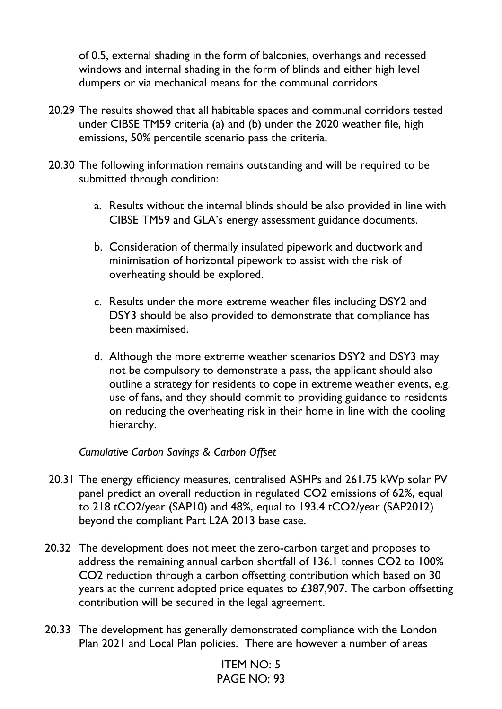of 0.5, external shading in the form of balconies, overhangs and recessed windows and internal shading in the form of blinds and either high level dumpers or via mechanical means for the communal corridors.

- 20.29 The results showed that all habitable spaces and communal corridors tested under CIBSE TM59 criteria (a) and (b) under the 2020 weather file, high emissions, 50% percentile scenario pass the criteria.
- 20.30 The following information remains outstanding and will be required to be submitted through condition:
	- a. Results without the internal blinds should be also provided in line with CIBSE TM59 and GLA's energy assessment guidance documents.
	- b. Consideration of thermally insulated pipework and ductwork and minimisation of horizontal pipework to assist with the risk of overheating should be explored.
	- c. Results under the more extreme weather files including DSY2 and DSY3 should be also provided to demonstrate that compliance has been maximised.
	- d. Although the more extreme weather scenarios DSY2 and DSY3 may not be compulsory to demonstrate a pass, the applicant should also outline a strategy for residents to cope in extreme weather events, e.g. use of fans, and they should commit to providing guidance to residents on reducing the overheating risk in their home in line with the cooling hierarchy.

## *Cumulative Carbon Savings & Carbon Offset*

- 20.31 The energy efficiency measures, centralised ASHPs and 261.75 kWp solar PV panel predict an overall reduction in regulated CO2 emissions of 62%, equal to 218 tCO2/year (SAP10) and 48%, equal to 193.4 tCO2/year (SAP2012) beyond the compliant Part L2A 2013 base case.
- 20.32 The development does not meet the zero-carbon target and proposes to address the remaining annual carbon shortfall of 136.1 tonnes CO2 to 100% CO2 reduction through a carbon offsetting contribution which based on 30 years at the current adopted price equates to £387,907. The carbon offsetting contribution will be secured in the legal agreement.
- 20.33 The development has generally demonstrated compliance with the London Plan 2021 and Local Plan policies. There are however a number of areas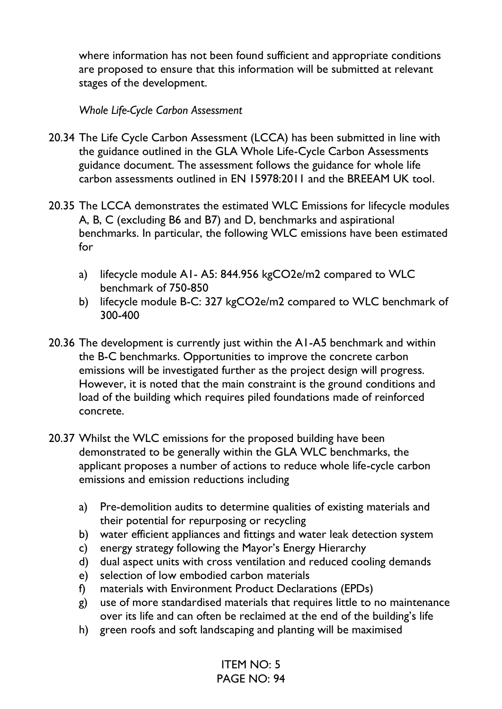where information has not been found sufficient and appropriate conditions are proposed to ensure that this information will be submitted at relevant stages of the development.

### *Whole Life-Cycle Carbon Assessment*

- 20.34 The Life Cycle Carbon Assessment (LCCA) has been submitted in line with the guidance outlined in the GLA Whole Life-Cycle Carbon Assessments guidance document. The assessment follows the guidance for whole life carbon assessments outlined in EN 15978:2011 and the BREEAM UK tool.
- 20.35 The LCCA demonstrates the estimated WLC Emissions for lifecycle modules A, B, C (excluding B6 and B7) and D, benchmarks and aspirational benchmarks. In particular, the following WLC emissions have been estimated for
	- a) lifecycle module A1- A5: 844.956 kgCO2e/m2 compared to WLC benchmark of 750-850
	- b) lifecycle module B-C: 327 kgCO2e/m2 compared to WLC benchmark of 300-400
- 20.36 The development is currently just within the A1-A5 benchmark and within the B-C benchmarks. Opportunities to improve the concrete carbon emissions will be investigated further as the project design will progress. However, it is noted that the main constraint is the ground conditions and load of the building which requires piled foundations made of reinforced concrete.
- 20.37 Whilst the WLC emissions for the proposed building have been demonstrated to be generally within the GLA WLC benchmarks, the applicant proposes a number of actions to reduce whole life-cycle carbon emissions and emission reductions including
	- a) Pre-demolition audits to determine qualities of existing materials and their potential for repurposing or recycling
	- b) water efficient appliances and fittings and water leak detection system
	- c) energy strategy following the Mayor's Energy Hierarchy
	- d) dual aspect units with cross ventilation and reduced cooling demands
	- e) selection of low embodied carbon materials
	- f) materials with Environment Product Declarations (EPDs)
	- g) use of more standardised materials that requires little to no maintenance over its life and can often be reclaimed at the end of the building's life
	- h) green roofs and soft landscaping and planting will be maximised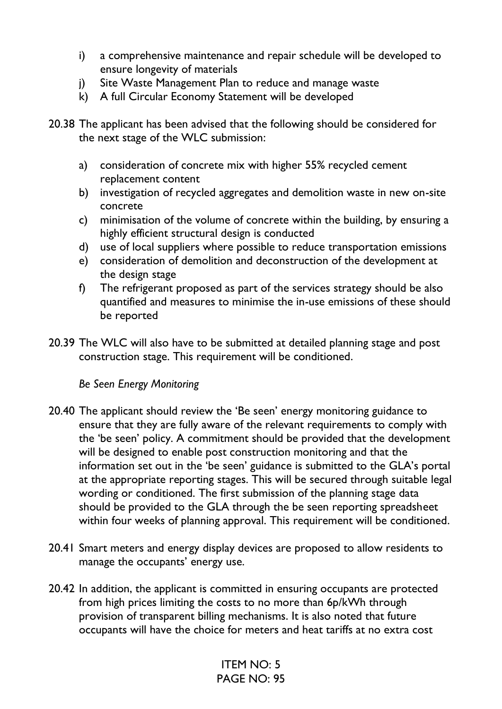- i) a comprehensive maintenance and repair schedule will be developed to ensure longevity of materials
- j) Site Waste Management Plan to reduce and manage waste
- k) A full Circular Economy Statement will be developed
- 20.38 The applicant has been advised that the following should be considered for the next stage of the WLC submission:
	- a) consideration of concrete mix with higher 55% recycled cement replacement content
	- b) investigation of recycled aggregates and demolition waste in new on-site concrete
	- c) minimisation of the volume of concrete within the building, by ensuring a highly efficient structural design is conducted
	- d) use of local suppliers where possible to reduce transportation emissions
	- e) consideration of demolition and deconstruction of the development at the design stage
	- f) The refrigerant proposed as part of the services strategy should be also quantified and measures to minimise the in-use emissions of these should be reported
- 20.39 The WLC will also have to be submitted at detailed planning stage and post construction stage. This requirement will be conditioned.

## *Be Seen Energy Monitoring*

- 20.40 The applicant should review the 'Be seen' energy monitoring guidance to ensure that they are fully aware of the relevant requirements to comply with the 'be seen' policy. A commitment should be provided that the development will be designed to enable post construction monitoring and that the information set out in the 'be seen' guidance is submitted to the GLA's portal at the appropriate reporting stages. This will be secured through suitable legal wording or conditioned. The first submission of the planning stage data should be provided to the GLA through the be seen reporting spreadsheet within four weeks of planning approval. This requirement will be conditioned.
- 20.41 Smart meters and energy display devices are proposed to allow residents to manage the occupants' energy use.
- 20.42 In addition, the applicant is committed in ensuring occupants are protected from high prices limiting the costs to no more than 6p/kWh through provision of transparent billing mechanisms. It is also noted that future occupants will have the choice for meters and heat tariffs at no extra cost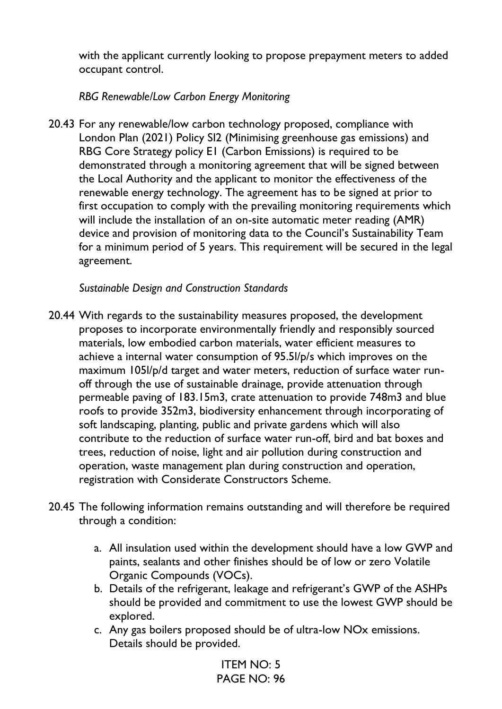with the applicant currently looking to propose prepayment meters to added occupant control.

## *RBG Renewable/Low Carbon Energy Monitoring*

20.43 For any renewable/low carbon technology proposed, compliance with London Plan (2021) Policy SI2 (Minimising greenhouse gas emissions) and RBG Core Strategy policy E1 (Carbon Emissions) is required to be demonstrated through a monitoring agreement that will be signed between the Local Authority and the applicant to monitor the effectiveness of the renewable energy technology. The agreement has to be signed at prior to first occupation to comply with the prevailing monitoring requirements which will include the installation of an on-site automatic meter reading (AMR) device and provision of monitoring data to the Council's Sustainability Team for a minimum period of 5 years. This requirement will be secured in the legal agreement.

### *Sustainable Design and Construction Standards*

- 20.44 With regards to the sustainability measures proposed, the development proposes to incorporate environmentally friendly and responsibly sourced materials, low embodied carbon materials, water efficient measures to achieve a internal water consumption of 95.5l/p/s which improves on the maximum 105l/p/d target and water meters, reduction of surface water runoff through the use of sustainable drainage, provide attenuation through permeable paving of 183.15m3, crate attenuation to provide 748m3 and blue roofs to provide 352m3, biodiversity enhancement through incorporating of soft landscaping, planting, public and private gardens which will also contribute to the reduction of surface water run-off, bird and bat boxes and trees, reduction of noise, light and air pollution during construction and operation, waste management plan during construction and operation, registration with Considerate Constructors Scheme.
- 20.45 The following information remains outstanding and will therefore be required through a condition:
	- a. All insulation used within the development should have a low GWP and paints, sealants and other finishes should be of low or zero Volatile Organic Compounds (VOCs).
	- b. Details of the refrigerant, leakage and refrigerant's GWP of the ASHPs should be provided and commitment to use the lowest GWP should be explored.
	- c. Any gas boilers proposed should be of ultra-low NOx emissions. Details should be provided.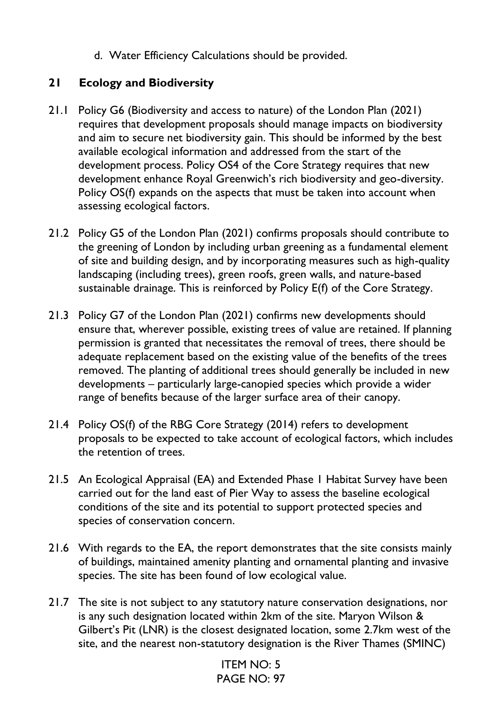d. Water Efficiency Calculations should be provided.

# **21 Ecology and Biodiversity**

- 21.1 Policy G6 (Biodiversity and access to nature) of the London Plan (2021) requires that development proposals should manage impacts on biodiversity and aim to secure net biodiversity gain. This should be informed by the best available ecological information and addressed from the start of the development process. Policy OS4 of the Core Strategy requires that new development enhance Royal Greenwich's rich biodiversity and geo-diversity. Policy OS(f) expands on the aspects that must be taken into account when assessing ecological factors.
- 21.2 Policy G5 of the London Plan (2021) confirms proposals should contribute to the greening of London by including urban greening as a fundamental element of site and building design, and by incorporating measures such as high-quality landscaping (including trees), green roofs, green walls, and nature-based sustainable drainage. This is reinforced by Policy E(f) of the Core Strategy.
- 21.3 Policy G7 of the London Plan (2021) confirms new developments should ensure that, wherever possible, existing trees of value are retained. If planning permission is granted that necessitates the removal of trees, there should be adequate replacement based on the existing value of the benefits of the trees removed. The planting of additional trees should generally be included in new developments – particularly large-canopied species which provide a wider range of benefits because of the larger surface area of their canopy.
- 21.4 Policy OS(f) of the RBG Core Strategy (2014) refers to development proposals to be expected to take account of ecological factors, which includes the retention of trees.
- 21.5 An Ecological Appraisal (EA) and Extended Phase 1 Habitat Survey have been carried out for the land east of Pier Way to assess the baseline ecological conditions of the site and its potential to support protected species and species of conservation concern.
- 21.6 With regards to the EA, the report demonstrates that the site consists mainly of buildings, maintained amenity planting and ornamental planting and invasive species. The site has been found of low ecological value.
- 21.7 The site is not subject to any statutory nature conservation designations, nor is any such designation located within 2km of the site. Maryon Wilson & Gilbert's Pit (LNR) is the closest designated location, some 2.7km west of the site, and the nearest non-statutory designation is the River Thames (SMINC)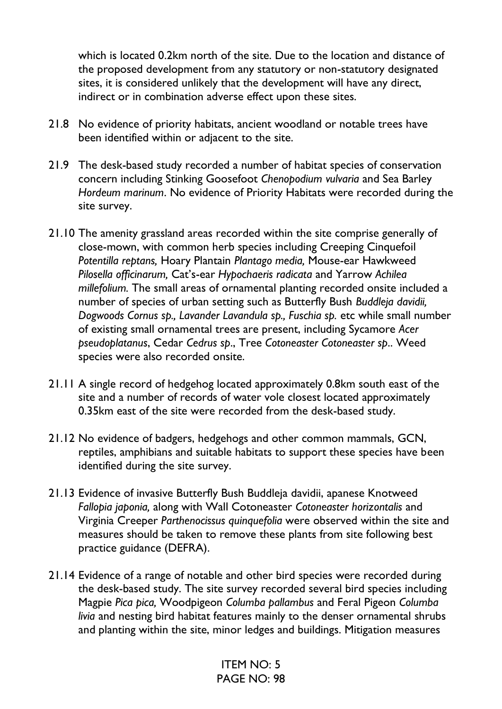which is located 0.2km north of the site. Due to the location and distance of the proposed development from any statutory or non-statutory designated sites, it is considered unlikely that the development will have any direct, indirect or in combination adverse effect upon these sites.

- 21.8 No evidence of priority habitats, ancient woodland or notable trees have been identified within or adjacent to the site.
- 21.9 The desk-based study recorded a number of habitat species of conservation concern including Stinking Goosefoot *Chenopodium vulvaria* and Sea Barley *Hordeum marinum*. No evidence of Priority Habitats were recorded during the site survey.
- 21.10 The amenity grassland areas recorded within the site comprise generally of close-mown, with common herb species including Creeping Cinquefoil *Potentilla reptans,* Hoary Plantain *Plantago media,* Mouse-ear Hawkweed *Pilosella officinarum,* Cat's-ear *Hypochaeris radicata* and Yarrow *Achilea millefolium.* The small areas of ornamental planting recorded onsite included a number of species of urban setting such as Butterfly Bush *Buddleja davidii, Dogwoods Cornus sp., Lavander Lavandula sp., Fuschia sp.* etc while small number of existing small ornamental trees are present, including Sycamore *Acer pseudoplatanus*, Cedar *Cedrus sp*., Tree *Cotoneaster Cotoneaster sp*.. Weed species were also recorded onsite.
- 21.11 A single record of hedgehog located approximately 0.8km south east of the site and a number of records of water vole closest located approximately 0.35km east of the site were recorded from the desk-based study.
- 21.12 No evidence of badgers, hedgehogs and other common mammals, GCN, reptiles, amphibians and suitable habitats to support these species have been identified during the site survey.
- 21.13 Evidence of invasive Butterfly Bush Buddleja davidii, apanese Knotweed *Fallopia japonia,* along with Wall Cotoneaster *Cotoneaster horizontalis* and Virginia Creeper *Parthenocissus quinquefolia* were observed within the site and measures should be taken to remove these plants from site following best practice guidance (DEFRA).
- 21.14 Evidence of a range of notable and other bird species were recorded during the desk-based study. The site survey recorded several bird species including Magpie *Pica pica,* Woodpigeon *Columba pallambus* and Feral Pigeon *Columba livia* and nesting bird habitat features mainly to the denser ornamental shrubs and planting within the site, minor ledges and buildings. Mitigation measures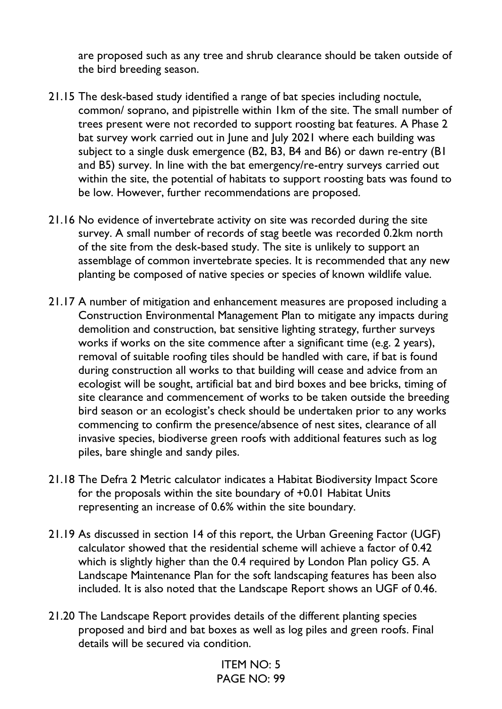are proposed such as any tree and shrub clearance should be taken outside of the bird breeding season.

- 21.15 The desk-based study identified a range of bat species including noctule, common/ soprano, and pipistrelle within 1km of the site. The small number of trees present were not recorded to support roosting bat features. A Phase 2 bat survey work carried out in June and July 2021 where each building was subject to a single dusk emergence (B2, B3, B4 and B6) or dawn re-entry (B1 and B5) survey. In line with the bat emergency/re-entry surveys carried out within the site, the potential of habitats to support roosting bats was found to be low. However, further recommendations are proposed.
- 21.16 No evidence of invertebrate activity on site was recorded during the site survey. A small number of records of stag beetle was recorded 0.2km north of the site from the desk-based study. The site is unlikely to support an assemblage of common invertebrate species. It is recommended that any new planting be composed of native species or species of known wildlife value.
- 21.17 A number of mitigation and enhancement measures are proposed including a Construction Environmental Management Plan to mitigate any impacts during demolition and construction, bat sensitive lighting strategy, further surveys works if works on the site commence after a significant time (e.g. 2 years), removal of suitable roofing tiles should be handled with care, if bat is found during construction all works to that building will cease and advice from an ecologist will be sought, artificial bat and bird boxes and bee bricks, timing of site clearance and commencement of works to be taken outside the breeding bird season or an ecologist's check should be undertaken prior to any works commencing to confirm the presence/absence of nest sites, clearance of all invasive species, biodiverse green roofs with additional features such as log piles, bare shingle and sandy piles.
- 21.18 The Defra 2 Metric calculator indicates a Habitat Biodiversity Impact Score for the proposals within the site boundary of +0.01 Habitat Units representing an increase of 0.6% within the site boundary.
- 21.19 As discussed in section 14 of this report, the Urban Greening Factor (UGF) calculator showed that the residential scheme will achieve a factor of 0.42 which is slightly higher than the 0.4 required by London Plan policy G5. A Landscape Maintenance Plan for the soft landscaping features has been also included. It is also noted that the Landscape Report shows an UGF of 0.46.
- 21.20 The Landscape Report provides details of the different planting species proposed and bird and bat boxes as well as log piles and green roofs. Final details will be secured via condition.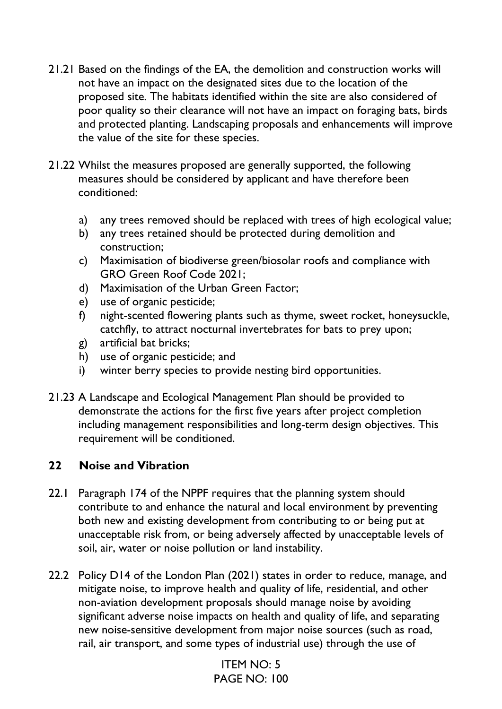- 21.21 Based on the findings of the EA, the demolition and construction works will not have an impact on the designated sites due to the location of the proposed site. The habitats identified within the site are also considered of poor quality so their clearance will not have an impact on foraging bats, birds and protected planting. Landscaping proposals and enhancements will improve the value of the site for these species.
- 21.22 Whilst the measures proposed are generally supported, the following measures should be considered by applicant and have therefore been conditioned:
	- a) any trees removed should be replaced with trees of high ecological value;
	- b) any trees retained should be protected during demolition and construction;
	- c) Maximisation of biodiverse green/biosolar roofs and compliance with GRO Green Roof Code 2021;
	- d) Maximisation of the Urban Green Factor;
	- e) use of organic pesticide;
	- f) night-scented flowering plants such as thyme, sweet rocket, honeysuckle, catchfly, to attract nocturnal invertebrates for bats to prey upon;
	- g) artificial bat bricks;
	- h) use of organic pesticide; and
	- i) winter berry species to provide nesting bird opportunities.
- 21.23 A Landscape and Ecological Management Plan should be provided to demonstrate the actions for the first five years after project completion including management responsibilities and long-term design objectives. This requirement will be conditioned.

# **22 Noise and Vibration**

- 22.1 Paragraph 174 of the NPPF requires that the planning system should contribute to and enhance the natural and local environment by preventing both new and existing development from contributing to or being put at unacceptable risk from, or being adversely affected by unacceptable levels of soil, air, water or noise pollution or land instability.
- 22.2 Policy D14 of the London Plan (2021) states in order to reduce, manage, and mitigate noise, to improve health and quality of life, residential, and other non-aviation development proposals should manage noise by avoiding significant adverse noise impacts on health and quality of life, and separating new noise-sensitive development from major noise sources (such as road, rail, air transport, and some types of industrial use) through the use of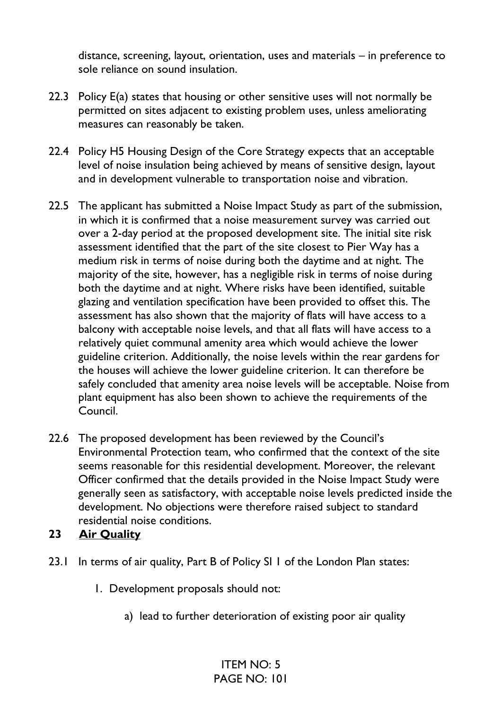distance, screening, layout, orientation, uses and materials – in preference to sole reliance on sound insulation.

- 22.3 Policy E(a) states that housing or other sensitive uses will not normally be permitted on sites adjacent to existing problem uses, unless ameliorating measures can reasonably be taken.
- 22.4 Policy H5 Housing Design of the Core Strategy expects that an acceptable level of noise insulation being achieved by means of sensitive design, layout and in development vulnerable to transportation noise and vibration.
- 22.5 The applicant has submitted a Noise Impact Study as part of the submission, in which it is confirmed that a noise measurement survey was carried out over a 2-day period at the proposed development site. The initial site risk assessment identified that the part of the site closest to Pier Way has a medium risk in terms of noise during both the daytime and at night. The majority of the site, however, has a negligible risk in terms of noise during both the daytime and at night. Where risks have been identified, suitable glazing and ventilation specification have been provided to offset this. The assessment has also shown that the majority of flats will have access to a balcony with acceptable noise levels, and that all flats will have access to a relatively quiet communal amenity area which would achieve the lower guideline criterion. Additionally, the noise levels within the rear gardens for the houses will achieve the lower guideline criterion. It can therefore be safely concluded that amenity area noise levels will be acceptable. Noise from plant equipment has also been shown to achieve the requirements of the Council.
- 22.6 The proposed development has been reviewed by the Council's Environmental Protection team, who confirmed that the context of the site seems reasonable for this residential development. Moreover, the relevant Officer confirmed that the details provided in the Noise Impact Study were generally seen as satisfactory, with acceptable noise levels predicted inside the development. No objections were therefore raised subject to standard residential noise conditions.
- **23 Air Quality**
- 23.1 In terms of air quality, Part B of Policy SI 1 of the London Plan states:
	- 1. Development proposals should not:
		- a) lead to further deterioration of existing poor air quality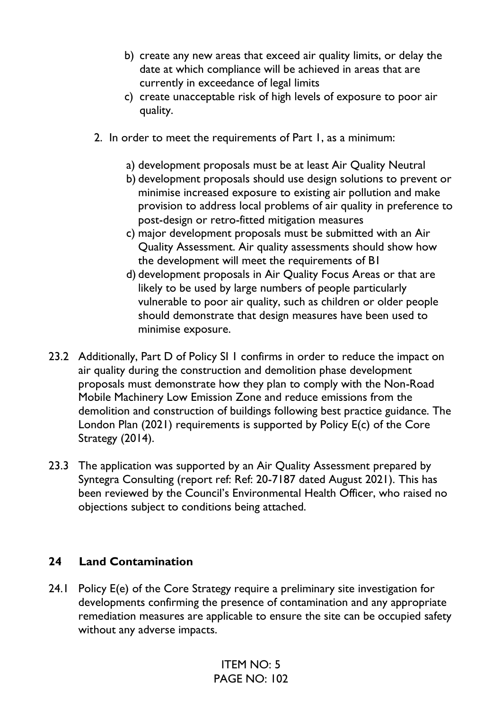- b) create any new areas that exceed air quality limits, or delay the date at which compliance will be achieved in areas that are currently in exceedance of legal limits
- c) create unacceptable risk of high levels of exposure to poor air quality.
- 2. In order to meet the requirements of Part 1, as a minimum:
	- a) development proposals must be at least Air Quality Neutral
	- b) development proposals should use design solutions to prevent or minimise increased exposure to existing air pollution and make provision to address local problems of air quality in preference to post-design or retro-fitted mitigation measures
	- c) major development proposals must be submitted with an Air Quality Assessment. Air quality assessments should show how the development will meet the requirements of B1
	- d) development proposals in Air Quality Focus Areas or that are likely to be used by large numbers of people particularly vulnerable to poor air quality, such as children or older people should demonstrate that design measures have been used to minimise exposure.
- 23.2 Additionally, Part D of Policy SI I confirms in order to reduce the impact on air quality during the construction and demolition phase development proposals must demonstrate how they plan to comply with the Non-Road Mobile Machinery Low Emission Zone and reduce emissions from the demolition and construction of buildings following best practice guidance. The London Plan (2021) requirements is supported by Policy E(c) of the Core Strategy (2014).
- 23.3 The application was supported by an Air Quality Assessment prepared by Syntegra Consulting (report ref: Ref: 20-7187 dated August 2021). This has been reviewed by the Council's Environmental Health Officer, who raised no objections subject to conditions being attached.

## **24 Land Contamination**

24.1 Policy E(e) of the Core Strategy require a preliminary site investigation for developments confirming the presence of contamination and any appropriate remediation measures are applicable to ensure the site can be occupied safety without any adverse impacts.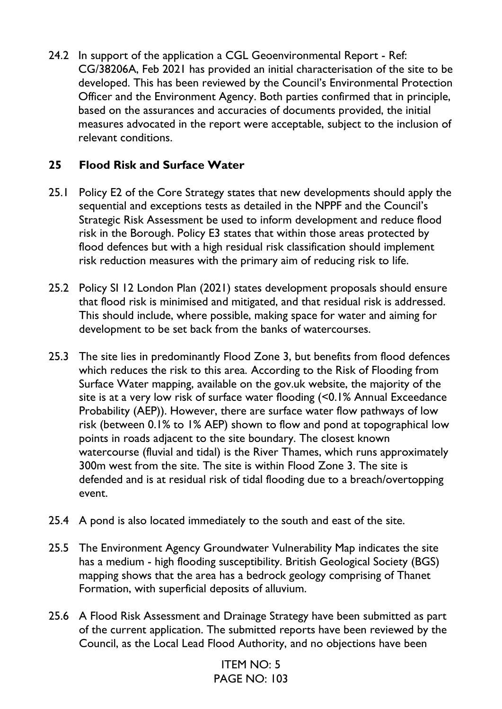24.2 In support of the application a CGL Geoenvironmental Report - Ref: CG/38206A, Feb 2021 has provided an initial characterisation of the site to be developed. This has been reviewed by the Council's Environmental Protection Officer and the Environment Agency. Both parties confirmed that in principle, based on the assurances and accuracies of documents provided, the initial measures advocated in the report were acceptable, subject to the inclusion of relevant conditions.

# **25 Flood Risk and Surface Water**

- 25.1 Policy E2 of the Core Strategy states that new developments should apply the sequential and exceptions tests as detailed in the NPPF and the Council's Strategic Risk Assessment be used to inform development and reduce flood risk in the Borough. Policy E3 states that within those areas protected by flood defences but with a high residual risk classification should implement risk reduction measures with the primary aim of reducing risk to life.
- 25.2 Policy SI 12 London Plan (2021) states development proposals should ensure that flood risk is minimised and mitigated, and that residual risk is addressed. This should include, where possible, making space for water and aiming for development to be set back from the banks of watercourses.
- 25.3 The site lies in predominantly Flood Zone 3, but benefits from flood defences which reduces the risk to this area. According to the Risk of Flooding from Surface Water mapping, available on the gov.uk website, the majority of the site is at a very low risk of surface water flooding (<0.1% Annual Exceedance Probability (AEP)). However, there are surface water flow pathways of low risk (between 0.1% to 1% AEP) shown to flow and pond at topographical low points in roads adjacent to the site boundary. The closest known watercourse (fluvial and tidal) is the River Thames, which runs approximately 300m west from the site. The site is within Flood Zone 3. The site is defended and is at residual risk of tidal flooding due to a breach/overtopping event.
- 25.4 A pond is also located immediately to the south and east of the site.
- 25.5 The Environment Agency Groundwater Vulnerability Map indicates the site has a medium - high flooding susceptibility. British Geological Society (BGS) mapping shows that the area has a bedrock geology comprising of Thanet Formation, with superficial deposits of alluvium.
- 25.6 A Flood Risk Assessment and Drainage Strategy have been submitted as part of the current application. The submitted reports have been reviewed by the Council, as the Local Lead Flood Authority, and no objections have been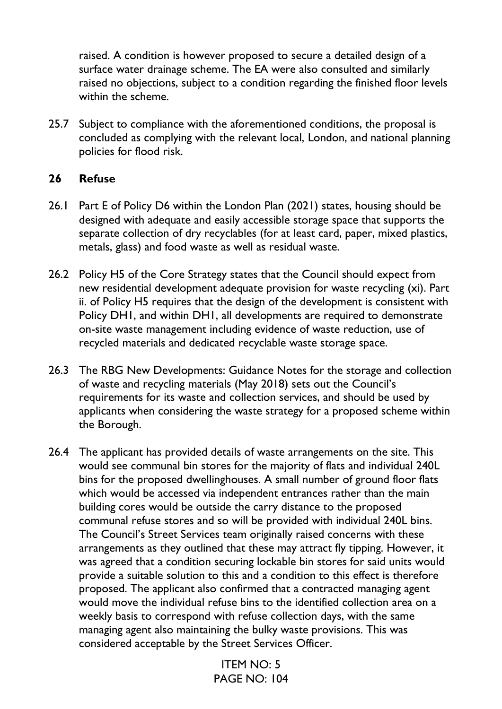raised. A condition is however proposed to secure a detailed design of a surface water drainage scheme. The EA were also consulted and similarly raised no objections, subject to a condition regarding the finished floor levels within the scheme.

25.7 Subject to compliance with the aforementioned conditions, the proposal is concluded as complying with the relevant local, London, and national planning policies for flood risk.

## **26 Refuse**

- 26.1 Part E of Policy D6 within the London Plan (2021) states, housing should be designed with adequate and easily accessible storage space that supports the separate collection of dry recyclables (for at least card, paper, mixed plastics, metals, glass) and food waste as well as residual waste.
- 26.2 Policy H5 of the Core Strategy states that the Council should expect from new residential development adequate provision for waste recycling (xi). Part ii. of Policy H5 requires that the design of the development is consistent with Policy DH1, and within DH1, all developments are required to demonstrate on-site waste management including evidence of waste reduction, use of recycled materials and dedicated recyclable waste storage space.
- 26.3 The RBG New Developments: Guidance Notes for the storage and collection of waste and recycling materials (May 2018) sets out the Council's requirements for its waste and collection services, and should be used by applicants when considering the waste strategy for a proposed scheme within the Borough.
- 26.4 The applicant has provided details of waste arrangements on the site. This would see communal bin stores for the majority of flats and individual 240L bins for the proposed dwellinghouses. A small number of ground floor flats which would be accessed via independent entrances rather than the main building cores would be outside the carry distance to the proposed communal refuse stores and so will be provided with individual 240L bins. The Council's Street Services team originally raised concerns with these arrangements as they outlined that these may attract fly tipping. However, it was agreed that a condition securing lockable bin stores for said units would provide a suitable solution to this and a condition to this effect is therefore proposed. The applicant also confirmed that a contracted managing agent would move the individual refuse bins to the identified collection area on a weekly basis to correspond with refuse collection days, with the same managing agent also maintaining the bulky waste provisions. This was considered acceptable by the Street Services Officer.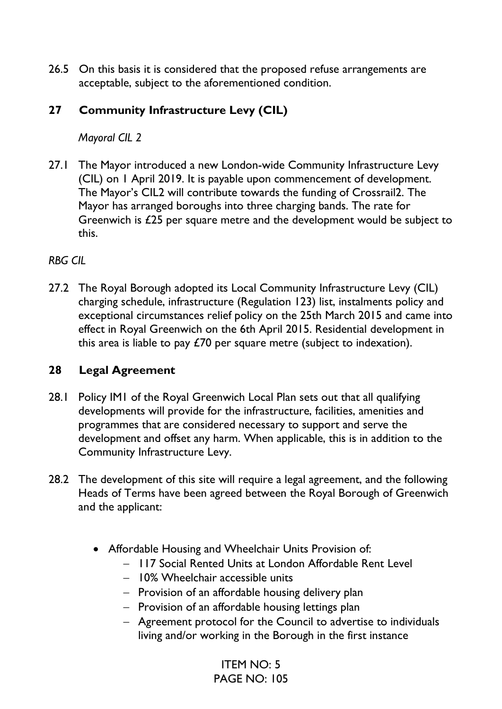26.5 On this basis it is considered that the proposed refuse arrangements are acceptable, subject to the aforementioned condition.

# **27 Community Infrastructure Levy (CIL)**

## *Mayoral CIL 2*

27.1 The Mayor introduced a new London-wide Community Infrastructure Levy (CIL) on 1 April 2019. It is payable upon commencement of development. The Mayor's CIL2 will contribute towards the funding of Crossrail2. The Mayor has arranged boroughs into three charging bands. The rate for Greenwich is £25 per square metre and the development would be subject to this.

## *RBG CIL*

27.2 The Royal Borough adopted its Local Community Infrastructure Levy (CIL) charging schedule, infrastructure (Regulation 123) list, instalments policy and exceptional circumstances relief policy on the 25th March 2015 and came into effect in Royal Greenwich on the 6th April 2015. Residential development in this area is liable to pay  $E70$  per square metre (subject to indexation).

## **28 Legal Agreement**

- 28.1 Policy IM1 of the Royal Greenwich Local Plan sets out that all qualifying developments will provide for the infrastructure, facilities, amenities and programmes that are considered necessary to support and serve the development and offset any harm. When applicable, this is in addition to the Community Infrastructure Levy.
- 28.2 The development of this site will require a legal agreement, and the following Heads of Terms have been agreed between the Royal Borough of Greenwich and the applicant:
	- Affordable Housing and Wheelchair Units Provision of:
		- − 117 Social Rented Units at London Affordable Rent Level
		- − 10% Wheelchair accessible units
		- − Provision of an affordable housing delivery plan
		- − Provision of an affordable housing lettings plan
		- − Agreement protocol for the Council to advertise to individuals living and/or working in the Borough in the first instance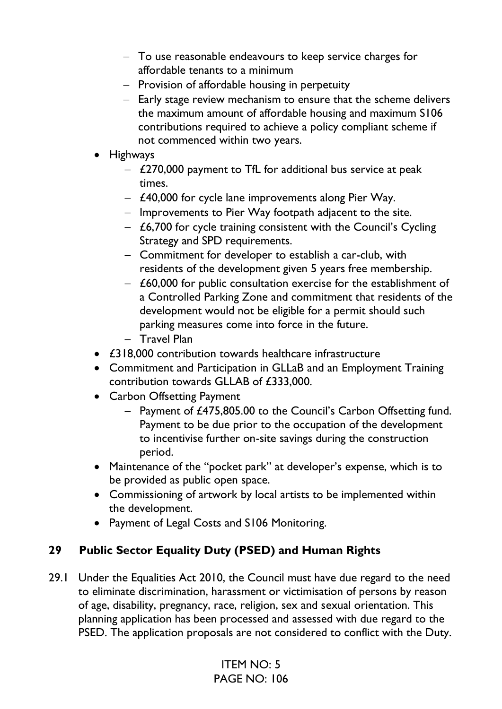- − To use reasonable endeavours to keep service charges for affordable tenants to a minimum
- − Provision of affordable housing in perpetuity
- − Early stage review mechanism to ensure that the scheme delivers the maximum amount of affordable housing and maximum S106 contributions required to achieve a policy compliant scheme if not commenced within two years.
- Highways
	- − £270,000 payment to TfL for additional bus service at peak times.
	- − £40,000 for cycle lane improvements along Pier Way.
	- − Improvements to Pier Way footpath adjacent to the site.
	- − £6,700 for cycle training consistent with the Council's Cycling Strategy and SPD requirements.
	- − Commitment for developer to establish a car-club, with residents of the development given 5 years free membership.
	- − £60,000 for public consultation exercise for the establishment of a Controlled Parking Zone and commitment that residents of the development would not be eligible for a permit should such parking measures come into force in the future.
	- − Travel Plan
- £318,000 contribution towards healthcare infrastructure
- Commitment and Participation in GLLaB and an Employment Training contribution towards GLLAB of £333,000.
- Carbon Offsetting Payment
	- − Payment of £475,805.00 to the Council's Carbon Offsetting fund. Payment to be due prior to the occupation of the development to incentivise further on-site savings during the construction period.
- Maintenance of the "pocket park" at developer's expense, which is to be provided as public open space.
- Commissioning of artwork by local artists to be implemented within the development.
- Payment of Legal Costs and S106 Monitoring.

## **29 Public Sector Equality Duty (PSED) and Human Rights**

29.1 Under the Equalities Act 2010, the Council must have due regard to the need to eliminate discrimination, harassment or victimisation of persons by reason of age, disability, pregnancy, race, religion, sex and sexual orientation. This planning application has been processed and assessed with due regard to the PSED. The application proposals are not considered to conflict with the Duty.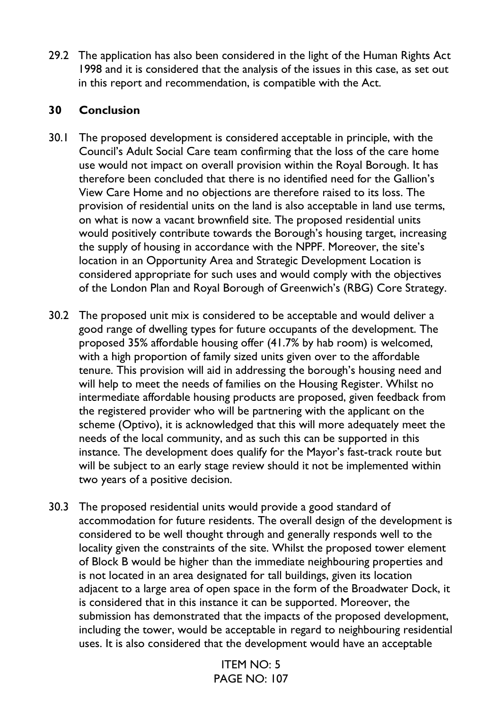29.2 The application has also been considered in the light of the Human Rights Act 1998 and it is considered that the analysis of the issues in this case, as set out in this report and recommendation, is compatible with the Act.

# **30 Conclusion**

- 30.1 The proposed development is considered acceptable in principle, with the Council's Adult Social Care team confirming that the loss of the care home use would not impact on overall provision within the Royal Borough. It has therefore been concluded that there is no identified need for the Gallion's View Care Home and no objections are therefore raised to its loss. The provision of residential units on the land is also acceptable in land use terms, on what is now a vacant brownfield site. The proposed residential units would positively contribute towards the Borough's housing target, increasing the supply of housing in accordance with the NPPF. Moreover, the site's location in an Opportunity Area and Strategic Development Location is considered appropriate for such uses and would comply with the objectives of the London Plan and Royal Borough of Greenwich's (RBG) Core Strategy.
- 30.2 The proposed unit mix is considered to be acceptable and would deliver a good range of dwelling types for future occupants of the development. The proposed 35% affordable housing offer (41.7% by hab room) is welcomed, with a high proportion of family sized units given over to the affordable tenure. This provision will aid in addressing the borough's housing need and will help to meet the needs of families on the Housing Register. Whilst no intermediate affordable housing products are proposed, given feedback from the registered provider who will be partnering with the applicant on the scheme (Optivo), it is acknowledged that this will more adequately meet the needs of the local community, and as such this can be supported in this instance. The development does qualify for the Mayor's fast-track route but will be subject to an early stage review should it not be implemented within two years of a positive decision.
- 30.3 The proposed residential units would provide a good standard of accommodation for future residents. The overall design of the development is considered to be well thought through and generally responds well to the locality given the constraints of the site. Whilst the proposed tower element of Block B would be higher than the immediate neighbouring properties and is not located in an area designated for tall buildings, given its location adjacent to a large area of open space in the form of the Broadwater Dock, it is considered that in this instance it can be supported. Moreover, the submission has demonstrated that the impacts of the proposed development, including the tower, would be acceptable in regard to neighbouring residential uses. It is also considered that the development would have an acceptable